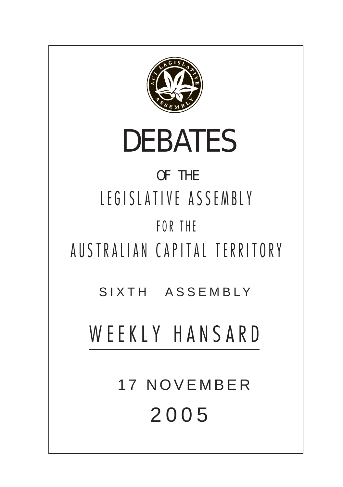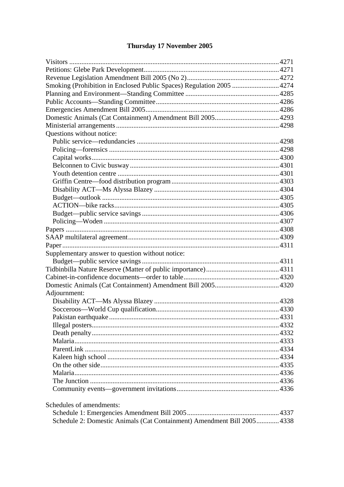# Thursday 17 November 2005

| Smoking (Prohibition in Enclosed Public Spaces) Regulation 2005  4274   |  |  |  |
|-------------------------------------------------------------------------|--|--|--|
|                                                                         |  |  |  |
|                                                                         |  |  |  |
|                                                                         |  |  |  |
|                                                                         |  |  |  |
|                                                                         |  |  |  |
| Questions without notice:                                               |  |  |  |
|                                                                         |  |  |  |
|                                                                         |  |  |  |
|                                                                         |  |  |  |
|                                                                         |  |  |  |
|                                                                         |  |  |  |
|                                                                         |  |  |  |
|                                                                         |  |  |  |
|                                                                         |  |  |  |
|                                                                         |  |  |  |
|                                                                         |  |  |  |
|                                                                         |  |  |  |
|                                                                         |  |  |  |
|                                                                         |  |  |  |
|                                                                         |  |  |  |
| Supplementary answer to question without notice:                        |  |  |  |
|                                                                         |  |  |  |
|                                                                         |  |  |  |
|                                                                         |  |  |  |
|                                                                         |  |  |  |
| Adjournment:                                                            |  |  |  |
|                                                                         |  |  |  |
|                                                                         |  |  |  |
|                                                                         |  |  |  |
|                                                                         |  |  |  |
|                                                                         |  |  |  |
|                                                                         |  |  |  |
|                                                                         |  |  |  |
|                                                                         |  |  |  |
|                                                                         |  |  |  |
|                                                                         |  |  |  |
|                                                                         |  |  |  |
|                                                                         |  |  |  |
| Schedules of amendments:                                                |  |  |  |
|                                                                         |  |  |  |
| Schedule 2: Domestic Animals (Cat Containment) Amendment Bill 2005 4338 |  |  |  |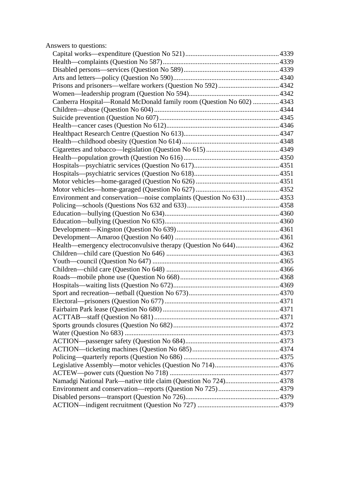| Answers to questions:                                                 |  |
|-----------------------------------------------------------------------|--|
|                                                                       |  |
|                                                                       |  |
|                                                                       |  |
|                                                                       |  |
|                                                                       |  |
|                                                                       |  |
| Canberra Hospital—Ronald McDonald family room (Question No 602)  4343 |  |
|                                                                       |  |
|                                                                       |  |
|                                                                       |  |
|                                                                       |  |
|                                                                       |  |
|                                                                       |  |
|                                                                       |  |
|                                                                       |  |
|                                                                       |  |
|                                                                       |  |
|                                                                       |  |
| Environment and conservation-noise complaints (Question No 631)  4353 |  |
|                                                                       |  |
|                                                                       |  |
|                                                                       |  |
|                                                                       |  |
|                                                                       |  |
|                                                                       |  |
|                                                                       |  |
|                                                                       |  |
|                                                                       |  |
|                                                                       |  |
|                                                                       |  |
|                                                                       |  |
|                                                                       |  |
|                                                                       |  |
|                                                                       |  |
|                                                                       |  |
|                                                                       |  |
|                                                                       |  |
|                                                                       |  |
|                                                                       |  |
|                                                                       |  |
|                                                                       |  |
| Namadgi National Park—native title claim (Question No 724) 4378       |  |
|                                                                       |  |
|                                                                       |  |
|                                                                       |  |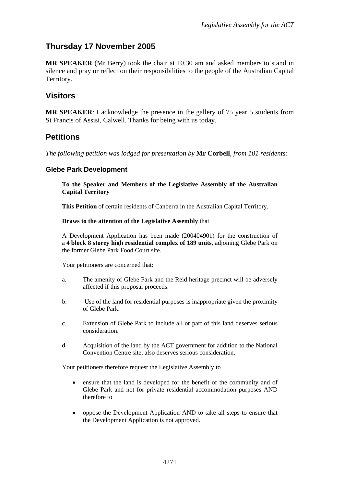# <span id="page-3-0"></span>**Thursday 17 November 2005**

**MR SPEAKER** (Mr Berry) took the chair at 10.30 am and asked members to stand in silence and pray or reflect on their responsibilities to the people of the Australian Capital Territory.

## **Visitors**

**MR SPEAKER**: I acknowledge the presence in the gallery of 75 year 5 students from St Francis of Assisi, Calwell. Thanks for being with us today.

## **Petitions**

*The following petition was lodged for presentation by* **Mr Corbell**, *from 101 residents:* 

### **Glebe Park Development**

**To the Speaker and Members of the Legislative Assembly of the Australian Capital Territory** 

**This Petition** of certain residents of Canberra in the Australian Capital Territory,

#### **Draws to the attention of the Legislative Assembly** that

A Development Application has been made (200404901) for the construction of a **4 block 8 storey high residential complex of 189 units**, adjoining Glebe Park on the former Glebe Park Food Court site.

Your petitioners are concerned that:

- a. The amenity of Glebe Park and the Reid heritage precinct will be adversely affected if this proposal proceeds.
- b. Use of the land for residential purposes is inappropriate given the proximity of Glebe Park.
- c. Extension of Glebe Park to include all or part of this land deserves serious consideration.
- d. Acquisition of the land by the ACT government for addition to the National Convention Centre site, also deserves serious consideration.

Your petitioners therefore request the Legislative Assembly to

- ensure that the land is developed for the benefit of the community and of Glebe Park and not for private residential accommodation purposes AND therefore to
- oppose the Development Application AND to take all steps to ensure that the Development Application is not approved.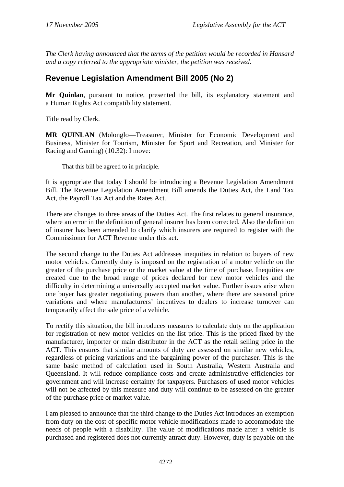<span id="page-4-0"></span>*The Clerk having announced that the terms of the petition would be recorded in Hansard and a copy referred to the appropriate minister, the petition was received.* 

# **Revenue Legislation Amendment Bill 2005 (No 2)**

**Mr Quinlan**, pursuant to notice, presented the bill, its explanatory statement and a Human Rights Act compatibility statement.

Title read by Clerk.

**MR QUINLAN** (Molonglo—Treasurer, Minister for Economic Development and Business, Minister for Tourism, Minister for Sport and Recreation, and Minister for Racing and Gaming) (10.32): I move:

That this bill be agreed to in principle.

It is appropriate that today I should be introducing a Revenue Legislation Amendment Bill. The Revenue Legislation Amendment Bill amends the Duties Act, the Land Tax Act, the Payroll Tax Act and the Rates Act.

There are changes to three areas of the Duties Act. The first relates to general insurance, where an error in the definition of general insurer has been corrected. Also the definition of insurer has been amended to clarify which insurers are required to register with the Commissioner for ACT Revenue under this act.

The second change to the Duties Act addresses inequities in relation to buyers of new motor vehicles. Currently duty is imposed on the registration of a motor vehicle on the greater of the purchase price or the market value at the time of purchase. Inequities are created due to the broad range of prices declared for new motor vehicles and the difficulty in determining a universally accepted market value. Further issues arise when one buyer has greater negotiating powers than another, where there are seasonal price variations and where manufacturers' incentives to dealers to increase turnover can temporarily affect the sale price of a vehicle.

To rectify this situation, the bill introduces measures to calculate duty on the application for registration of new motor vehicles on the list price. This is the priced fixed by the manufacturer, importer or main distributor in the ACT as the retail selling price in the ACT. This ensures that similar amounts of duty are assessed on similar new vehicles, regardless of pricing variations and the bargaining power of the purchaser. This is the same basic method of calculation used in South Australia, Western Australia and Queensland. It will reduce compliance costs and create administrative efficiencies for government and will increase certainty for taxpayers. Purchasers of used motor vehicles will not be affected by this measure and duty will continue to be assessed on the greater of the purchase price or market value.

I am pleased to announce that the third change to the Duties Act introduces an exemption from duty on the cost of specific motor vehicle modifications made to accommodate the needs of people with a disability. The value of modifications made after a vehicle is purchased and registered does not currently attract duty. However, duty is payable on the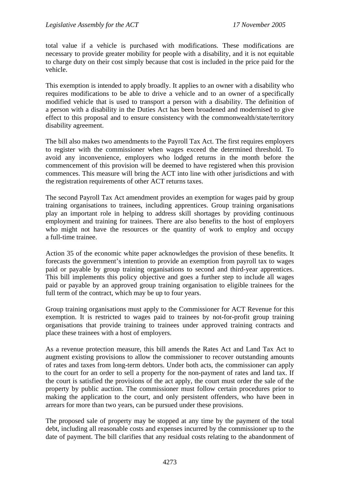total value if a vehicle is purchased with modifications. These modifications are necessary to provide greater mobility for people with a disability, and it is not equitable to charge duty on their cost simply because that cost is included in the price paid for the vehicle.

This exemption is intended to apply broadly. It applies to an owner with a disability who requires modifications to be able to drive a vehicle and to an owner of a specifically modified vehicle that is used to transport a person with a disability. The definition of a person with a disability in the Duties Act has been broadened and modernised to give effect to this proposal and to ensure consistency with the commonwealth/state/territory disability agreement.

The bill also makes two amendments to the Payroll Tax Act. The first requires employers to register with the commissioner when wages exceed the determined threshold. To avoid any inconvenience, employers who lodged returns in the month before the commencement of this provision will be deemed to have registered when this provision commences. This measure will bring the ACT into line with other jurisdictions and with the registration requirements of other ACT returns taxes.

The second Payroll Tax Act amendment provides an exemption for wages paid by group training organisations to trainees, including apprentices. Group training organisations play an important role in helping to address skill shortages by providing continuous employment and training for trainees. There are also benefits to the host of employers who might not have the resources or the quantity of work to employ and occupy a full-time trainee.

Action 35 of the economic white paper acknowledges the provision of these benefits. It forecasts the government's intention to provide an exemption from payroll tax to wages paid or payable by group training organisations to second and third-year apprentices. This bill implements this policy objective and goes a further step to include all wages paid or payable by an approved group training organisation to eligible trainees for the full term of the contract, which may be up to four years.

Group training organisations must apply to the Commissioner for ACT Revenue for this exemption. It is restricted to wages paid to trainees by not-for-profit group training organisations that provide training to trainees under approved training contracts and place these trainees with a host of employers.

As a revenue protection measure, this bill amends the Rates Act and Land Tax Act to augment existing provisions to allow the commissioner to recover outstanding amounts of rates and taxes from long-term debtors. Under both acts, the commissioner can apply to the court for an order to sell a property for the non-payment of rates and land tax. If the court is satisfied the provisions of the act apply, the court must order the sale of the property by public auction. The commissioner must follow certain procedures prior to making the application to the court, and only persistent offenders, who have been in arrears for more than two years, can be pursued under these provisions.

The proposed sale of property may be stopped at any time by the payment of the total debt, including all reasonable costs and expenses incurred by the commissioner up to the date of payment. The bill clarifies that any residual costs relating to the abandonment of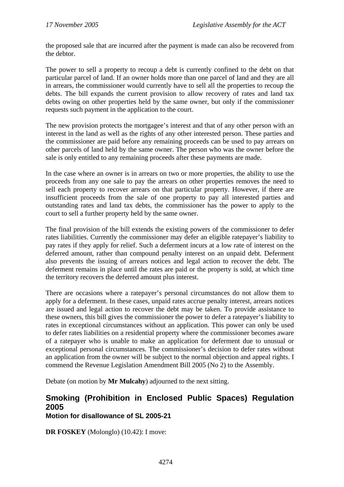<span id="page-6-0"></span>the proposed sale that are incurred after the payment is made can also be recovered from the debtor.

The power to sell a property to recoup a debt is currently confined to the debt on that particular parcel of land. If an owner holds more than one parcel of land and they are all in arrears, the commissioner would currently have to sell all the properties to recoup the debts. The bill expands the current provision to allow recovery of rates and land tax debts owing on other properties held by the same owner, but only if the commissioner requests such payment in the application to the court.

The new provision protects the mortgagee's interest and that of any other person with an interest in the land as well as the rights of any other interested person. These parties and the commissioner are paid before any remaining proceeds can be used to pay arrears on other parcels of land held by the same owner. The person who was the owner before the sale is only entitled to any remaining proceeds after these payments are made.

In the case where an owner is in arrears on two or more properties, the ability to use the proceeds from any one sale to pay the arrears on other properties removes the need to sell each property to recover arrears on that particular property. However, if there are insufficient proceeds from the sale of one property to pay all interested parties and outstanding rates and land tax debts, the commissioner has the power to apply to the court to sell a further property held by the same owner.

The final provision of the bill extends the existing powers of the commissioner to defer rates liabilities. Currently the commissioner may defer an eligible ratepayer's liability to pay rates if they apply for relief. Such a deferment incurs at a low rate of interest on the deferred amount, rather than compound penalty interest on an unpaid debt. Deferment also prevents the issuing of arrears notices and legal action to recover the debt. The deferment remains in place until the rates are paid or the property is sold, at which time the territory recovers the deferred amount plus interest.

There are occasions where a ratepayer's personal circumstances do not allow them to apply for a deferment. In these cases, unpaid rates accrue penalty interest, arrears notices are issued and legal action to recover the debt may be taken. To provide assistance to these owners, this bill gives the commissioner the power to defer a ratepayer's liability to rates in exceptional circumstances without an application. This power can only be used to defer rates liabilities on a residential property where the commissioner becomes aware of a ratepayer who is unable to make an application for deferment due to unusual or exceptional personal circumstances. The commissioner's decision to defer rates without an application from the owner will be subject to the normal objection and appeal rights. I commend the Revenue Legislation Amendment Bill 2005 (No 2) to the Assembly.

Debate (on motion by **Mr Mulcahy**) adjourned to the next sitting.

### **Smoking (Prohibition in Enclosed Public Spaces) Regulation 2005 Motion for disallowance of SL 2005-21**

**DR FOSKEY** (Molonglo) (10.42): I move: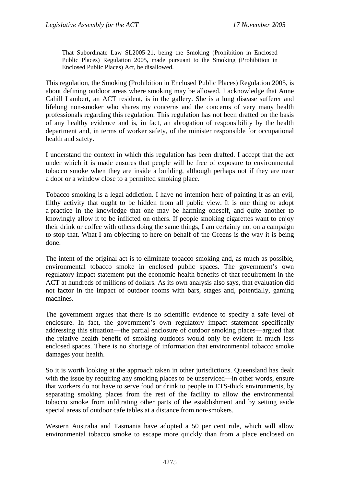That Subordinate Law SL2005-21, being the Smoking (Prohibition in Enclosed Public Places) Regulation 2005, made pursuant to the Smoking (Prohibition in Enclosed Public Places) Act, be disallowed.

This regulation, the Smoking (Prohibition in Enclosed Public Places) Regulation 2005, is about defining outdoor areas where smoking may be allowed. I acknowledge that Anne Cahill Lambert, an ACT resident, is in the gallery. She is a lung disease sufferer and lifelong non-smoker who shares my concerns and the concerns of very many health professionals regarding this regulation. This regulation has not been drafted on the basis of any healthy evidence and is, in fact, an abrogation of responsibility by the health department and, in terms of worker safety, of the minister responsible for occupational health and safety.

I understand the context in which this regulation has been drafted. I accept that the act under which it is made ensures that people will be free of exposure to environmental tobacco smoke when they are inside a building, although perhaps not if they are near a door or a window close to a permitted smoking place.

Tobacco smoking is a legal addiction. I have no intention here of painting it as an evil, filthy activity that ought to be hidden from all public view. It is one thing to adopt a practice in the knowledge that one may be harming oneself, and quite another to knowingly allow it to be inflicted on others. If people smoking cigarettes want to enjoy their drink or coffee with others doing the same things, I am certainly not on a campaign to stop that. What I am objecting to here on behalf of the Greens is the way it is being done.

The intent of the original act is to eliminate tobacco smoking and, as much as possible, environmental tobacco smoke in enclosed public spaces. The government's own regulatory impact statement put the economic health benefits of that requirement in the ACT at hundreds of millions of dollars. As its own analysis also says, that evaluation did not factor in the impact of outdoor rooms with bars, stages and, potentially, gaming machines.

The government argues that there is no scientific evidence to specify a safe level of enclosure. In fact, the government's own regulatory impact statement specifically addressing this situation—the partial enclosure of outdoor smoking places—argued that the relative health benefit of smoking outdoors would only be evident in much less enclosed spaces. There is no shortage of information that environmental tobacco smoke damages your health.

So it is worth looking at the approach taken in other jurisdictions. Queensland has dealt with the issue by requiring any smoking places to be unserviced—in other words, ensure that workers do not have to serve food or drink to people in ETS-thick environments, by separating smoking places from the rest of the facility to allow the environmental tobacco smoke from infiltrating other parts of the establishment and by setting aside special areas of outdoor cafe tables at a distance from non-smokers.

Western Australia and Tasmania have adopted a 50 per cent rule, which will allow environmental tobacco smoke to escape more quickly than from a place enclosed on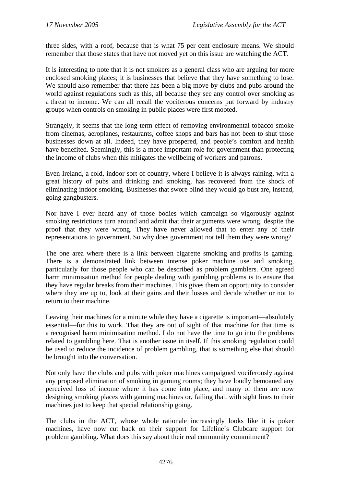three sides, with a roof, because that is what 75 per cent enclosure means. We should remember that those states that have not moved yet on this issue are watching the ACT.

It is interesting to note that it is not smokers as a general class who are arguing for more enclosed smoking places; it is businesses that believe that they have something to lose. We should also remember that there has been a big move by clubs and pubs around the world against regulations such as this, all because they see any control over smoking as a threat to income. We can all recall the vociferous concerns put forward by industry groups when controls on smoking in public places were first mooted.

Strangely, it seems that the long-term effect of removing environmental tobacco smoke from cinemas, aeroplanes, restaurants, coffee shops and bars has not been to shut those businesses down at all. Indeed, they have prospered, and people's comfort and health have benefited. Seemingly, this is a more important role for government than protecting the income of clubs when this mitigates the wellbeing of workers and patrons.

Even Ireland, a cold, indoor sort of country, where I believe it is always raining, with a great history of pubs and drinking and smoking, has recovered from the shock of eliminating indoor smoking. Businesses that swore blind they would go bust are, instead, going gangbusters.

Nor have I ever heard any of those bodies which campaign so vigorously against smoking restrictions turn around and admit that their arguments were wrong, despite the proof that they were wrong. They have never allowed that to enter any of their representations to government. So why does government not tell them they were wrong?

The one area where there is a link between cigarette smoking and profits is gaming. There is a demonstrated link between intense poker machine use and smoking, particularly for those people who can be described as problem gamblers. One agreed harm minimisation method for people dealing with gambling problems is to ensure that they have regular breaks from their machines. This gives them an opportunity to consider where they are up to, look at their gains and their losses and decide whether or not to return to their machine.

Leaving their machines for a minute while they have a cigarette is important—absolutely essential—for this to work. That they are out of sight of that machine for that time is a recognised harm minimisation method. I do not have the time to go into the problems related to gambling here. That is another issue in itself. If this smoking regulation could be used to reduce the incidence of problem gambling, that is something else that should be brought into the conversation.

Not only have the clubs and pubs with poker machines campaigned vociferously against any proposed elimination of smoking in gaming rooms; they have loudly bemoaned any perceived loss of income where it has come into place, and many of them are now designing smoking places with gaming machines or, failing that, with sight lines to their machines just to keep that special relationship going.

The clubs in the ACT, whose whole rationale increasingly looks like it is poker machines, have now cut back on their support for Lifeline's Clubcare support for problem gambling. What does this say about their real community commitment?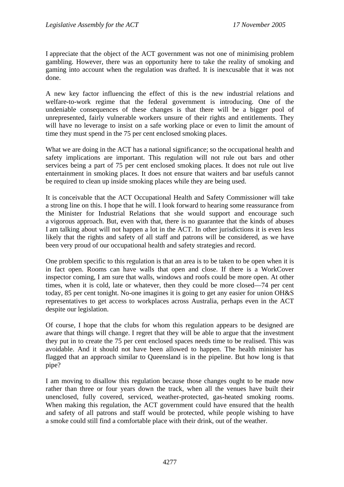I appreciate that the object of the ACT government was not one of minimising problem gambling. However, there was an opportunity here to take the reality of smoking and gaming into account when the regulation was drafted. It is inexcusable that it was not done.

A new key factor influencing the effect of this is the new industrial relations and welfare-to-work regime that the federal government is introducing. One of the undeniable consequences of these changes is that there will be a bigger pool of unrepresented, fairly vulnerable workers unsure of their rights and entitlements. They will have no leverage to insist on a safe working place or even to limit the amount of time they must spend in the 75 per cent enclosed smoking places.

What we are doing in the ACT has a national significance; so the occupational health and safety implications are important. This regulation will not rule out bars and other services being a part of 75 per cent enclosed smoking places. It does not rule out live entertainment in smoking places. It does not ensure that waiters and bar usefuls cannot be required to clean up inside smoking places while they are being used.

It is conceivable that the ACT Occupational Health and Safety Commissioner will take a strong line on this. I hope that he will. I look forward to hearing some reassurance from the Minister for Industrial Relations that she would support and encourage such a vigorous approach. But, even with that, there is no guarantee that the kinds of abuses I am talking about will not happen a lot in the ACT. In other jurisdictions it is even less likely that the rights and safety of all staff and patrons will be considered, as we have been very proud of our occupational health and safety strategies and record.

One problem specific to this regulation is that an area is to be taken to be open when it is in fact open. Rooms can have walls that open and close. If there is a WorkCover inspector coming, I am sure that walls, windows and roofs could be more open. At other times, when it is cold, late or whatever, then they could be more closed—74 per cent today, 85 per cent tonight. No-one imagines it is going to get any easier for union OH&S representatives to get access to workplaces across Australia, perhaps even in the ACT despite our legislation.

Of course, I hope that the clubs for whom this regulation appears to be designed are aware that things will change. I regret that they will be able to argue that the investment they put in to create the 75 per cent enclosed spaces needs time to be realised. This was avoidable. And it should not have been allowed to happen. The health minister has flagged that an approach similar to Queensland is in the pipeline. But how long is that pipe?

I am moving to disallow this regulation because those changes ought to be made now rather than three or four years down the track, when all the venues have built their unenclosed, fully covered, serviced, weather-protected, gas-heated smoking rooms. When making this regulation, the ACT government could have ensured that the health and safety of all patrons and staff would be protected, while people wishing to have a smoke could still find a comfortable place with their drink, out of the weather.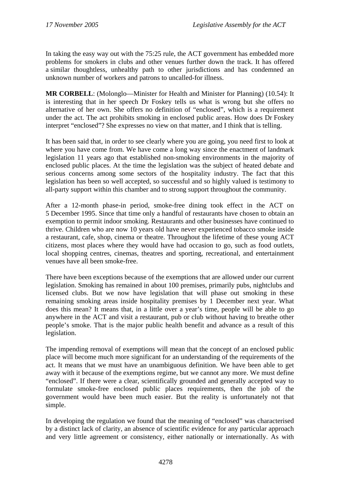In taking the easy way out with the 75:25 rule, the ACT government has embedded more problems for smokers in clubs and other venues further down the track. It has offered a similar thoughtless, unhealthy path to other jurisdictions and has condemned an unknown number of workers and patrons to uncalled-for illness.

**MR CORBELL**: (Molonglo—Minister for Health and Minister for Planning) (10.54): It is interesting that in her speech Dr Foskey tells us what is wrong but she offers no alternative of her own. She offers no definition of "enclosed", which is a requirement under the act. The act prohibits smoking in enclosed public areas. How does Dr Foskey interpret "enclosed"? She expresses no view on that matter, and I think that is telling.

It has been said that, in order to see clearly where you are going, you need first to look at where you have come from. We have come a long way since the enactment of landmark legislation 11 years ago that established non-smoking environments in the majority of enclosed public places. At the time the legislation was the subject of heated debate and serious concerns among some sectors of the hospitality industry. The fact that this legislation has been so well accepted, so successful and so highly valued is testimony to all-party support within this chamber and to strong support throughout the community.

After a 12-month phase-in period, smoke-free dining took effect in the ACT on 5 December 1995. Since that time only a handful of restaurants have chosen to obtain an exemption to permit indoor smoking. Restaurants and other businesses have continued to thrive. Children who are now 10 years old have never experienced tobacco smoke inside a restaurant, cafe, shop, cinema or theatre. Throughout the lifetime of these young ACT citizens, most places where they would have had occasion to go, such as food outlets, local shopping centres, cinemas, theatres and sporting, recreational, and entertainment venues have all been smoke-free.

There have been exceptions because of the exemptions that are allowed under our current legislation. Smoking has remained in about 100 premises, primarily pubs, nightclubs and licensed clubs. But we now have legislation that will phase out smoking in these remaining smoking areas inside hospitality premises by 1 December next year. What does this mean? It means that, in a little over a year's time, people will be able to go anywhere in the ACT and visit a restaurant, pub or club without having to breathe other people's smoke. That is the major public health benefit and advance as a result of this legislation.

The impending removal of exemptions will mean that the concept of an enclosed public place will become much more significant for an understanding of the requirements of the act. It means that we must have an unambiguous definition. We have been able to get away with it because of the exemptions regime, but we cannot any more. We must define "enclosed". If there were a clear, scientifically grounded and generally accepted way to formulate smoke-free enclosed public places requirements, then the job of the government would have been much easier. But the reality is unfortunately not that simple.

In developing the regulation we found that the meaning of "enclosed" was characterised by a distinct lack of clarity, an absence of scientific evidence for any particular approach and very little agreement or consistency, either nationally or internationally. As with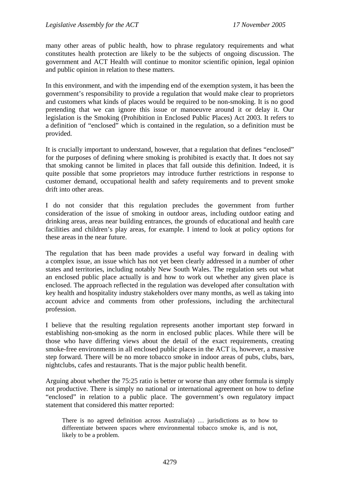many other areas of public health, how to phrase regulatory requirements and what constitutes health protection are likely to be the subjects of ongoing discussion. The government and ACT Health will continue to monitor scientific opinion, legal opinion and public opinion in relation to these matters.

In this environment, and with the impending end of the exemption system, it has been the government's responsibility to provide a regulation that would make clear to proprietors and customers what kinds of places would be required to be non-smoking. It is no good pretending that we can ignore this issue or manoeuvre around it or delay it. Our legislation is the Smoking (Prohibition in Enclosed Public Places) Act 2003. It refers to a definition of "enclosed" which is contained in the regulation, so a definition must be provided.

It is crucially important to understand, however, that a regulation that defines "enclosed" for the purposes of defining where smoking is prohibited is exactly that. It does not say that smoking cannot be limited in places that fall outside this definition. Indeed, it is quite possible that some proprietors may introduce further restrictions in response to customer demand, occupational health and safety requirements and to prevent smoke drift into other areas.

I do not consider that this regulation precludes the government from further consideration of the issue of smoking in outdoor areas, including outdoor eating and drinking areas, areas near building entrances, the grounds of educational and health care facilities and children's play areas, for example. I intend to look at policy options for these areas in the near future.

The regulation that has been made provides a useful way forward in dealing with a complex issue, an issue which has not yet been clearly addressed in a number of other states and territories, including notably New South Wales. The regulation sets out what an enclosed public place actually is and how to work out whether any given place is enclosed. The approach reflected in the regulation was developed after consultation with key health and hospitality industry stakeholders over many months, as well as taking into account advice and comments from other professions, including the architectural profession.

I believe that the resulting regulation represents another important step forward in establishing non-smoking as the norm in enclosed public places. While there will be those who have differing views about the detail of the exact requirements, creating smoke-free environments in all enclosed public places in the ACT is, however, a massive step forward. There will be no more tobacco smoke in indoor areas of pubs, clubs, bars, nightclubs, cafes and restaurants. That is the major public health benefit.

Arguing about whether the 75:25 ratio is better or worse than any other formula is simply not productive. There is simply no national or international agreement on how to define "enclosed" in relation to a public place. The government's own regulatory impact statement that considered this matter reported:

There is no agreed definition across Australia(n) … jurisdictions as to how to differentiate between spaces where environmental tobacco smoke is, and is not, likely to be a problem.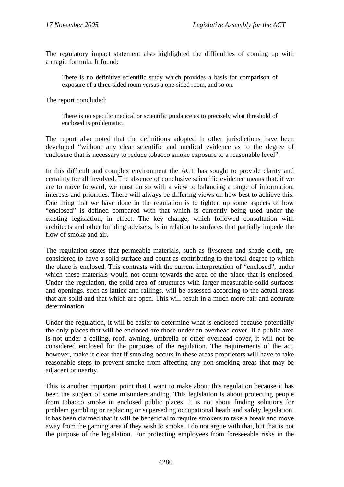The regulatory impact statement also highlighted the difficulties of coming up with a magic formula. It found:

There is no definitive scientific study which provides a basis for comparison of exposure of a three-sided room versus a one-sided room, and so on.

The report concluded:

There is no specific medical or scientific guidance as to precisely what threshold of enclosed is problematic.

The report also noted that the definitions adopted in other jurisdictions have been developed "without any clear scientific and medical evidence as to the degree of enclosure that is necessary to reduce tobacco smoke exposure to a reasonable level".

In this difficult and complex environment the ACT has sought to provide clarity and certainty for all involved. The absence of conclusive scientific evidence means that, if we are to move forward, we must do so with a view to balancing a range of information, interests and priorities. There will always be differing views on how best to achieve this. One thing that we have done in the regulation is to tighten up some aspects of how "enclosed" is defined compared with that which is currently being used under the existing legislation, in effect. The key change, which followed consultation with architects and other building advisers, is in relation to surfaces that partially impede the flow of smoke and air.

The regulation states that permeable materials, such as flyscreen and shade cloth, are considered to have a solid surface and count as contributing to the total degree to which the place is enclosed. This contrasts with the current interpretation of "enclosed", under which these materials would not count towards the area of the place that is enclosed. Under the regulation, the solid area of structures with larger measurable solid surfaces and openings, such as lattice and railings, will be assessed according to the actual areas that are solid and that which are open. This will result in a much more fair and accurate determination.

Under the regulation, it will be easier to determine what is enclosed because potentially the only places that will be enclosed are those under an overhead cover. If a public area is not under a ceiling, roof, awning, umbrella or other overhead cover, it will not be considered enclosed for the purposes of the regulation. The requirements of the act, however, make it clear that if smoking occurs in these areas proprietors will have to take reasonable steps to prevent smoke from affecting any non-smoking areas that may be adjacent or nearby.

This is another important point that I want to make about this regulation because it has been the subject of some misunderstanding. This legislation is about protecting people from tobacco smoke in enclosed public places. It is not about finding solutions for problem gambling or replacing or superseding occupational heath and safety legislation. It has been claimed that it will be beneficial to require smokers to take a break and move away from the gaming area if they wish to smoke. I do not argue with that, but that is not the purpose of the legislation. For protecting employees from foreseeable risks in the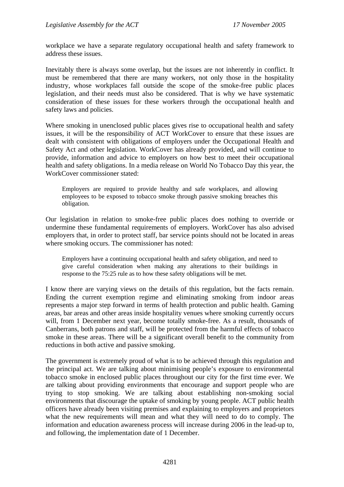workplace we have a separate regulatory occupational health and safety framework to address these issues.

Inevitably there is always some overlap, but the issues are not inherently in conflict. It must be remembered that there are many workers, not only those in the hospitality industry, whose workplaces fall outside the scope of the smoke-free public places legislation, and their needs must also be considered. That is why we have systematic consideration of these issues for these workers through the occupational health and safety laws and policies.

Where smoking in unenclosed public places gives rise to occupational health and safety issues, it will be the responsibility of ACT WorkCover to ensure that these issues are dealt with consistent with obligations of employers under the Occupational Health and Safety Act and other legislation. WorkCover has already provided, and will continue to provide, information and advice to employers on how best to meet their occupational health and safety obligations. In a media release on World No Tobacco Day this year, the WorkCover commissioner stated:

Employers are required to provide healthy and safe workplaces, and allowing employees to be exposed to tobacco smoke through passive smoking breaches this obligation.

Our legislation in relation to smoke-free public places does nothing to override or undermine these fundamental requirements of employers. WorkCover has also advised employers that, in order to protect staff, bar service points should not be located in areas where smoking occurs. The commissioner has noted:

Employers have a continuing occupational health and safety obligation, and need to give careful consideration when making any alterations to their buildings in response to the 75:25 rule as to how these safety obligations will be met.

I know there are varying views on the details of this regulation, but the facts remain. Ending the current exemption regime and eliminating smoking from indoor areas represents a major step forward in terms of health protection and public health. Gaming areas, bar areas and other areas inside hospitality venues where smoking currently occurs will, from 1 December next year, become totally smoke-free. As a result, thousands of Canberrans, both patrons and staff, will be protected from the harmful effects of tobacco smoke in these areas. There will be a significant overall benefit to the community from reductions in both active and passive smoking.

The government is extremely proud of what is to be achieved through this regulation and the principal act. We are talking about minimising people's exposure to environmental tobacco smoke in enclosed public places throughout our city for the first time ever. We are talking about providing environments that encourage and support people who are trying to stop smoking. We are talking about establishing non-smoking social environments that discourage the uptake of smoking by young people. ACT public health officers have already been visiting premises and explaining to employers and proprietors what the new requirements will mean and what they will need to do to comply. The information and education awareness process will increase during 2006 in the lead-up to, and following, the implementation date of 1 December.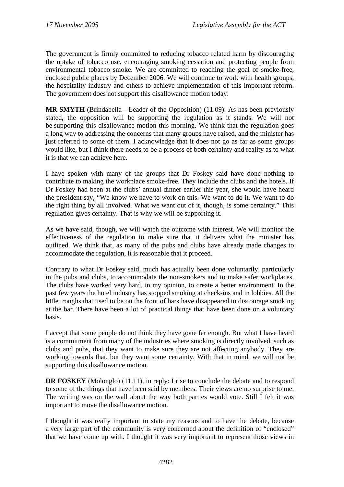The government is firmly committed to reducing tobacco related harm by discouraging the uptake of tobacco use, encouraging smoking cessation and protecting people from environmental tobacco smoke. We are committed to reaching the goal of smoke-free, enclosed public places by December 2006. We will continue to work with health groups, the hospitality industry and others to achieve implementation of this important reform. The government does not support this disallowance motion today.

**MR SMYTH** (Brindabella—Leader of the Opposition) (11.09): As has been previously stated, the opposition will be supporting the regulation as it stands. We will not be supporting this disallowance motion this morning. We think that the regulation goes a long way to addressing the concerns that many groups have raised, and the minister has just referred to some of them. I acknowledge that it does not go as far as some groups would like, but I think there needs to be a process of both certainty and reality as to what it is that we can achieve here.

I have spoken with many of the groups that Dr Foskey said have done nothing to contribute to making the workplace smoke-free. They include the clubs and the hotels. If Dr Foskey had been at the clubs' annual dinner earlier this year, she would have heard the president say, "We know we have to work on this. We want to do it. We want to do the right thing by all involved. What we want out of it, though, is some certainty." This regulation gives certainty. That is why we will be supporting it.

As we have said, though, we will watch the outcome with interest. We will monitor the effectiveness of the regulation to make sure that it delivers what the minister has outlined. We think that, as many of the pubs and clubs have already made changes to accommodate the regulation, it is reasonable that it proceed.

Contrary to what Dr Foskey said, much has actually been done voluntarily, particularly in the pubs and clubs, to accommodate the non-smokers and to make safer workplaces. The clubs have worked very hard, in my opinion, to create a better environment. In the past few years the hotel industry has stopped smoking at check-ins and in lobbies. All the little troughs that used to be on the front of bars have disappeared to discourage smoking at the bar. There have been a lot of practical things that have been done on a voluntary basis.

I accept that some people do not think they have gone far enough. But what I have heard is a commitment from many of the industries where smoking is directly involved, such as clubs and pubs, that they want to make sure they are not affecting anybody. They are working towards that, but they want some certainty. With that in mind, we will not be supporting this disallowance motion.

**DR FOSKEY** (Molonglo) (11.11), in reply: I rise to conclude the debate and to respond to some of the things that have been said by members. Their views are no surprise to me. The writing was on the wall about the way both parties would vote. Still I felt it was important to move the disallowance motion.

I thought it was really important to state my reasons and to have the debate, because a very large part of the community is very concerned about the definition of "enclosed" that we have come up with. I thought it was very important to represent those views in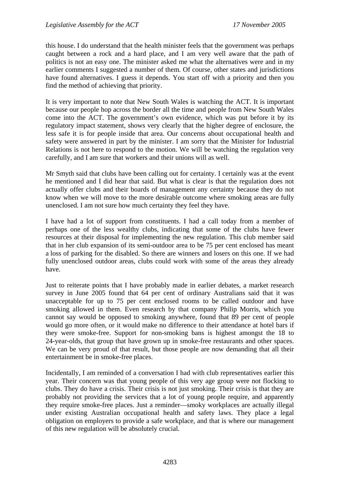this house. I do understand that the health minister feels that the government was perhaps caught between a rock and a hard place, and I am very well aware that the path of politics is not an easy one. The minister asked me what the alternatives were and in my earlier comments I suggested a number of them. Of course, other states and jurisdictions have found alternatives. I guess it depends. You start off with a priority and then you find the method of achieving that priority.

It is very important to note that New South Wales is watching the ACT. It is important because our people hop across the border all the time and people from New South Wales come into the ACT. The government's own evidence, which was put before it by its regulatory impact statement, shows very clearly that the higher degree of enclosure, the less safe it is for people inside that area. Our concerns about occupational health and safety were answered in part by the minister. I am sorry that the Minister for Industrial Relations is not here to respond to the motion. We will be watching the regulation very carefully, and I am sure that workers and their unions will as well.

Mr Smyth said that clubs have been calling out for certainty. I certainly was at the event he mentioned and I did hear that said. But what is clear is that the regulation does not actually offer clubs and their boards of management any certainty because they do not know when we will move to the more desirable outcome where smoking areas are fully unenclosed. I am not sure how much certainty they feel they have.

I have had a lot of support from constituents. I had a call today from a member of perhaps one of the less wealthy clubs, indicating that some of the clubs have fewer resources at their disposal for implementing the new regulation. This club member said that in her club expansion of its semi-outdoor area to be 75 per cent enclosed has meant a loss of parking for the disabled. So there are winners and losers on this one. If we had fully unenclosed outdoor areas, clubs could work with some of the areas they already have.

Just to reiterate points that I have probably made in earlier debates, a market research survey in June 2005 found that 64 per cent of ordinary Australians said that it was unacceptable for up to 75 per cent enclosed rooms to be called outdoor and have smoking allowed in them. Even research by that company Philip Morris, which you cannot say would be opposed to smoking anywhere, found that 89 per cent of people would go more often, or it would make no difference to their attendance at hotel bars if they were smoke-free. Support for non-smoking bans is highest amongst the 18 to 24-year-olds, that group that have grown up in smoke-free restaurants and other spaces. We can be very proud of that result, but those people are now demanding that all their entertainment be in smoke-free places.

Incidentally, I am reminded of a conversation I had with club representatives earlier this year. Their concern was that young people of this very age group were not flocking to clubs. They do have a crisis. Their crisis is not just smoking. Their crisis is that they are probably not providing the services that a lot of young people require, and apparently they require smoke-free places. Just a reminder—smoky workplaces are actually illegal under existing Australian occupational health and safety laws. They place a legal obligation on employers to provide a safe workplace, and that is where our management of this new regulation will be absolutely crucial.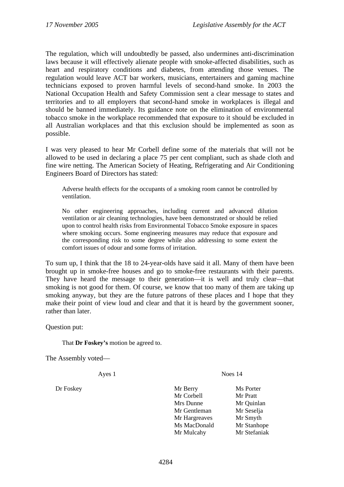The regulation, which will undoubtedly be passed, also undermines anti-discrimination laws because it will effectively alienate people with smoke-affected disabilities, such as heart and respiratory conditions and diabetes, from attending those venues. The regulation would leave ACT bar workers, musicians, entertainers and gaming machine technicians exposed to proven harmful levels of second-hand smoke. In 2003 the National Occupation Health and Safety Commission sent a clear message to states and territories and to all employers that second-hand smoke in workplaces is illegal and should be banned immediately. Its guidance note on the elimination of environmental tobacco smoke in the workplace recommended that exposure to it should be excluded in all Australian workplaces and that this exclusion should be implemented as soon as possible.

I was very pleased to hear Mr Corbell define some of the materials that will not be allowed to be used in declaring a place 75 per cent compliant, such as shade cloth and fine wire netting. The American Society of Heating, Refrigerating and Air Conditioning Engineers Board of Directors has stated:

Adverse health effects for the occupants of a smoking room cannot be controlled by ventilation.

No other engineering approaches, including current and advanced dilution ventilation or air cleaning technologies, have been demonstrated or should be relied upon to control health risks from Environmental Tobacco Smoke exposure in spaces where smoking occurs. Some engineering measures may reduce that exposure and the corresponding risk to some degree while also addressing to some extent the comfort issues of odour and some forms of irritation.

To sum up, I think that the 18 to 24-year-olds have said it all. Many of them have been brought up in smoke-free houses and go to smoke-free restaurants with their parents. They have heard the message to their generation—it is well and truly clear—that smoking is not good for them. Of course, we know that too many of them are taking up smoking anyway, but they are the future patrons of these places and I hope that they make their point of view loud and clear and that it is heard by the government sooner, rather than later.

Question put:

That **Dr Foskey's** motion be agreed to.

The Assembly voted—

Ayes 1 Noes 14

Dr Foskey Mr Berry Ms Porter Mr Corbell Mr Pratt Mrs Dunne Mr Quinlan Mr Gentleman Mr Seselia Mr Hargreaves Mr Smyth Ms MacDonald Mr Stanhope Mr Mulcahy Mr Stefaniak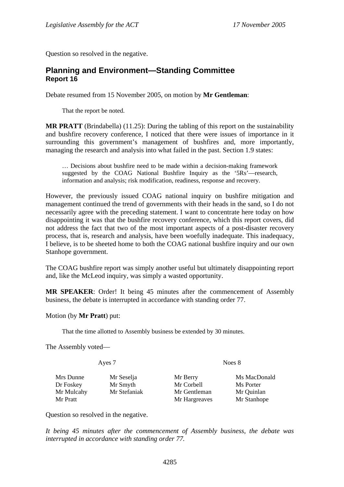<span id="page-17-0"></span>Question so resolved in the negative.

## **Planning and Environment—Standing Committee Report 16**

Debate resumed from 15 November 2005, on motion by **Mr Gentleman**:

That the report be noted.

**MR PRATT** (Brindabella) (11.25): During the tabling of this report on the sustainability and bushfire recovery conference, I noticed that there were issues of importance in it surrounding this government's management of bushfires and, more importantly, managing the research and analysis into what failed in the past. Section 1.9 states:

… Decisions about bushfire need to be made within a decision-making framework suggested by the COAG National Bushfire Inquiry as the '5Rs'—research, information and analysis; risk modification, readiness, response and recovery.

However, the previously issued COAG national inquiry on bushfire mitigation and management continued the trend of governments with their heads in the sand, so I do not necessarily agree with the preceding statement. I want to concentrate here today on how disappointing it was that the bushfire recovery conference, which this report covers, did not address the fact that two of the most important aspects of a post-disaster recovery process, that is, research and analysis, have been woefully inadequate. This inadequacy, I believe, is to be sheeted home to both the COAG national bushfire inquiry and our own Stanhope government.

The COAG bushfire report was simply another useful but ultimately disappointing report and, like the McLeod inquiry, was simply a wasted opportunity.

**MR SPEAKER**: Order! It being 45 minutes after the commencement of Assembly business, the debate is interrupted in accordance with standing order 77.

Motion (by **Mr Pratt**) put:

That the time allotted to Assembly business be extended by 30 minutes.

The Assembly voted—

| Ayes 7     |              | Noes 8        |              |  |
|------------|--------------|---------------|--------------|--|
| Mrs Dunne  | Mr Seselja   | Mr Berry      | Ms MacDonald |  |
| Dr Foskey  | Mr Smyth     | Mr Corbell    | Ms Porter    |  |
| Mr Mulcahy | Mr Stefaniak | Mr Gentleman  | Mr Quinlan   |  |
| Mr Pratt   |              | Mr Hargreaves | Mr Stanhope  |  |

Question so resolved in the negative.

*It being 45 minutes after the commencement of Assembly business, the debate was interrupted in accordance with standing order 77.*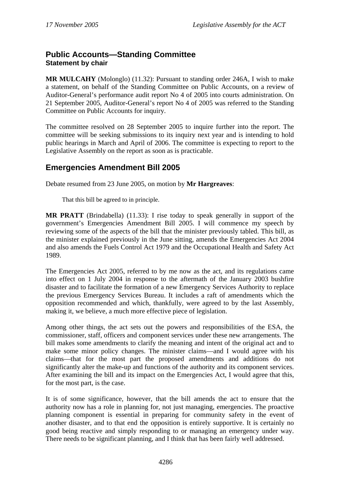# <span id="page-18-0"></span>**Public Accounts—Standing Committee Statement by chair**

**MR MULCAHY** (Molonglo) (11.32): Pursuant to standing order 246A, I wish to make a statement, on behalf of the Standing Committee on Public Accounts, on a review of Auditor-General's performance audit report No 4 of 2005 into courts administration. On 21 September 2005, Auditor-General's report No 4 of 2005 was referred to the Standing Committee on Public Accounts for inquiry.

The committee resolved on 28 September 2005 to inquire further into the report. The committee will be seeking submissions to its inquiry next year and is intending to hold public hearings in March and April of 2006. The committee is expecting to report to the Legislative Assembly on the report as soon as is practicable.

# **Emergencies Amendment Bill 2005**

Debate resumed from 23 June 2005, on motion by **Mr Hargreaves**:

That this bill be agreed to in principle.

**MR PRATT** (Brindabella) (11.33): I rise today to speak generally in support of the government's Emergencies Amendment Bill 2005. I will commence my speech by reviewing some of the aspects of the bill that the minister previously tabled. This bill, as the minister explained previously in the June sitting, amends the Emergencies Act 2004 and also amends the Fuels Control Act 1979 and the Occupational Health and Safety Act 1989.

The Emergencies Act 2005, referred to by me now as the act, and its regulations came into effect on 1 July 2004 in response to the aftermath of the January 2003 bushfire disaster and to facilitate the formation of a new Emergency Services Authority to replace the previous Emergency Services Bureau. It includes a raft of amendments which the opposition recommended and which, thankfully, were agreed to by the last Assembly, making it, we believe, a much more effective piece of legislation.

Among other things, the act sets out the powers and responsibilities of the ESA, the commissioner, staff, officers and component services under these new arrangements. The bill makes some amendments to clarify the meaning and intent of the original act and to make some minor policy changes. The minister claims—and I would agree with his claims—that for the most part the proposed amendments and additions do not significantly alter the make-up and functions of the authority and its component services. After examining the bill and its impact on the Emergencies Act, I would agree that this, for the most part, is the case.

It is of some significance, however, that the bill amends the act to ensure that the authority now has a role in planning for, not just managing, emergencies. The proactive planning component is essential in preparing for community safety in the event of another disaster, and to that end the opposition is entirely supportive. It is certainly no good being reactive and simply responding to or managing an emergency under way. There needs to be significant planning, and I think that has been fairly well addressed.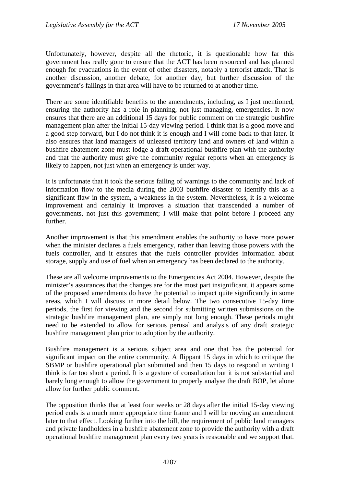Unfortunately, however, despite all the rhetoric, it is questionable how far this government has really gone to ensure that the ACT has been resourced and has planned enough for evacuations in the event of other disasters, notably a terrorist attack. That is another discussion, another debate, for another day, but further discussion of the government's failings in that area will have to be returned to at another time.

There are some identifiable benefits to the amendments, including, as I just mentioned, ensuring the authority has a role in planning, not just managing, emergencies. It now ensures that there are an additional 15 days for public comment on the strategic bushfire management plan after the initial 15-day viewing period. I think that is a good move and a good step forward, but I do not think it is enough and I will come back to that later. It also ensures that land managers of unleased territory land and owners of land within a bushfire abatement zone must lodge a draft operational bushfire plan with the authority and that the authority must give the community regular reports when an emergency is likely to happen, not just when an emergency is under way.

It is unfortunate that it took the serious failing of warnings to the community and lack of information flow to the media during the 2003 bushfire disaster to identify this as a significant flaw in the system, a weakness in the system. Nevertheless, it is a welcome improvement and certainly it improves a situation that transcended a number of governments, not just this government; I will make that point before I proceed any further.

Another improvement is that this amendment enables the authority to have more power when the minister declares a fuels emergency, rather than leaving those powers with the fuels controller, and it ensures that the fuels controller provides information about storage, supply and use of fuel when an emergency has been declared to the authority.

These are all welcome improvements to the Emergencies Act 2004. However, despite the minister's assurances that the changes are for the most part insignificant, it appears some of the proposed amendments do have the potential to impact quite significantly in some areas, which I will discuss in more detail below. The two consecutive 15-day time periods, the first for viewing and the second for submitting written submissions on the strategic bushfire management plan, are simply not long enough. These periods might need to be extended to allow for serious perusal and analysis of any draft strategic bushfire management plan prior to adoption by the authority.

Bushfire management is a serious subject area and one that has the potential for significant impact on the entire community. A flippant 15 days in which to critique the SBMP or bushfire operational plan submitted and then 15 days to respond in writing I think is far too short a period. It is a gesture of consultation but it is not substantial and barely long enough to allow the government to properly analyse the draft BOP, let alone allow for further public comment.

The opposition thinks that at least four weeks or 28 days after the initial 15-day viewing period ends is a much more appropriate time frame and I will be moving an amendment later to that effect. Looking further into the bill, the requirement of public land managers and private landholders in a bushfire abatement zone to provide the authority with a draft operational bushfire management plan every two years is reasonable and we support that.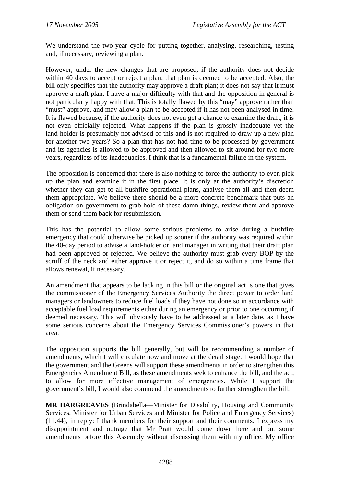We understand the two-year cycle for putting together, analysing, researching, testing and, if necessary, reviewing a plan.

However, under the new changes that are proposed, if the authority does not decide within 40 days to accept or reject a plan, that plan is deemed to be accepted. Also, the bill only specifies that the authority may approve a draft plan; it does not say that it must approve a draft plan. I have a major difficulty with that and the opposition in general is not particularly happy with that. This is totally flawed by this "may" approve rather than "must" approve, and may allow a plan to be accepted if it has not been analysed in time. It is flawed because, if the authority does not even get a chance to examine the draft, it is not even officially rejected. What happens if the plan is grossly inadequate yet the land-holder is presumably not advised of this and is not required to draw up a new plan for another two years? So a plan that has not had time to be processed by government and its agencies is allowed to be approved and then allowed to sit around for two more years, regardless of its inadequacies. I think that is a fundamental failure in the system.

The opposition is concerned that there is also nothing to force the authority to even pick up the plan and examine it in the first place. It is only at the authority's discretion whether they can get to all bushfire operational plans, analyse them all and then deem them appropriate. We believe there should be a more concrete benchmark that puts an obligation on government to grab hold of these damn things, review them and approve them or send them back for resubmission.

This has the potential to allow some serious problems to arise during a bushfire emergency that could otherwise be picked up sooner if the authority was required within the 40-day period to advise a land-holder or land manager in writing that their draft plan had been approved or rejected. We believe the authority must grab every BOP by the scruff of the neck and either approve it or reject it, and do so within a time frame that allows renewal, if necessary.

An amendment that appears to be lacking in this bill or the original act is one that gives the commissioner of the Emergency Services Authority the direct power to order land managers or landowners to reduce fuel loads if they have not done so in accordance with acceptable fuel load requirements either during an emergency or prior to one occurring if deemed necessary. This will obviously have to be addressed at a later date, as I have some serious concerns about the Emergency Services Commissioner's powers in that area.

The opposition supports the bill generally, but will be recommending a number of amendments, which I will circulate now and move at the detail stage. I would hope that the government and the Greens will support these amendments in order to strengthen this Emergencies Amendment Bill, as these amendments seek to enhance the bill, and the act, to allow for more effective management of emergencies. While I support the government's bill, I would also commend the amendments to further strengthen the bill.

**MR HARGREAVES** (Brindabella—Minister for Disability, Housing and Community Services, Minister for Urban Services and Minister for Police and Emergency Services) (11.44), in reply: I thank members for their support and their comments. I express my disappointment and outrage that Mr Pratt would come down here and put some amendments before this Assembly without discussing them with my office. My office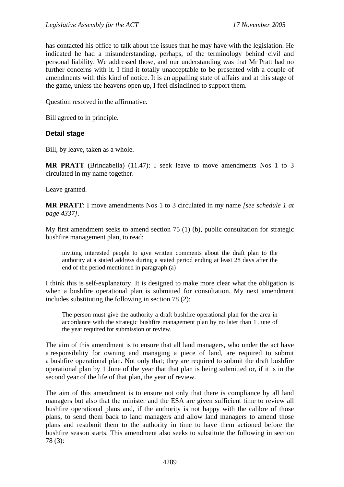has contacted his office to talk about the issues that he may have with the legislation. He indicated he had a misunderstanding, perhaps, of the terminology behind civil and personal liability. We addressed those, and our understanding was that Mr Pratt had no further concerns with it. I find it totally unacceptable to be presented with a couple of amendments with this kind of notice. It is an appalling state of affairs and at this stage of the game, unless the heavens open up, I feel disinclined to support them.

Question resolved in the affirmative.

Bill agreed to in principle.

### **Detail stage**

Bill, by leave, taken as a whole.

**MR PRATT** (Brindabella) (11.47): I seek leave to move amendments Nos 1 to 3 circulated in my name together.

Leave granted.

**MR PRATT**: I move amendments Nos 1 to 3 circulated in my name *[see schedule 1 at page 4337]*.

My first amendment seeks to amend section 75 (1) (b), public consultation for strategic bushfire management plan, to read:

inviting interested people to give written comments about the draft plan to the authority at a stated address during a stated period ending at least 28 days after the end of the period mentioned in paragraph (a)

I think this is self-explanatory. It is designed to make more clear what the obligation is when a bushfire operational plan is submitted for consultation. My next amendment includes substituting the following in section 78 (2):

The person must give the authority a draft bushfire operational plan for the area in accordance with the strategic bushfire management plan by no later than 1 June of the year required for submission or review.

The aim of this amendment is to ensure that all land managers, who under the act have a responsibility for owning and managing a piece of land, are required to submit a bushfire operational plan. Not only that; they are required to submit the draft bushfire operational plan by 1 June of the year that that plan is being submitted or, if it is in the second year of the life of that plan, the year of review.

The aim of this amendment is to ensure not only that there is compliance by all land managers but also that the minister and the ESA are given sufficient time to review all bushfire operational plans and, if the authority is not happy with the calibre of those plans, to send them back to land managers and allow land managers to amend those plans and resubmit them to the authority in time to have them actioned before the bushfire season starts. This amendment also seeks to substitute the following in section 78 (3):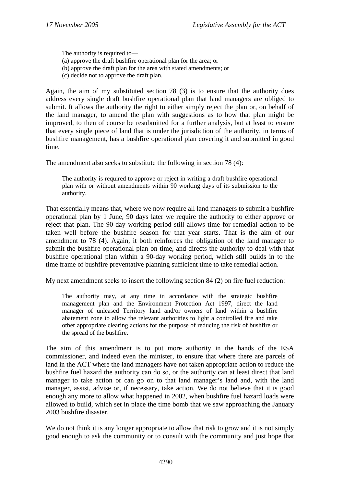The authority is required to— (a) approve the draft bushfire operational plan for the area; or (b) approve the draft plan for the area with stated amendments; or (c) decide not to approve the draft plan.

Again, the aim of my substituted section 78 (3) is to ensure that the authority does address every single draft bushfire operational plan that land managers are obliged to submit. It allows the authority the right to either simply reject the plan or, on behalf of the land manager, to amend the plan with suggestions as to how that plan might be improved, to then of course be resubmitted for a further analysis, but at least to ensure that every single piece of land that is under the jurisdiction of the authority, in terms of bushfire management, has a bushfire operational plan covering it and submitted in good time.

The amendment also seeks to substitute the following in section 78 (4):

The authority is required to approve or reject in writing a draft bushfire operational plan with or without amendments within 90 working days of its submission to the authority.

That essentially means that, where we now require all land managers to submit a bushfire operational plan by 1 June, 90 days later we require the authority to either approve or reject that plan. The 90-day working period still allows time for remedial action to be taken well before the bushfire season for that year starts. That is the aim of our amendment to 78 (4). Again, it both reinforces the obligation of the land manager to submit the bushfire operational plan on time, and directs the authority to deal with that bushfire operational plan within a 90-day working period, which still builds in to the time frame of bushfire preventative planning sufficient time to take remedial action.

My next amendment seeks to insert the following section 84 (2) on fire fuel reduction:

The authority may, at any time in accordance with the strategic bushfire management plan and the Environment Protection Act 1997, direct the land manager of unleased Territory land and/or owners of land within a bushfire abatement zone to allow the relevant authorities to light a controlled fire and take other appropriate clearing actions for the purpose of reducing the risk of bushfire or the spread of the bushfire.

The aim of this amendment is to put more authority in the hands of the ESA commissioner, and indeed even the minister, to ensure that where there are parcels of land in the ACT where the land managers have not taken appropriate action to reduce the bushfire fuel hazard the authority can do so, or the authority can at least direct that land manager to take action or can go on to that land manager's land and, with the land manager, assist, advise or, if necessary, take action. We do not believe that it is good enough any more to allow what happened in 2002, when bushfire fuel hazard loads were allowed to build, which set in place the time bomb that we saw approaching the January 2003 bushfire disaster.

We do not think it is any longer appropriate to allow that risk to grow and it is not simply good enough to ask the community or to consult with the community and just hope that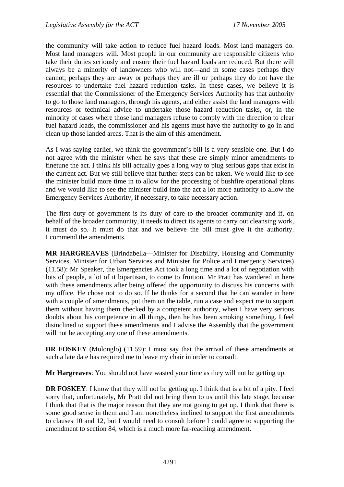the community will take action to reduce fuel hazard loads. Most land managers do. Most land managers will. Most people in our community are responsible citizens who take their duties seriously and ensure their fuel hazard loads are reduced. But there will always be a minority of landowners who will not—and in some cases perhaps they cannot; perhaps they are away or perhaps they are ill or perhaps they do not have the resources to undertake fuel hazard reduction tasks. In these cases, we believe it is essential that the Commissioner of the Emergency Services Authority has that authority to go to those land managers, through his agents, and either assist the land managers with resources or technical advice to undertake those hazard reduction tasks, or, in the minority of cases where those land managers refuse to comply with the direction to clear fuel hazard loads, the commissioner and his agents must have the authority to go in and clean up those landed areas. That is the aim of this amendment.

As I was saying earlier, we think the government's bill is a very sensible one. But I do not agree with the minister when he says that these are simply minor amendments to finetune the act. I think his bill actually goes a long way to plug serious gaps that exist in the current act. But we still believe that further steps can be taken. We would like to see the minister build more time in to allow for the processing of bushfire operational plans and we would like to see the minister build into the act a lot more authority to allow the Emergency Services Authority, if necessary, to take necessary action.

The first duty of government is its duty of care to the broader community and if, on behalf of the broader community, it needs to direct its agents to carry out cleansing work, it must do so. It must do that and we believe the bill must give it the authority. I commend the amendments.

**MR HARGREAVES** (Brindabella—Minister for Disability, Housing and Community Services, Minister for Urban Services and Minister for Police and Emergency Services) (11.58): Mr Speaker, the Emergencies Act took a long time and a lot of negotiation with lots of people, a lot of it bipartisan, to come to fruition. Mr Pratt has wandered in here with these amendments after being offered the opportunity to discuss his concerns with my office. He chose not to do so. If he thinks for a second that he can wander in here with a couple of amendments, put them on the table, run a case and expect me to support them without having them checked by a competent authority, when I have very serious doubts about his competence in all things, then he has been smoking something. I feel disinclined to support these amendments and I advise the Assembly that the government will not be accepting any one of these amendments.

**DR FOSKEY** (Molonglo) (11.59): I must say that the arrival of these amendments at such a late date has required me to leave my chair in order to consult.

**Mr Hargreaves**: You should not have wasted your time as they will not be getting up.

**DR FOSKEY**: I know that they will not be getting up. I think that is a bit of a pity. I feel sorry that, unfortunately, Mr Pratt did not bring them to us until this late stage, because I think that that is the major reason that they are not going to get up. I think that there is some good sense in them and I am nonetheless inclined to support the first amendments to clauses 10 and 12, but I would need to consult before I could agree to supporting the amendment to section 84, which is a much more far-reaching amendment.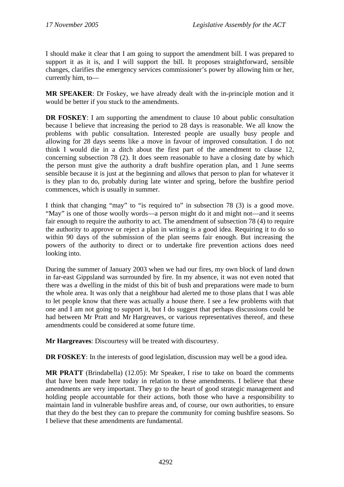I should make it clear that I am going to support the amendment bill. I was prepared to support it as it is, and I will support the bill. It proposes straightforward, sensible changes, clarifies the emergency services commissioner's power by allowing him or her, currently him, to—

**MR SPEAKER**: Dr Foskey, we have already dealt with the in-principle motion and it would be better if you stuck to the amendments.

**DR FOSKEY:** I am supporting the amendment to clause 10 about public consultation because I believe that increasing the period to 28 days is reasonable. We all know the problems with public consultation. Interested people are usually busy people and allowing for 28 days seems like a move in favour of improved consultation. I do not think I would die in a ditch about the first part of the amendment to clause 12, concerning subsection 78 (2). It does seem reasonable to have a closing date by which the person must give the authority a draft bushfire operation plan, and 1 June seems sensible because it is just at the beginning and allows that person to plan for whatever it is they plan to do, probably during late winter and spring, before the bushfire period commences, which is usually in summer.

I think that changing "may" to "is required to" in subsection 78 (3) is a good move. "May" is one of those woolly words—a person might do it and might not—and it seems fair enough to require the authority to act. The amendment of subsection 78 (4) to require the authority to approve or reject a plan in writing is a good idea. Requiring it to do so within 90 days of the submission of the plan seems fair enough. But increasing the powers of the authority to direct or to undertake fire prevention actions does need looking into.

During the summer of January 2003 when we had our fires, my own block of land down in far-east Gippsland was surrounded by fire. In my absence, it was not even noted that there was a dwelling in the midst of this bit of bush and preparations were made to burn the whole area. It was only that a neighbour had alerted me to those plans that I was able to let people know that there was actually a house there. I see a few problems with that one and I am not going to support it, but I do suggest that perhaps discussions could be had between Mr Pratt and Mr Hargreaves, or various representatives thereof, and these amendments could be considered at some future time.

**Mr Hargreaves**: Discourtesy will be treated with discourtesy.

**DR FOSKEY:** In the interests of good legislation, discussion may well be a good idea.

**MR PRATT** (Brindabella) (12.05): Mr Speaker, I rise to take on board the comments that have been made here today in relation to these amendments. I believe that these amendments are very important. They go to the heart of good strategic management and holding people accountable for their actions, both those who have a responsibility to maintain land in vulnerable bushfire areas and, of course, our own authorities, to ensure that they do the best they can to prepare the community for coming bushfire seasons. So I believe that these amendments are fundamental.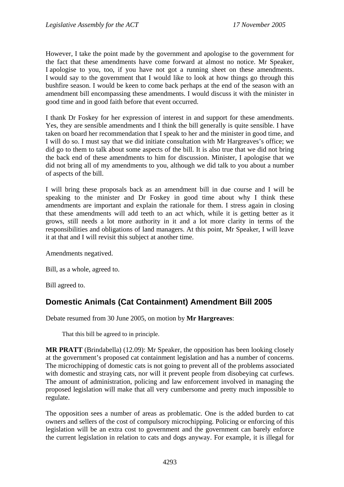<span id="page-25-0"></span>However, I take the point made by the government and apologise to the government for the fact that these amendments have come forward at almost no notice. Mr Speaker, I apologise to you, too, if you have not got a running sheet on these amendments. I would say to the government that I would like to look at how things go through this bushfire season. I would be keen to come back perhaps at the end of the season with an amendment bill encompassing these amendments. I would discuss it with the minister in good time and in good faith before that event occurred.

I thank Dr Foskey for her expression of interest in and support for these amendments. Yes, they are sensible amendments and I think the bill generally is quite sensible. I have taken on board her recommendation that I speak to her and the minister in good time, and I will do so. I must say that we did initiate consultation with Mr Hargreaves's office; we did go to them to talk about some aspects of the bill. It is also true that we did not bring the back end of these amendments to him for discussion. Minister, I apologise that we did not bring all of my amendments to you, although we did talk to you about a number of aspects of the bill.

I will bring these proposals back as an amendment bill in due course and I will be speaking to the minister and Dr Foskey in good time about why I think these amendments are important and explain the rationale for them. I stress again in closing that these amendments will add teeth to an act which, while it is getting better as it grows, still needs a lot more authority in it and a lot more clarity in terms of the responsibilities and obligations of land managers. At this point, Mr Speaker, I will leave it at that and I will revisit this subject at another time.

Amendments negatived.

Bill, as a whole, agreed to.

Bill agreed to.

# **Domestic Animals (Cat Containment) Amendment Bill 2005**

Debate resumed from 30 June 2005, on motion by **Mr Hargreaves**:

That this bill be agreed to in principle.

**MR PRATT** (Brindabella) (12.09): Mr Speaker, the opposition has been looking closely at the government's proposed cat containment legislation and has a number of concerns. The microchipping of domestic cats is not going to prevent all of the problems associated with domestic and straying cats, nor will it prevent people from disobeying cat curfews. The amount of administration, policing and law enforcement involved in managing the proposed legislation will make that all very cumbersome and pretty much impossible to regulate.

The opposition sees a number of areas as problematic. One is the added burden to cat owners and sellers of the cost of compulsory microchipping. Policing or enforcing of this legislation will be an extra cost to government and the government can barely enforce the current legislation in relation to cats and dogs anyway. For example, it is illegal for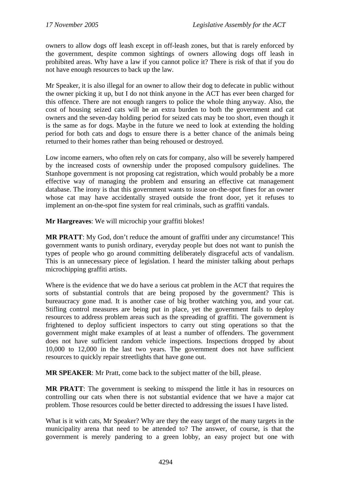owners to allow dogs off leash except in off-leash zones, but that is rarely enforced by the government, despite common sightings of owners allowing dogs off leash in prohibited areas. Why have a law if you cannot police it? There is risk of that if you do not have enough resources to back up the law.

Mr Speaker, it is also illegal for an owner to allow their dog to defecate in public without the owner picking it up, but I do not think anyone in the ACT has ever been charged for this offence. There are not enough rangers to police the whole thing anyway. Also, the cost of housing seized cats will be an extra burden to both the government and cat owners and the seven-day holding period for seized cats may be too short, even though it is the same as for dogs. Maybe in the future we need to look at extending the holding period for both cats and dogs to ensure there is a better chance of the animals being returned to their homes rather than being rehoused or destroyed.

Low income earners, who often rely on cats for company, also will be severely hampered by the increased costs of ownership under the proposed compulsory guidelines. The Stanhope government is not proposing cat registration, which would probably be a more effective way of managing the problem and ensuring an effective cat management database. The irony is that this government wants to issue on-the-spot fines for an owner whose cat may have accidentally strayed outside the front door, yet it refuses to implement an on-the-spot fine system for real criminals, such as graffiti vandals.

**Mr Hargreaves**: We will microchip your graffiti blokes!

**MR PRATT**: My God, don't reduce the amount of graffiti under any circumstance! This government wants to punish ordinary, everyday people but does not want to punish the types of people who go around committing deliberately disgraceful acts of vandalism. This is an unnecessary piece of legislation. I heard the minister talking about perhaps microchipping graffiti artists.

Where is the evidence that we do have a serious cat problem in the ACT that requires the sorts of substantial controls that are being proposed by the government? This is bureaucracy gone mad. It is another case of big brother watching you, and your cat. Stifling control measures are being put in place, yet the government fails to deploy resources to address problem areas such as the spreading of graffiti. The government is frightened to deploy sufficient inspectors to carry out sting operations so that the government might make examples of at least a number of offenders. The government does not have sufficient random vehicle inspections. Inspections dropped by about 10,000 to 12,000 in the last two years. The government does not have sufficient resources to quickly repair streetlights that have gone out.

**MR SPEAKER**: Mr Pratt, come back to the subject matter of the bill, please.

**MR PRATT**: The government is seeking to misspend the little it has in resources on controlling our cats when there is not substantial evidence that we have a major cat problem. Those resources could be better directed to addressing the issues I have listed.

What is it with cats, Mr Speaker? Why are they the easy target of the many targets in the municipality arena that need to be attended to? The answer, of course, is that the government is merely pandering to a green lobby, an easy project but one with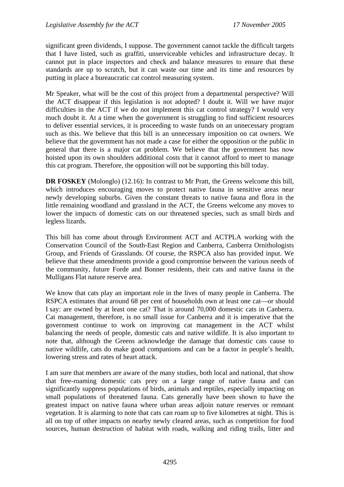significant green dividends, I suppose. The government cannot tackle the difficult targets that I have listed, such as graffiti, unserviceable vehicles and infrastructure decay. It cannot put in place inspectors and check and balance measures to ensure that these standards are up to scratch, but it can waste our time and its time and resources by putting in place a bureaucratic cat control measuring system.

Mr Speaker, what will be the cost of this project from a departmental perspective? Will the ACT disappear if this legislation is not adopted? I doubt it. Will we have major difficulties in the ACT if we do not implement this cat control strategy? I would very much doubt it. At a time when the government is struggling to find sufficient resources to deliver essential services, it is proceeding to waste funds on an unnecessary program such as this. We believe that this bill is an unnecessary imposition on cat owners. We believe that the government has not made a case for either the opposition or the public in general that there is a major cat problem. We believe that the government has now hoisted upon its own shoulders additional costs that it cannot afford to meet to manage this cat program. Therefore, the opposition will not be supporting this bill today.

**DR FOSKEY** (Molonglo) (12.16): In contrast to Mr Pratt, the Greens welcome this bill, which introduces encouraging moves to protect native fauna in sensitive areas near newly developing suburbs. Given the constant threats to native fauna and flora in the little remaining woodland and grassland in the ACT, the Greens welcome any moves to lower the impacts of domestic cats on our threatened species, such as small birds and legless lizards.

This bill has come about through Environment ACT and ACTPLA working with the Conservation Council of the South-East Region and Canberra, Canberra Ornithologists Group, and Friends of Grasslands. Of course, the RSPCA also has provided input. We believe that these amendments provide a good compromise between the various needs of the community, future Forde and Bonner residents, their cats and native fauna in the Mulligans Flat nature reserve area.

We know that cats play an important role in the lives of many people in Canberra. The RSPCA estimates that around 68 per cent of households own at least one cat—or should I say: are owned by at least one cat? That is around 70,000 domestic cats in Canberra. Cat management, therefore, is no small issue for Canberra and it is imperative that the government continue to work on improving cat management in the ACT whilst balancing the needs of people, domestic cats and native wildlife. It is also important to note that, although the Greens acknowledge the damage that domestic cats cause to native wildlife, cats do make good companions and can be a factor in people's health, lowering stress and rates of heart attack.

I am sure that members are aware of the many studies, both local and national, that show that free-roaming domestic cats prey on a large range of native fauna and can significantly suppress populations of birds, animals and reptiles, especially impacting on small populations of threatened fauna. Cats generally have been shown to have the greatest impact on native fauna where urban areas adjoin nature reserves or remnant vegetation. It is alarming to note that cats can roam up to five kilometres at night. This is all on top of other impacts on nearby newly cleared areas, such as competition for food sources, human destruction of habitat with roads, walking and riding trails, litter and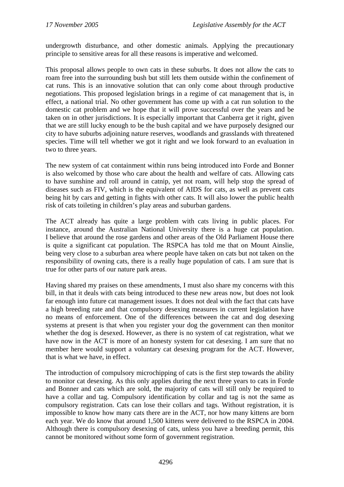undergrowth disturbance, and other domestic animals. Applying the precautionary principle to sensitive areas for all these reasons is imperative and welcomed.

This proposal allows people to own cats in these suburbs. It does not allow the cats to roam free into the surrounding bush but still lets them outside within the confinement of cat runs. This is an innovative solution that can only come about through productive negotiations. This proposed legislation brings in a regime of cat management that is, in effect, a national trial. No other government has come up with a cat run solution to the domestic cat problem and we hope that it will prove successful over the years and be taken on in other jurisdictions. It is especially important that Canberra get it right, given that we are still lucky enough to be the bush capital and we have purposely designed our city to have suburbs adjoining nature reserves, woodlands and grasslands with threatened species. Time will tell whether we got it right and we look forward to an evaluation in two to three years.

The new system of cat containment within runs being introduced into Forde and Bonner is also welcomed by those who care about the health and welfare of cats. Allowing cats to have sunshine and roll around in catnip, yet not roam, will help stop the spread of diseases such as FIV, which is the equivalent of AIDS for cats, as well as prevent cats being hit by cars and getting in fights with other cats. It will also lower the public health risk of cats toileting in children's play areas and suburban gardens.

The ACT already has quite a large problem with cats living in public places. For instance, around the Australian National University there is a huge cat population. I believe that around the rose gardens and other areas of the Old Parliament House there is quite a significant cat population. The RSPCA has told me that on Mount Ainslie, being very close to a suburban area where people have taken on cats but not taken on the responsibility of owning cats, there is a really huge population of cats. I am sure that is true for other parts of our nature park areas.

Having shared my praises on these amendments, I must also share my concerns with this bill, in that it deals with cats being introduced to these new areas now, but does not look far enough into future cat management issues. It does not deal with the fact that cats have a high breeding rate and that compulsory desexing measures in current legislation have no means of enforcement. One of the differences between the cat and dog desexing systems at present is that when you register your dog the government can then monitor whether the dog is desexed. However, as there is no system of cat registration, what we have now in the ACT is more of an honesty system for cat desexing. I am sure that no member here would support a voluntary cat desexing program for the ACT. However, that is what we have, in effect.

The introduction of compulsory microchipping of cats is the first step towards the ability to monitor cat desexing. As this only applies during the next three years to cats in Forde and Bonner and cats which are sold, the majority of cats will still only be required to have a collar and tag. Compulsory identification by collar and tag is not the same as compulsory registration. Cats can lose their collars and tags. Without registration, it is impossible to know how many cats there are in the ACT, nor how many kittens are born each year. We do know that around 1,500 kittens were delivered to the RSPCA in 2004. Although there is compulsory desexing of cats, unless you have a breeding permit, this cannot be monitored without some form of government registration.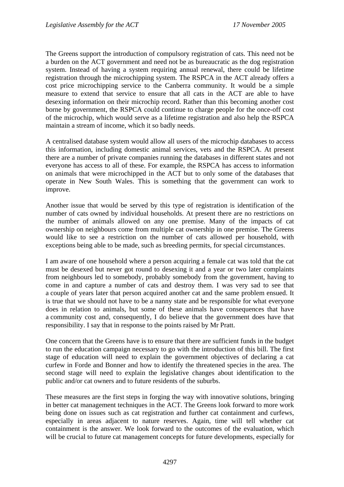The Greens support the introduction of compulsory registration of cats. This need not be a burden on the ACT government and need not be as bureaucratic as the dog registration system. Instead of having a system requiring annual renewal, there could be lifetime registration through the microchipping system. The RSPCA in the ACT already offers a cost price microchipping service to the Canberra community. It would be a simple measure to extend that service to ensure that all cats in the ACT are able to have desexing information on their microchip record. Rather than this becoming another cost borne by government, the RSPCA could continue to charge people for the once-off cost of the microchip, which would serve as a lifetime registration and also help the RSPCA maintain a stream of income, which it so badly needs.

A centralised database system would allow all users of the microchip databases to access this information, including domestic animal services, vets and the RSPCA. At present there are a number of private companies running the databases in different states and not everyone has access to all of these. For example, the RSPCA has access to information on animals that were microchipped in the ACT but to only some of the databases that operate in New South Wales. This is something that the government can work to improve.

Another issue that would be served by this type of registration is identification of the number of cats owned by individual households. At present there are no restrictions on the number of animals allowed on any one premise. Many of the impacts of cat ownership on neighbours come from multiple cat ownership in one premise. The Greens would like to see a restriction on the number of cats allowed per household, with exceptions being able to be made, such as breeding permits, for special circumstances.

I am aware of one household where a person acquiring a female cat was told that the cat must be desexed but never got round to desexing it and a year or two later complaints from neighbours led to somebody, probably somebody from the government, having to come in and capture a number of cats and destroy them. I was very sad to see that a couple of years later that person acquired another cat and the same problem ensued. It is true that we should not have to be a nanny state and be responsible for what everyone does in relation to animals, but some of these animals have consequences that have a community cost and, consequently, I do believe that the government does have that responsibility. I say that in response to the points raised by Mr Pratt.

One concern that the Greens have is to ensure that there are sufficient funds in the budget to run the education campaign necessary to go with the introduction of this bill. The first stage of education will need to explain the government objectives of declaring a cat curfew in Forde and Bonner and how to identify the threatened species in the area. The second stage will need to explain the legislative changes about identification to the public and/or cat owners and to future residents of the suburbs.

These measures are the first steps in forging the way with innovative solutions, bringing in better cat management techniques in the ACT. The Greens look forward to more work being done on issues such as cat registration and further cat containment and curfews, especially in areas adjacent to nature reserves. Again, time will tell whether cat containment is the answer. We look forward to the outcomes of the evaluation, which will be crucial to future cat management concepts for future developments, especially for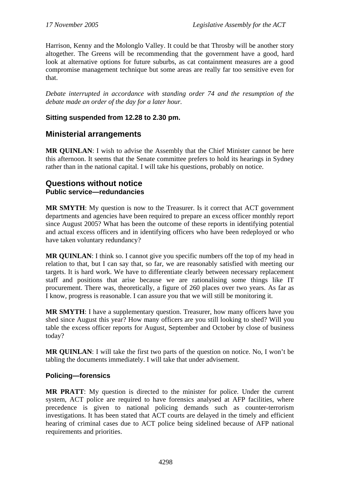<span id="page-30-0"></span>Harrison, Kenny and the Molonglo Valley. It could be that Throsby will be another story altogether. The Greens will be recommending that the government have a good, hard look at alternative options for future suburbs, as cat containment measures are a good compromise management technique but some areas are really far too sensitive even for that.

*Debate interrupted in accordance with standing order 74 and the resumption of the debate made an order of the day for a later hour.* 

## **Sitting suspended from 12.28 to 2.30 pm.**

## **Ministerial arrangements**

**MR QUINLAN**: I wish to advise the Assembly that the Chief Minister cannot be here this afternoon. It seems that the Senate committee prefers to hold its hearings in Sydney rather than in the national capital. I will take his questions, probably on notice.

## **Questions without notice Public service—redundancies**

**MR SMYTH**: My question is now to the Treasurer. Is it correct that ACT government departments and agencies have been required to prepare an excess officer monthly report since August 2005? What has been the outcome of these reports in identifying potential and actual excess officers and in identifying officers who have been redeployed or who have taken voluntary redundancy?

**MR QUINLAN:** I think so. I cannot give you specific numbers off the top of my head in relation to that, but I can say that, so far, we are reasonably satisfied with meeting our targets. It is hard work. We have to differentiate clearly between necessary replacement staff and positions that arise because we are rationalising some things like IT procurement. There was, theoretically, a figure of 260 places over two years. As far as I know, progress is reasonable. I can assure you that we will still be monitoring it.

**MR SMYTH**: I have a supplementary question. Treasurer, how many officers have you shed since August this year? How many officers are you still looking to shed? Will you table the excess officer reports for August, September and October by close of business today?

**MR QUINLAN**: I will take the first two parts of the question on notice. No, I won't be tabling the documents immediately. I will take that under advisement.

### **Policing—forensics**

**MR PRATT**: My question is directed to the minister for police. Under the current system, ACT police are required to have forensics analysed at AFP facilities, where precedence is given to national policing demands such as counter-terrorism investigations. It has been stated that ACT courts are delayed in the timely and efficient hearing of criminal cases due to ACT police being sidelined because of AFP national requirements and priorities.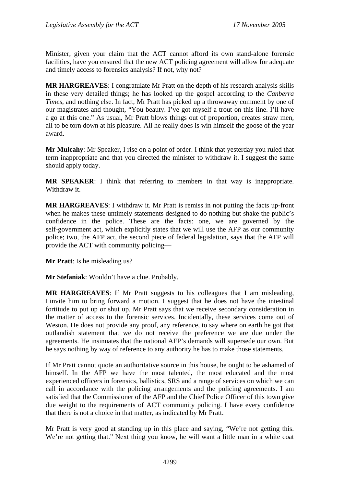Minister, given your claim that the ACT cannot afford its own stand-alone forensic facilities, have you ensured that the new ACT policing agreement will allow for adequate and timely access to forensics analysis? If not, why not?

**MR HARGREAVES**: I congratulate Mr Pratt on the depth of his research analysis skills in these very detailed things; he has looked up the gospel according to the *Canberra Times*, and nothing else. In fact, Mr Pratt has picked up a throwaway comment by one of our magistrates and thought, "You beauty. I've got myself a trout on this line. I'll have a go at this one." As usual, Mr Pratt blows things out of proportion, creates straw men, all to be torn down at his pleasure. All he really does is win himself the goose of the year award.

**Mr Mulcahy**: Mr Speaker, I rise on a point of order. I think that yesterday you ruled that term inappropriate and that you directed the minister to withdraw it. I suggest the same should apply today.

**MR SPEAKER**: I think that referring to members in that way is inappropriate. Withdraw it.

**MR HARGREAVES**: I withdraw it. Mr Pratt is remiss in not putting the facts up-front when he makes these untimely statements designed to do nothing but shake the public's confidence in the police. These are the facts: one, we are governed by the self-government act, which explicitly states that we will use the AFP as our community police; two, the AFP act, the second piece of federal legislation, says that the AFP will provide the ACT with community policing—

**Mr Pratt**: Is he misleading us?

**Mr Stefaniak**: Wouldn't have a clue. Probably.

**MR HARGREAVES**: If Mr Pratt suggests to his colleagues that I am misleading, I invite him to bring forward a motion. I suggest that he does not have the intestinal fortitude to put up or shut up. Mr Pratt says that we receive secondary consideration in the matter of access to the forensic services. Incidentally, these services come out of Weston. He does not provide any proof, any reference, to say where on earth he got that outlandish statement that we do not receive the preference we are due under the agreements. He insinuates that the national AFP's demands will supersede our own. But he says nothing by way of reference to any authority he has to make those statements.

If Mr Pratt cannot quote an authoritative source in this house, he ought to be ashamed of himself. In the AFP we have the most talented, the most educated and the most experienced officers in forensics, ballistics, SRS and a range of services on which we can call in accordance with the policing arrangements and the policing agreements. I am satisfied that the Commissioner of the AFP and the Chief Police Officer of this town give due weight to the requirements of ACT community policing. I have every confidence that there is not a choice in that matter, as indicated by Mr Pratt.

Mr Pratt is very good at standing up in this place and saying, "We're not getting this. We're not getting that." Next thing you know, he will want a little man in a white coat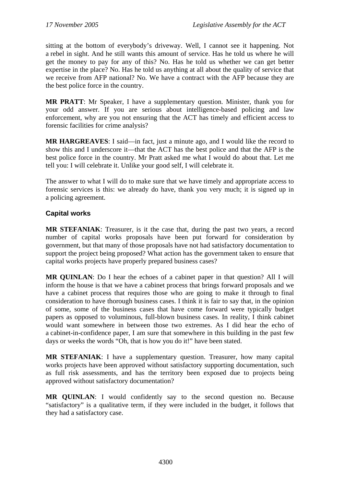<span id="page-32-0"></span>sitting at the bottom of everybody's driveway. Well, I cannot see it happening. Not a rebel in sight. And he still wants this amount of service. Has he told us where he will get the money to pay for any of this? No. Has he told us whether we can get better expertise in the place? No. Has he told us anything at all about the quality of service that we receive from AFP national? No. We have a contract with the AFP because they are the best police force in the country.

**MR PRATT**: Mr Speaker, I have a supplementary question. Minister, thank you for your odd answer. If you are serious about intelligence-based policing and law enforcement, why are you not ensuring that the ACT has timely and efficient access to forensic facilities for crime analysis?

**MR HARGREAVES**: I said—in fact, just a minute ago, and I would like the record to show this and I underscore it—that the ACT has the best police and that the AFP is the best police force in the country. Mr Pratt asked me what I would do about that. Let me tell you: I will celebrate it. Unlike your good self, I will celebrate it.

The answer to what I will do to make sure that we have timely and appropriate access to forensic services is this: we already do have, thank you very much; it is signed up in a policing agreement.

### **Capital works**

**MR STEFANIAK**: Treasurer, is it the case that, during the past two years, a record number of capital works proposals have been put forward for consideration by government, but that many of those proposals have not had satisfactory documentation to support the project being proposed? What action has the government taken to ensure that capital works projects have properly prepared business cases?

**MR QUINLAN**: Do I hear the echoes of a cabinet paper in that question? All I will inform the house is that we have a cabinet process that brings forward proposals and we have a cabinet process that requires those who are going to make it through to final consideration to have thorough business cases. I think it is fair to say that, in the opinion of some, some of the business cases that have come forward were typically budget papers as opposed to voluminous, full-blown business cases. In reality, I think cabinet would want somewhere in between those two extremes. As I did hear the echo of a cabinet-in-confidence paper, I am sure that somewhere in this building in the past few days or weeks the words "Oh, that is how you do it!" have been stated.

**MR STEFANIAK**: I have a supplementary question. Treasurer, how many capital works projects have been approved without satisfactory supporting documentation, such as full risk assessments, and has the territory been exposed due to projects being approved without satisfactory documentation?

**MR QUINLAN**: I would confidently say to the second question no. Because "satisfactory" is a qualitative term, if they were included in the budget, it follows that they had a satisfactory case.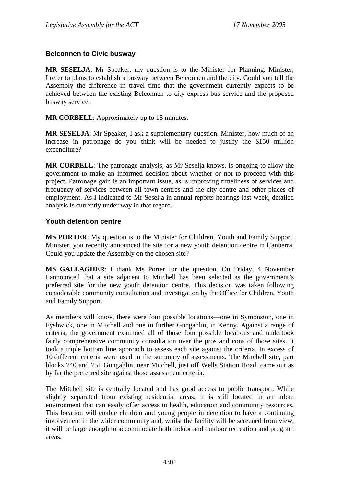### <span id="page-33-0"></span>**Belconnen to Civic busway**

**MR SESELJA**: Mr Speaker, my question is to the Minister for Planning. Minister, I refer to plans to establish a busway between Belconnen and the city. Could you tell the Assembly the difference in travel time that the government currently expects to be achieved between the existing Belconnen to city express bus service and the proposed busway service.

**MR CORBELL**: Approximately up to 15 minutes.

**MR SESELJA**: Mr Speaker, I ask a supplementary question. Minister, how much of an increase in patronage do you think will be needed to justify the \$150 million expenditure?

**MR CORBELL**: The patronage analysis, as Mr Seselja knows, is ongoing to allow the government to make an informed decision about whether or not to proceed with this project. Patronage gain is an important issue, as is improving timeliness of services and frequency of services between all town centres and the city centre and other places of employment. As I indicated to Mr Seselja in annual reports hearings last week, detailed analysis is currently under way in that regard.

#### **Youth detention centre**

**MS PORTER**: My question is to the Minister for Children, Youth and Family Support. Minister, you recently announced the site for a new youth detention centre in Canberra. Could you update the Assembly on the chosen site?

**MS GALLAGHER**: I thank Ms Porter for the question. On Friday, 4 November I announced that a site adjacent to Mitchell has been selected as the government's preferred site for the new youth detention centre. This decision was taken following considerable community consultation and investigation by the Office for Children, Youth and Family Support.

As members will know, there were four possible locations—one in Symonston, one in Fyshwick, one in Mitchell and one in further Gungahlin, in Kenny. Against a range of criteria, the government examined all of those four possible locations and undertook fairly comprehensive community consultation over the pros and cons of those sites. It took a triple bottom line approach to assess each site against the criteria. In excess of 10 different criteria were used in the summary of assessments. The Mitchell site, part blocks 740 and 751 Gungahlin, near Mitchell, just off Wells Station Road, came out as by far the preferred site against those assessment criteria.

The Mitchell site is centrally located and has good access to public transport. While slightly separated from existing residential areas, it is still located in an urban environment that can easily offer access to health, education and community resources. This location will enable children and young people in detention to have a continuing involvement in the wider community and, whilst the facility will be screened from view, it will be large enough to accommodate both indoor and outdoor recreation and program areas.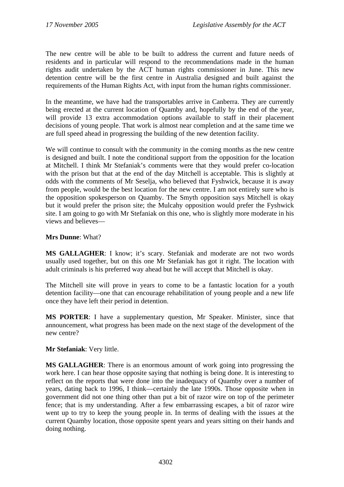The new centre will be able to be built to address the current and future needs of residents and in particular will respond to the recommendations made in the human rights audit undertaken by the ACT human rights commissioner in June. This new detention centre will be the first centre in Australia designed and built against the requirements of the Human Rights Act, with input from the human rights commissioner.

In the meantime, we have had the transportables arrive in Canberra. They are currently being erected at the current location of Quamby and, hopefully by the end of the year, will provide 13 extra accommodation options available to staff in their placement decisions of young people. That work is almost near completion and at the same time we are full speed ahead in progressing the building of the new detention facility.

We will continue to consult with the community in the coming months as the new centre is designed and built. I note the conditional support from the opposition for the location at Mitchell. I think Mr Stefaniak's comments were that they would prefer co-location with the prison but that at the end of the day Mitchell is acceptable. This is slightly at odds with the comments of Mr Seselja, who believed that Fyshwick, because it is away from people, would be the best location for the new centre. I am not entirely sure who is the opposition spokesperson on Quamby. The Smyth opposition says Mitchell is okay but it would prefer the prison site; the Mulcahy opposition would prefer the Fyshwick site. I am going to go with Mr Stefaniak on this one, who is slightly more moderate in his views and believes—

### **Mrs Dunne**: What?

**MS GALLAGHER**: I know; it's scary. Stefaniak and moderate are not two words usually used together, but on this one Mr Stefaniak has got it right. The location with adult criminals is his preferred way ahead but he will accept that Mitchell is okay.

The Mitchell site will prove in years to come to be a fantastic location for a youth detention facility—one that can encourage rehabilitation of young people and a new life once they have left their period in detention.

**MS PORTER**: I have a supplementary question, Mr Speaker. Minister, since that announcement, what progress has been made on the next stage of the development of the new centre?

### **Mr Stefaniak**: Very little.

**MS GALLAGHER**: There is an enormous amount of work going into progressing the work here. I can hear those opposite saying that nothing is being done. It is interesting to reflect on the reports that were done into the inadequacy of Quamby over a number of years, dating back to 1996, I think—certainly the late 1990s. Those opposite when in government did not one thing other than put a bit of razor wire on top of the perimeter fence; that is my understanding. After a few embarrassing escapes, a bit of razor wire went up to try to keep the young people in. In terms of dealing with the issues at the current Quamby location, those opposite spent years and years sitting on their hands and doing nothing.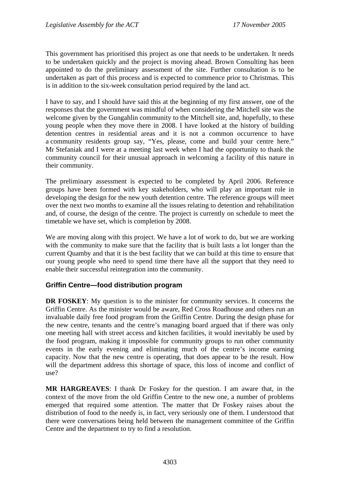<span id="page-35-0"></span>This government has prioritised this project as one that needs to be undertaken. It needs to be undertaken quickly and the project is moving ahead. Brown Consulting has been appointed to do the preliminary assessment of the site. Further consultation is to be undertaken as part of this process and is expected to commence prior to Christmas. This is in addition to the six-week consultation period required by the land act.

I have to say, and I should have said this at the beginning of my first answer, one of the responses that the government was mindful of when considering the Mitchell site was the welcome given by the Gungahlin community to the Mitchell site, and, hopefully, to these young people when they move there in 2008. I have looked at the history of building detention centres in residential areas and it is not a common occurrence to have a community residents group say, "Yes, please, come and build your centre here." Mr Stefaniak and I were at a meeting last week when I had the opportunity to thank the community council for their unusual approach in welcoming a facility of this nature in their community.

The preliminary assessment is expected to be completed by April 2006. Reference groups have been formed with key stakeholders, who will play an important role in developing the design for the new youth detention centre. The reference groups will meet over the next two months to examine all the issues relating to detention and rehabilitation and, of course, the design of the centre. The project is currently on schedule to meet the timetable we have set, which is completion by 2008.

We are moving along with this project. We have a lot of work to do, but we are working with the community to make sure that the facility that is built lasts a lot longer than the current Quamby and that it is the best facility that we can build at this time to ensure that our young people who need to spend time there have all the support that they need to enable their successful reintegration into the community.

### **Griffin Centre—food distribution program**

**DR FOSKEY**: My question is to the minister for community services. It concerns the Griffin Centre. As the minister would be aware, Red Cross Roadhouse and others run an invaluable daily free food program from the Griffin Centre. During the design phase for the new centre, tenants and the centre's managing board argued that if there was only one meeting hall with street access and kitchen facilities, it would inevitably be used by the food program, making it impossible for community groups to run other community events in the early evening and eliminating much of the centre's income earning capacity. Now that the new centre is operating, that does appear to be the result. How will the department address this shortage of space, this loss of income and conflict of use?

**MR HARGREAVES**: I thank Dr Foskey for the question. I am aware that, in the context of the move from the old Griffin Centre to the new one, a number of problems emerged that required some attention. The matter that Dr Foskey raises about the distribution of food to the needy is, in fact, very seriously one of them. I understood that there were conversations being held between the management committee of the Griffin Centre and the department to try to find a resolution.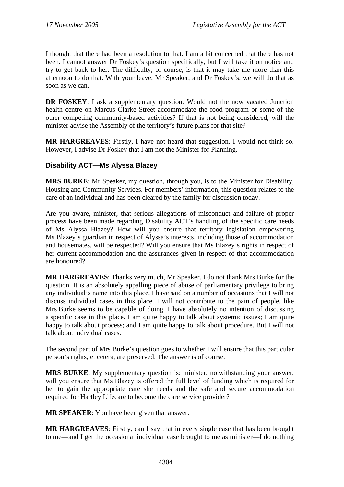I thought that there had been a resolution to that. I am a bit concerned that there has not been. I cannot answer Dr Foskey's question specifically, but I will take it on notice and try to get back to her. The difficulty, of course, is that it may take me more than this afternoon to do that. With your leave, Mr Speaker, and Dr Foskey's, we will do that as soon as we can.

**DR FOSKEY**: I ask a supplementary question. Would not the now vacated Junction health centre on Marcus Clarke Street accommodate the food program or some of the other competing community-based activities? If that is not being considered, will the minister advise the Assembly of the territory's future plans for that site?

**MR HARGREAVES**: Firstly, I have not heard that suggestion. I would not think so. However, I advise Dr Foskey that I am not the Minister for Planning.

# **Disability ACT—Ms Alyssa Blazey**

**MRS BURKE**: Mr Speaker, my question, through you, is to the Minister for Disability, Housing and Community Services. For members' information, this question relates to the care of an individual and has been cleared by the family for discussion today.

Are you aware, minister, that serious allegations of misconduct and failure of proper process have been made regarding Disability ACT's handling of the specific care needs of Ms Alyssa Blazey? How will you ensure that territory legislation empowering Ms Blazey's guardian in respect of Alyssa's interests, including those of accommodation and housemates, will be respected? Will you ensure that Ms Blazey's rights in respect of her current accommodation and the assurances given in respect of that accommodation are honoured?

**MR HARGREAVES**: Thanks very much, Mr Speaker. I do not thank Mrs Burke for the question. It is an absolutely appalling piece of abuse of parliamentary privilege to bring any individual's name into this place. I have said on a number of occasions that I will not discuss individual cases in this place. I will not contribute to the pain of people, like Mrs Burke seems to be capable of doing. I have absolutely no intention of discussing a specific case in this place. I am quite happy to talk about systemic issues; I am quite happy to talk about process; and I am quite happy to talk about procedure. But I will not talk about individual cases.

The second part of Mrs Burke's question goes to whether I will ensure that this particular person's rights, et cetera, are preserved. The answer is of course.

**MRS BURKE**: My supplementary question is: minister, notwithstanding your answer, will you ensure that Ms Blazey is offered the full level of funding which is required for her to gain the appropriate care she needs and the safe and secure accommodation required for Hartley Lifecare to become the care service provider?

**MR SPEAKER**: You have been given that answer.

**MR HARGREAVES**: Firstly, can I say that in every single case that has been brought to me—and I get the occasional individual case brought to me as minister—I do nothing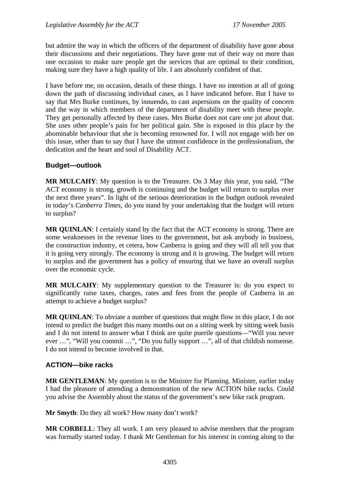but admire the way in which the officers of the department of disability have gone about their discussions and their negotiations. They have gone out of their way on more than one occasion to make sure people get the services that are optimal to their condition, making sure they have a high quality of life. I am absolutely confident of that.

I have before me, on occasion, details of these things. I have no intention at all of going down the path of discussing individual cases, as I have indicated before. But I have to say that Mrs Burke continues, by innuendo, to cast aspersions on the quality of concern and the way in which members of the department of disability meet with these people. They get personally affected by these cases. Mrs Burke does not care one jot about that. She uses other people's pain for her political gain. She is exposed in this place by the abominable behaviour that she is becoming renowned for. I will not engage with her on this issue, other than to say that I have the utmost confidence in the professionalism, the dedication and the heart and soul of Disability ACT.

## **Budget—outlook**

**MR MULCAHY**: My question is to the Treasurer. On 3 May this year, you said, "The ACT economy is strong, growth is continuing and the budget will return to surplus over the next three years". In light of the serious deterioration in the budget outlook revealed in today's *Canberra Times*, do you stand by your undertaking that the budget will return to surplus?

**MR QUINLAN**: I certainly stand by the fact that the ACT economy is strong. There are some weaknesses in the revenue lines to the government, but ask anybody in business, the construction industry, et cetera, how Canberra is going and they will all tell you that it is going very strongly. The economy is strong and it is growing. The budget will return to surplus and the government has a policy of ensuring that we have an overall surplus over the economic cycle.

**MR MULCAHY**: My supplementary question to the Treasurer is: do you expect to significantly raise taxes, charges, rates and fees from the people of Canberra in an attempt to achieve a budget surplus?

**MR QUINLAN**: To obviate a number of questions that might flow in this place, I do not intend to predict the budget this many months out on a sitting week by sitting week basis and I do not intend to answer what I think are quite puerile questions—"Will you never ever …", "Will you commit …", "Do you fully support …", all of that childish nonsense. I do not intend to become involved in that.

## **ACTION—bike racks**

**MR GENTLEMAN**: My question is to the Minister for Planning. Minister, earlier today I had the pleasure of attending a demonstration of the new ACTION bike racks. Could you advise the Assembly about the status of the government's new bike rack program.

**Mr Smyth**: Do they all work? How many don't work?

**MR CORBELL**: They all work. I am very pleased to advise members that the program was formally started today. I thank Mr Gentleman for his interest in coming along to the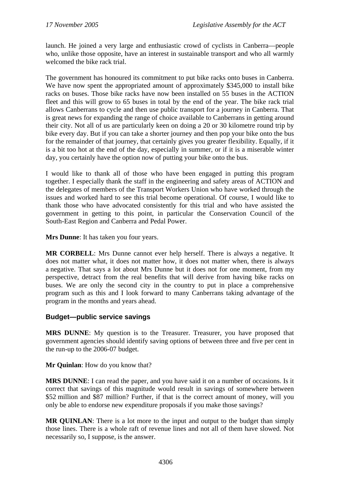launch. He joined a very large and enthusiastic crowd of cyclists in Canberra—people who, unlike those opposite, have an interest in sustainable transport and who all warmly welcomed the bike rack trial.

The government has honoured its commitment to put bike racks onto buses in Canberra. We have now spent the appropriated amount of approximately \$345,000 to install bike racks on buses. Those bike racks have now been installed on 55 buses in the ACTION fleet and this will grow to 65 buses in total by the end of the year. The bike rack trial allows Canberrans to cycle and then use public transport for a journey in Canberra. That is great news for expanding the range of choice available to Canberrans in getting around their city. Not all of us are particularly keen on doing a 20 or 30 kilometre round trip by bike every day. But if you can take a shorter journey and then pop your bike onto the bus for the remainder of that journey, that certainly gives you greater flexibility. Equally, if it is a bit too hot at the end of the day, especially in summer, or if it is a miserable winter day, you certainly have the option now of putting your bike onto the bus.

I would like to thank all of those who have been engaged in putting this program together. I especially thank the staff in the engineering and safety areas of ACTION and the delegates of members of the Transport Workers Union who have worked through the issues and worked hard to see this trial become operational. Of course, I would like to thank those who have advocated consistently for this trial and who have assisted the government in getting to this point, in particular the Conservation Council of the South-East Region and Canberra and Pedal Power.

**Mrs Dunne**: It has taken you four years.

**MR CORBELL**: Mrs Dunne cannot ever help herself. There is always a negative. It does not matter what, it does not matter how, it does not matter when, there is always a negative. That says a lot about Mrs Dunne but it does not for one moment, from my perspective, detract from the real benefits that will derive from having bike racks on buses. We are only the second city in the country to put in place a comprehensive program such as this and I look forward to many Canberrans taking advantage of the program in the months and years ahead.

## **Budget—public service savings**

**MRS DUNNE**: My question is to the Treasurer. Treasurer, you have proposed that government agencies should identify saving options of between three and five per cent in the run-up to the 2006-07 budget.

**Mr Quinlan**: How do you know that?

**MRS DUNNE**: I can read the paper, and you have said it on a number of occasions. Is it correct that savings of this magnitude would result in savings of somewhere between \$52 million and \$87 million? Further, if that is the correct amount of money, will you only be able to endorse new expenditure proposals if you make those savings?

**MR QUINLAN**: There is a lot more to the input and output to the budget than simply those lines. There is a whole raft of revenue lines and not all of them have slowed. Not necessarily so, I suppose, is the answer.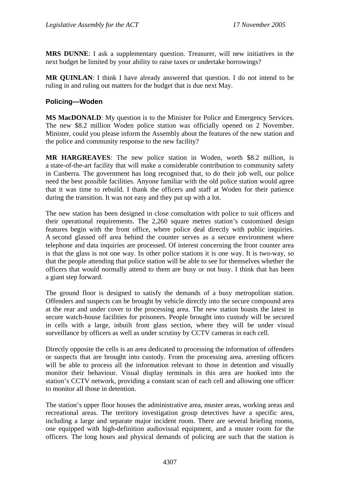**MRS DUNNE**: I ask a supplementary question. Treasurer, will new initiatives in the next budget be limited by your ability to raise taxes or undertake borrowings?

**MR QUINLAN**: I think I have already answered that question. I do not intend to be ruling in and ruling out matters for the budget that is due next May.

### **Policing—Woden**

**MS MacDONALD**: My question is to the Minister for Police and Emergency Services. The new \$8.2 million Woden police station was officially opened on 2 November. Minister, could you please inform the Assembly about the features of the new station and the police and community response to the new facility?

**MR HARGREAVES**: The new police station in Woden, worth \$8.2 million, is a state-of-the-art facility that will make a considerable contribution to community safety in Canberra. The government has long recognised that, to do their job well, our police need the best possible facilities. Anyone familiar with the old police station would agree that it was time to rebuild. I thank the officers and staff at Woden for their patience during the transition. It was not easy and they put up with a lot.

The new station has been designed in close consultation with police to suit officers and their operational requirements. The 2,260 square metres station's customised design features begin with the front office, where police deal directly with public inquiries. A second glassed off area behind the counter serves as a secure environment where telephone and data inquiries are processed. Of interest concerning the front counter area is that the glass is not one way. In other police stations it is one way. It is two-way, so that the people attending that police station will be able to see for themselves whether the officers that would normally attend to them are busy or not busy. I think that has been a giant step forward.

The ground floor is designed to satisfy the demands of a busy metropolitan station. Offenders and suspects can be brought by vehicle directly into the secure compound area at the rear and under cover to the processing area. The new station boasts the latest in secure watch-house facilities for prisoners. People brought into custody will be secured in cells with a large, inbuilt front glass section, where they will be under visual surveillance by officers as well as under scrutiny by CCTV cameras in each cell.

Directly opposite the cells is an area dedicated to processing the information of offenders or suspects that are brought into custody. From the processing area, arresting officers will be able to process all the information relevant to those in detention and visually monitor their behaviour. Visual display terminals in this area are hooked into the station's CCTV network, providing a constant scan of each cell and allowing one officer to monitor all those in detention.

The station's upper floor houses the administrative area, muster areas, working areas and recreational areas. The territory investigation group detectives have a specific area, including a large and separate major incident room. There are several briefing rooms, one equipped with high-definition audiovisual equipment, and a muster room for the officers. The long hours and physical demands of policing are such that the station is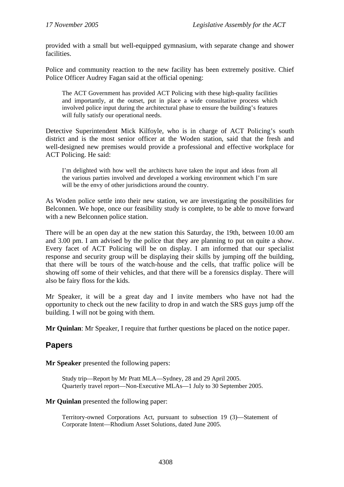provided with a small but well-equipped gymnasium, with separate change and shower facilities.

Police and community reaction to the new facility has been extremely positive. Chief Police Officer Audrey Fagan said at the official opening:

The ACT Government has provided ACT Policing with these high-quality facilities and importantly, at the outset, put in place a wide consultative process which involved police input during the architectural phase to ensure the building's features will fully satisfy our operational needs.

Detective Superintendent Mick Kilfoyle, who is in charge of ACT Policing's south district and is the most senior officer at the Woden station, said that the fresh and well-designed new premises would provide a professional and effective workplace for ACT Policing. He said:

I'm delighted with how well the architects have taken the input and ideas from all the various parties involved and developed a working environment which I'm sure will be the envy of other jurisdictions around the country.

As Woden police settle into their new station, we are investigating the possibilities for Belconnen. We hope, once our feasibility study is complete, to be able to move forward with a new Belconnen police station.

There will be an open day at the new station this Saturday, the 19th, between 10.00 am and 3.00 pm. I am advised by the police that they are planning to put on quite a show. Every facet of ACT Policing will be on display. I am informed that our specialist response and security group will be displaying their skills by jumping off the building, that there will be tours of the watch-house and the cells, that traffic police will be showing off some of their vehicles, and that there will be a forensics display. There will also be fairy floss for the kids.

Mr Speaker, it will be a great day and I invite members who have not had the opportunity to check out the new facility to drop in and watch the SRS guys jump off the building. I will not be going with them.

**Mr Quinlan**: Mr Speaker, I require that further questions be placed on the notice paper.

# **Papers**

**Mr Speaker** presented the following papers:

Study trip—Report by Mr Pratt MLA—Sydney, 28 and 29 April 2005. Quarterly travel report—Non-Executive MLAs—1 July to 30 September 2005.

#### **Mr Quinlan** presented the following paper:

Territory-owned Corporations Act, pursuant to subsection 19 (3)—Statement of Corporate Intent—Rhodium Asset Solutions, dated June 2005.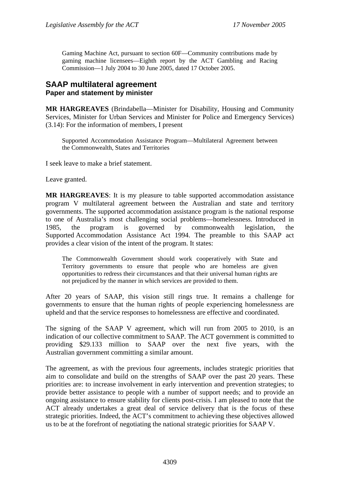Gaming Machine Act, pursuant to section 60F—Community contributions made by gaming machine licensees—Eighth report by the ACT Gambling and Racing Commission—1 July 2004 to 30 June 2005, dated 17 October 2005.

# **SAAP multilateral agreement Paper and statement by minister**

**MR HARGREAVES** (Brindabella—Minister for Disability, Housing and Community Services, Minister for Urban Services and Minister for Police and Emergency Services) (3.14): For the information of members, I present

Supported Accommodation Assistance Program—Multilateral Agreement between the Commonwealth, States and Territories

I seek leave to make a brief statement.

Leave granted.

**MR HARGREAVES**: It is my pleasure to table supported accommodation assistance program V multilateral agreement between the Australian and state and territory governments. The supported accommodation assistance program is the national response to one of Australia's most challenging social problems—homelessness. Introduced in 1985, the program is governed by commonwealth legislation, the Supported Accommodation Assistance Act 1994. The preamble to this SAAP act provides a clear vision of the intent of the program. It states:

The Commonwealth Government should work cooperatively with State and Territory governments to ensure that people who are homeless are given opportunities to redress their circumstances and that their universal human rights are not prejudiced by the manner in which services are provided to them.

After 20 years of SAAP, this vision still rings true. It remains a challenge for governments to ensure that the human rights of people experiencing homelessness are upheld and that the service responses to homelessness are effective and coordinated.

The signing of the SAAP V agreement, which will run from 2005 to 2010, is an indication of our collective commitment to SAAP. The ACT government is committed to providing \$29.133 million to SAAP over the next five years, with the Australian government committing a similar amount.

The agreement, as with the previous four agreements, includes strategic priorities that aim to consolidate and build on the strengths of SAAP over the past 20 years. These priorities are: to increase involvement in early intervention and prevention strategies; to provide better assistance to people with a number of support needs; and to provide an ongoing assistance to ensure stability for clients post-crisis. I am pleased to note that the ACT already undertakes a great deal of service delivery that is the focus of these strategic priorities. Indeed, the ACT's commitment to achieving these objectives allowed us to be at the forefront of negotiating the national strategic priorities for SAAP V.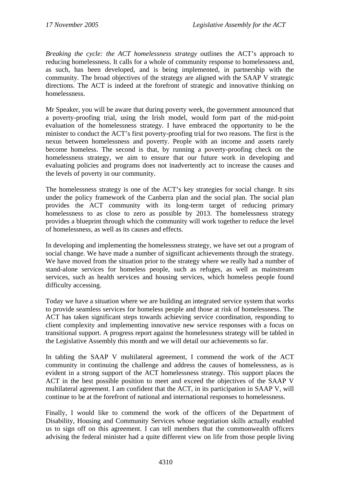*Breaking the cycle: the ACT homelessness strategy* outlines the ACT's approach to reducing homelessness. It calls for a whole of community response to homelessness and, as such, has been developed, and is being implemented, in partnership with the community. The broad objectives of the strategy are aligned with the SAAP V strategic directions. The ACT is indeed at the forefront of strategic and innovative thinking on homelessness.

Mr Speaker, you will be aware that during poverty week, the government announced that a poverty-proofing trial, using the Irish model, would form part of the mid-point evaluation of the homelessness strategy. I have embraced the opportunity to be the minister to conduct the ACT's first poverty-proofing trial for two reasons. The first is the nexus between homelessness and poverty. People with an income and assets rarely become homeless. The second is that, by running a poverty-proofing check on the homelessness strategy, we aim to ensure that our future work in developing and evaluating policies and programs does not inadvertently act to increase the causes and the levels of poverty in our community.

The homelessness strategy is one of the ACT's key strategies for social change. It sits under the policy framework of the Canberra plan and the social plan. The social plan provides the ACT community with its long-term target of reducing primary homelessness to as close to zero as possible by 2013. The homelessness strategy provides a blueprint through which the community will work together to reduce the level of homelessness, as well as its causes and effects.

In developing and implementing the homelessness strategy, we have set out a program of social change. We have made a number of significant achievements through the strategy. We have moved from the situation prior to the strategy where we really had a number of stand-alone services for homeless people, such as refuges, as well as mainstream services, such as health services and housing services, which homeless people found difficulty accessing.

Today we have a situation where we are building an integrated service system that works to provide seamless services for homeless people and those at risk of homelessness. The ACT has taken significant steps towards achieving service coordination, responding to client complexity and implementing innovative new service responses with a focus on transitional support. A progress report against the homelessness strategy will be tabled in the Legislative Assembly this month and we will detail our achievements so far.

In tabling the SAAP V multilateral agreement, I commend the work of the ACT community in continuing the challenge and address the causes of homelessness, as is evident in a strong support of the ACT homelessness strategy. This support places the ACT in the best possible position to meet and exceed the objectives of the SAAP V multilateral agreement. I am confident that the ACT, in its participation in SAAP V, will continue to be at the forefront of national and international responses to homelessness.

Finally, I would like to commend the work of the officers of the Department of Disability, Housing and Community Services whose negotiation skills actually enabled us to sign off on this agreement. I can tell members that the commonwealth officers advising the federal minister had a quite different view on life from those people living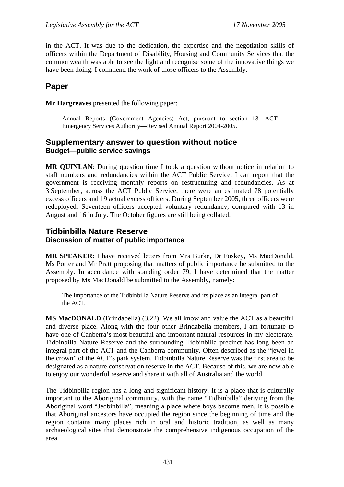in the ACT. It was due to the dedication, the expertise and the negotiation skills of officers within the Department of Disability, Housing and Community Services that the commonwealth was able to see the light and recognise some of the innovative things we have been doing. I commend the work of those officers to the Assembly.

# **Paper**

**Mr Hargreaves** presented the following paper:

Annual Reports (Government Agencies) Act, pursuant to section 13—ACT Emergency Services Authority—Revised Annual Report 2004-2005.

# **Supplementary answer to question without notice Budget—public service savings**

**MR QUINLAN**: During question time I took a question without notice in relation to staff numbers and redundancies within the ACT Public Service. I can report that the government is receiving monthly reports on restructuring and redundancies. As at 3 September, across the ACT Public Service, there were an estimated 78 potentially excess officers and 19 actual excess officers. During September 2005, three officers were redeployed. Seventeen officers accepted voluntary redundancy, compared with 13 in August and 16 in July. The October figures are still being collated.

# **Tidbinbilla Nature Reserve Discussion of matter of public importance**

**MR SPEAKER**: I have received letters from Mrs Burke, Dr Foskey, Ms MacDonald, Ms Porter and Mr Pratt proposing that matters of public importance be submitted to the Assembly. In accordance with standing order 79, I have determined that the matter proposed by Ms MacDonald be submitted to the Assembly, namely:

The importance of the Tidbinbilla Nature Reserve and its place as an integral part of the ACT.

**MS MacDONALD** (Brindabella) (3.22): We all know and value the ACT as a beautiful and diverse place. Along with the four other Brindabella members, I am fortunate to have one of Canberra's most beautiful and important natural resources in my electorate. Tidbinbilla Nature Reserve and the surrounding Tidbinbilla precinct has long been an integral part of the ACT and the Canberra community. Often described as the "jewel in the crown" of the ACT's park system, Tidbinbilla Nature Reserve was the first area to be designated as a nature conservation reserve in the ACT. Because of this, we are now able to enjoy our wonderful reserve and share it with all of Australia and the world.

The Tidbinbilla region has a long and significant history. It is a place that is culturally important to the Aboriginal community, with the name "Tidbinbilla" deriving from the Aboriginal word "Jedbinbilla", meaning a place where boys become men. It is possible that Aboriginal ancestors have occupied the region since the beginning of time and the region contains many places rich in oral and historic tradition, as well as many archaeological sites that demonstrate the comprehensive indigenous occupation of the area.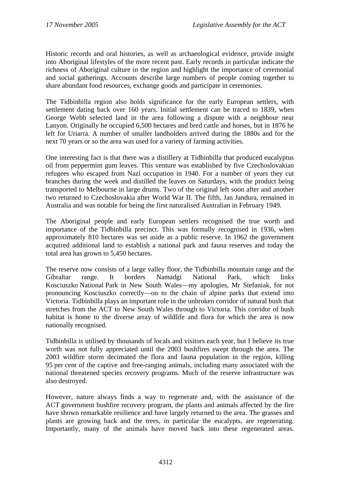Historic records and oral histories, as well as archaeological evidence, provide insight into Aboriginal lifestyles of the more recent past. Early records in particular indicate the richness of Aboriginal culture in the region and highlight the importance of ceremonial and social gatherings. Accounts describe large numbers of people coming together to share abundant food resources, exchange goods and participate in ceremonies.

The Tidbinbilla region also holds significance for the early European settlers, with settlement dating back over 160 years. Initial settlement can be traced to 1839, when George Webb selected land in the area following a dispute with a neighbour near Lanyon. Originally he occupied 6,500 hectares and bred cattle and horses, but in 1876 he left for Uriarra. A number of smaller landholders arrived during the 1880s and for the next 70 years or so the area was used for a variety of farming activities.

One interesting fact is that there was a distillery at Tidbinbilla that produced eucalyptus oil from peppermint gum leaves. This venture was established by five Czechoslovakian refugees who escaped from Nazi occupation in 1940. For a number of years they cut branches during the week and distilled the leaves on Saturdays, with the product being transported to Melbourne in large drums. Two of the original left soon after and another two returned to Czechoslovakia after World War II. The fifth, Jan Jandura, remained in Australia and was notable for being the first naturalised Australian in February 1949.

The Aboriginal people and early European settlers recognised the true worth and importance of the Tidbinbilla precinct. This was formally recognised in 1936, when approximately 810 hectares was set aside as a public reserve. In 1962 the government acquired additional land to establish a national park and fauna reserves and today the total area has grown to 5,450 hectares.

The reserve now consists of a large valley floor, the Tidbinbilla mountain range and the Gibraltar range. It borders Namadgi National Park, which links Kosciuszko National Park in New South Wales—my apologies, Mr Stefaniak, for not pronouncing Kosciuszko correctly—on to the chain of alpine parks that extend into Victoria. Tidbinbilla plays an important role in the unbroken corridor of natural bush that stretches from the ACT to New South Wales through to Victoria. This corridor of bush habitat is home to the diverse array of wildlife and flora for which the area is now nationally recognised.

Tidbinbilla is utilised by thousands of locals and visitors each year, but I believe its true worth was not fully appreciated until the 2003 bushfires swept through the area. The 2003 wildfire storm decimated the flora and fauna population in the region, killing 95 per cent of the captive and free-ranging animals, including many associated with the national threatened species recovery programs. Much of the reserve infrastructure was also destroyed.

However, nature always finds a way to regenerate and, with the assistance of the ACT government bushfire recovery program, the plants and animals affected by the fire have shown remarkable resilience and have largely returned to the area. The grasses and plants are growing back and the trees, in particular the eucalypts, are regenerating. Importantly, many of the animals have moved back into these regenerated areas.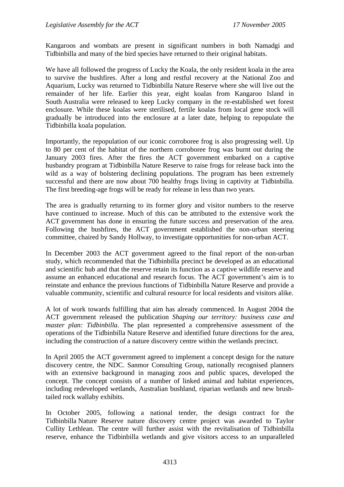Kangaroos and wombats are present in significant numbers in both Namadgi and Tidbinbilla and many of the bird species have returned to their original habitats.

We have all followed the progress of Lucky the Koala, the only resident koala in the area to survive the bushfires. After a long and restful recovery at the National Zoo and Aquarium, Lucky was returned to Tidbinbilla Nature Reserve where she will live out the remainder of her life. Earlier this year, eight koalas from Kangaroo Island in South Australia were released to keep Lucky company in the re-established wet forest enclosure. While these koalas were sterilised, fertile koalas from local gene stock will gradually be introduced into the enclosure at a later date, helping to repopulate the Tidbinbilla koala population.

Importantly, the repopulation of our iconic corroboree frog is also progressing well. Up to 80 per cent of the habitat of the northern corroboree frog was burnt out during the January 2003 fires. After the fires the ACT government embarked on a captive husbandry program at Tidbinbilla Nature Reserve to raise frogs for release back into the wild as a way of bolstering declining populations. The program has been extremely successful and there are now about 700 healthy frogs living in captivity at Tidbinbilla. The first breeding-age frogs will be ready for release in less than two years.

The area is gradually returning to its former glory and visitor numbers to the reserve have continued to increase. Much of this can be attributed to the extensive work the ACT government has done in ensuring the future success and preservation of the area. Following the bushfires, the ACT government established the non-urban steering committee, chaired by Sandy Hollway, to investigate opportunities for non-urban ACT.

In December 2003 the ACT government agreed to the final report of the non-urban study, which recommended that the Tidbinbilla precinct be developed as an educational and scientific hub and that the reserve retain its function as a captive wildlife reserve and assume an enhanced educational and research focus. The ACT government's aim is to reinstate and enhance the previous functions of Tidbinbilla Nature Reserve and provide a valuable community, scientific and cultural resource for local residents and visitors alike.

A lot of work towards fulfilling that aim has already commenced. In August 2004 the ACT government released the publication *Shaping our territory: business case and master plan: Tidbinbilla*. The plan represented a comprehensive assessment of the operations of the Tidbinbilla Nature Reserve and identified future directions for the area, including the construction of a nature discovery centre within the wetlands precinct.

In April 2005 the ACT government agreed to implement a concept design for the nature discovery centre, the NDC. Sanmor Consulting Group, nationally recognised planners with an extensive background in managing zoos and public spaces, developed the concept. The concept consists of a number of linked animal and habitat experiences, including redeveloped wetlands, Australian bushland, riparian wetlands and new brushtailed rock wallaby exhibits.

In October 2005, following a national tender, the design contract for the Tidbinbilla Nature Reserve nature discovery centre project was awarded to Taylor Cullity Lethlean. The centre will further assist with the revitalisation of Tidbinbilla reserve, enhance the Tidbinbilla wetlands and give visitors access to an unparalleled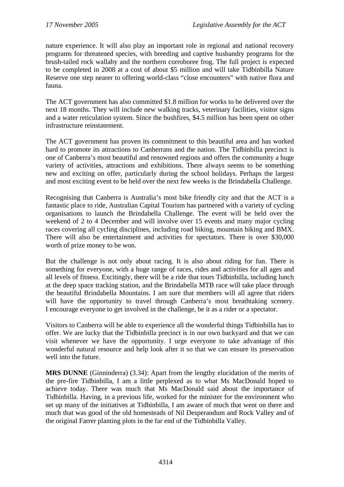nature experience. It will also play an important role in regional and national recovery programs for threatened species, with breeding and captive husbandry programs for the brush-tailed rock wallaby and the northern corroboree frog. The full project is expected to be completed in 2008 at a cost of about \$5 million and will take Tidbinbilla Nature Reserve one step nearer to offering world-class "close encounters" with native flora and fauna.

The ACT government has also committed \$1.8 million for works to be delivered over the next 18 months. They will include new walking tracks, veterinary facilities, visitor signs and a water reticulation system. Since the bushfires, \$4.5 million has been spent on other infrastructure reinstatement.

The ACT government has proven its commitment to this beautiful area and has worked hard to promote its attractions to Canberrans and the nation. The Tidbinbilla precinct is one of Canberra's most beautiful and renowned regions and offers the community a huge variety of activities, attractions and exhibitions. There always seems to be something new and exciting on offer, particularly during the school holidays. Perhaps the largest and most exciting event to be held over the next few weeks is the Brindabella Challenge.

Recognising that Canberra is Australia's most bike friendly city and that the ACT is a fantastic place to ride, Australian Capital Tourism has partnered with a variety of cycling organisations to launch the Brindabella Challenge. The event will be held over the weekend of 2 to 4 December and will involve over 15 events and many major cycling races covering all cycling disciplines, including road biking, mountain biking and BMX. There will also be entertainment and activities for spectators. There is over \$30,000 worth of prize money to be won.

But the challenge is not only about racing. It is also about riding for fun. There is something for everyone, with a huge range of races, rides and activities for all ages and all levels of fitness. Excitingly, there will be a ride that tours Tidbinbilla, including lunch at the deep space tracking station, and the Brindabella MTB race will take place through the beautiful Brindabella Mountains. I am sure that members will all agree that riders will have the opportunity to travel through Canberra's most breathtaking scenery. I encourage everyone to get involved in the challenge, be it as a rider or a spectator.

Visitors to Canberra will be able to experience all the wonderful things Tidbinbilla has to offer. We are lucky that the Tidbinbilla precinct is in our own backyard and that we can visit whenever we have the opportunity. I urge everyone to take advantage of this wonderful natural resource and help look after it so that we can ensure its preservation well into the future.

**MRS DUNNE** (Ginninderra) (3.34): Apart from the lengthy elucidation of the merits of the pre-fire Tidbinbilla, I am a little perplexed as to what Ms MacDonald hoped to achieve today. There was much that Ms MacDonald said about the importance of Tidbinbilla. Having, in a previous life, worked for the minister for the environment who set up many of the initiatives at Tidbinbilla, I am aware of much that went on there and much that was good of the old homesteads of Nil Desperandum and Rock Valley and of the original Farrer planting plots in the far end of the Tidbinbilla Valley.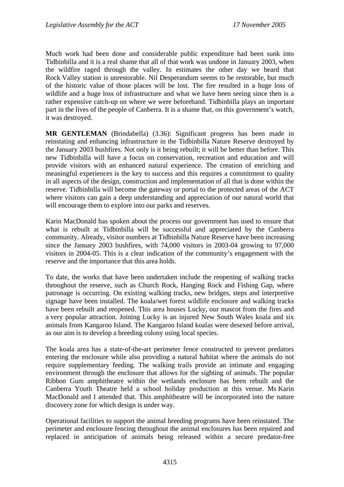Much work had been done and considerable public expenditure had been sunk into Tidbinbilla and it is a real shame that all of that work was undone in January 2003, when the wildfire raged through the valley. In estimates the other day we heard that Rock Valley station is unrestorable. Nil Desperandum seems to be restorable, but much of the historic value of those places will be lost. The fire resulted in a huge loss of wildlife and a huge loss of infrastructure and what we have been seeing since then is a rather expensive catch-up on where we were beforehand. Tidbinbilla plays an important part in the lives of the people of Canberra. It is a shame that, on this government's watch, it was destroyed.

**MR GENTLEMAN** (Brindabella) (3.36): Significant progress has been made in reinstating and enhancing infrastructure in the Tidbinbilla Nature Reserve destroyed by the January 2003 bushfires. Not only is it being rebuilt; it will be better than before. This new Tidbinbilla will have a focus on conservation, recreation and education and will provide visitors with an enhanced natural experience. The creation of enriching and meaningful experiences is the key to success and this requires a commitment to quality in all aspects of the design, construction and implementation of all that is done within the reserve. Tidbinbilla will become the gateway or portal to the protected areas of the ACT where visitors can gain a deep understanding and appreciation of our natural world that will encourage them to explore into our parks and reserves.

Karin MacDonald has spoken about the process our government has used to ensure that what is rebuilt at Tidbinbilla will be successful and appreciated by the Canberra community. Already, visitor numbers at Tidbinbilla Nature Reserve have been increasing since the January 2003 bushfires, with 74,000 visitors in 2003-04 growing to 97,000 visitors in 2004-05. This is a clear indication of the community's engagement with the reserve and the importance that this area holds.

To date, the works that have been undertaken include the reopening of walking tracks throughout the reserve, such as Church Rock, Hanging Rock and Fishing Gap, where patronage is occurring. On existing walking tracks, new bridges, steps and interpretive signage have been installed. The koala/wet forest wildlife enclosure and walking tracks have been rebuilt and reopened. This area houses Lucky, our mascot from the fires and a very popular attraction. Joining Lucky is an injured New South Wales koala and six animals from Kangaroo Island. The Kangaroo Island koalas were desexed before arrival, as our aim is to develop a breeding colony using local species.

The koala area has a state-of-the-art perimeter fence constructed to prevent predators entering the enclosure while also providing a natural habitat where the animals do not require supplementary feeding. The walking trails provide an intimate and engaging environment through the enclosure that allows for the sighting of animals. The popular Ribbon Gum amphitheatre within the wetlands enclosure has been rebuilt and the Canberra Youth Theatre held a school holiday production at this venue. Ms Karin MacDonald and I attended that. This amphitheatre will be incorporated into the nature discovery zone for which design is under way.

Operational facilities to support the animal breeding programs have been reinstated. The perimeter and enclosure fencing throughout the animal enclosures has been repaired and replaced in anticipation of animals being released within a secure predator-free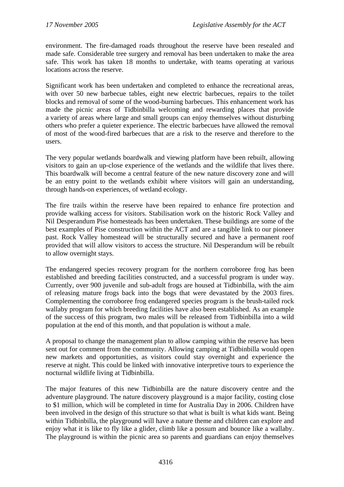environment. The fire-damaged roads throughout the reserve have been resealed and made safe. Considerable tree surgery and removal has been undertaken to make the area safe. This work has taken 18 months to undertake, with teams operating at various locations across the reserve.

Significant work has been undertaken and completed to enhance the recreational areas, with over 50 new barbecue tables, eight new electric barbecues, repairs to the toilet blocks and removal of some of the wood-burning barbecues. This enhancement work has made the picnic areas of Tidbinbilla welcoming and rewarding places that provide a variety of areas where large and small groups can enjoy themselves without disturbing others who prefer a quieter experience. The electric barbecues have allowed the removal of most of the wood-fired barbecues that are a risk to the reserve and therefore to the users.

The very popular wetlands boardwalk and viewing platform have been rebuilt, allowing visitors to gain an up-close experience of the wetlands and the wildlife that lives there. This boardwalk will become a central feature of the new nature discovery zone and will be an entry point to the wetlands exhibit where visitors will gain an understanding, through hands-on experiences, of wetland ecology.

The fire trails within the reserve have been repaired to enhance fire protection and provide walking access for visitors. Stabilisation work on the historic Rock Valley and Nil Desperandum Pise homesteads has been undertaken. These buildings are some of the best examples of Pise construction within the ACT and are a tangible link to our pioneer past. Rock Valley homestead will be structurally secured and have a permanent roof provided that will allow visitors to access the structure. Nil Desperandum will be rebuilt to allow overnight stays.

The endangered species recovery program for the northern corroboree frog has been established and breeding facilities constructed, and a successful program is under way. Currently, over 900 juvenile and sub-adult frogs are housed at Tidbinbilla, with the aim of releasing mature frogs back into the bogs that were devastated by the 2003 fires. Complementing the corroboree frog endangered species program is the brush-tailed rock wallaby program for which breeding facilities have also been established. As an example of the success of this program, two males will be released from Tidbinbilla into a wild population at the end of this month, and that population is without a male.

A proposal to change the management plan to allow camping within the reserve has been sent out for comment from the community. Allowing camping at Tidbinbilla would open new markets and opportunities, as visitors could stay overnight and experience the reserve at night. This could be linked with innovative interpretive tours to experience the nocturnal wildlife living at Tidbinbilla.

The major features of this new Tidbinbilla are the nature discovery centre and the adventure playground. The nature discovery playground is a major facility, costing close to \$1 million, which will be completed in time for Australia Day in 2006. Children have been involved in the design of this structure so that what is built is what kids want. Being within Tidbinbilla, the playground will have a nature theme and children can explore and enjoy what it is like to fly like a glider, climb like a possum and bounce like a wallaby. The playground is within the picnic area so parents and guardians can enjoy themselves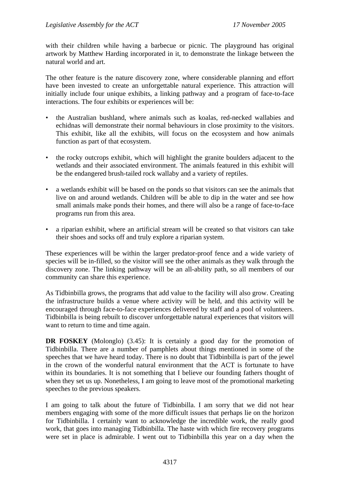with their children while having a barbecue or picnic. The playground has original artwork by Matthew Harding incorporated in it, to demonstrate the linkage between the natural world and art.

The other feature is the nature discovery zone, where considerable planning and effort have been invested to create an unforgettable natural experience. This attraction will initially include four unique exhibits, a linking pathway and a program of face-to-face interactions. The four exhibits or experiences will be:

- the Australian bushland, where animals such as koalas, red-necked wallabies and echidnas will demonstrate their normal behaviours in close proximity to the visitors. This exhibit, like all the exhibits, will focus on the ecosystem and how animals function as part of that ecosystem.
- the rocky outcrops exhibit, which will highlight the granite boulders adjacent to the wetlands and their associated environment. The animals featured in this exhibit will be the endangered brush-tailed rock wallaby and a variety of reptiles.
- a wetlands exhibit will be based on the ponds so that visitors can see the animals that live on and around wetlands. Children will be able to dip in the water and see how small animals make ponds their homes, and there will also be a range of face-to-face programs run from this area.
- a riparian exhibit, where an artificial stream will be created so that visitors can take their shoes and socks off and truly explore a riparian system.

These experiences will be within the larger predator-proof fence and a wide variety of species will be in-filled, so the visitor will see the other animals as they walk through the discovery zone. The linking pathway will be an all-ability path, so all members of our community can share this experience.

As Tidbinbilla grows, the programs that add value to the facility will also grow. Creating the infrastructure builds a venue where activity will be held, and this activity will be encouraged through face-to-face experiences delivered by staff and a pool of volunteers. Tidbinbilla is being rebuilt to discover unforgettable natural experiences that visitors will want to return to time and time again.

**DR FOSKEY** (Molonglo) (3.45): It is certainly a good day for the promotion of Tidbinbilla. There are a number of pamphlets about things mentioned in some of the speeches that we have heard today. There is no doubt that Tidbinbilla is part of the jewel in the crown of the wonderful natural environment that the ACT is fortunate to have within its boundaries. It is not something that I believe our founding fathers thought of when they set us up. Nonetheless, I am going to leave most of the promotional marketing speeches to the previous speakers.

I am going to talk about the future of Tidbinbilla. I am sorry that we did not hear members engaging with some of the more difficult issues that perhaps lie on the horizon for Tidbinbilla. I certainly want to acknowledge the incredible work, the really good work, that goes into managing Tidbinbilla. The haste with which fire recovery programs were set in place is admirable. I went out to Tidbinbilla this year on a day when the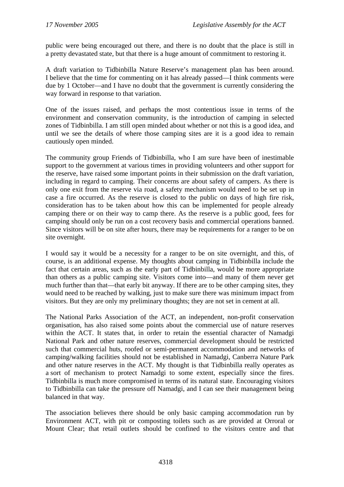public were being encouraged out there, and there is no doubt that the place is still in a pretty devastated state, but that there is a huge amount of commitment to restoring it.

A draft variation to Tidbinbilla Nature Reserve's management plan has been around. I believe that the time for commenting on it has already passed—I think comments were due by 1 October—and I have no doubt that the government is currently considering the way forward in response to that variation.

One of the issues raised, and perhaps the most contentious issue in terms of the environment and conservation community, is the introduction of camping in selected zones of Tidbinbilla. I am still open minded about whether or not this is a good idea, and until we see the details of where those camping sites are it is a good idea to remain cautiously open minded.

The community group Friends of Tidbinbilla, who I am sure have been of inestimable support to the government at various times in providing volunteers and other support for the reserve, have raised some important points in their submission on the draft variation, including in regard to camping. Their concerns are about safety of campers. As there is only one exit from the reserve via road, a safety mechanism would need to be set up in case a fire occurred. As the reserve is closed to the public on days of high fire risk, consideration has to be taken about how this can be implemented for people already camping there or on their way to camp there. As the reserve is a public good, fees for camping should only be run on a cost recovery basis and commercial operations banned. Since visitors will be on site after hours, there may be requirements for a ranger to be on site overnight.

I would say it would be a necessity for a ranger to be on site overnight, and this, of course, is an additional expense. My thoughts about camping in Tidbinbilla include the fact that certain areas, such as the early part of Tidbinbilla, would be more appropriate than others as a public camping site. Visitors come into—and many of them never get much further than that—that early bit anyway. If there are to be other camping sites, they would need to be reached by walking, just to make sure there was minimum impact from visitors. But they are only my preliminary thoughts; they are not set in cement at all.

The National Parks Association of the ACT, an independent, non-profit conservation organisation, has also raised some points about the commercial use of nature reserves within the ACT. It states that, in order to retain the essential character of Namadgi National Park and other nature reserves, commercial development should be restricted such that commercial huts, roofed or semi-permanent accommodation and networks of camping/walking facilities should not be established in Namadgi, Canberra Nature Park and other nature reserves in the ACT. My thought is that Tidbinbilla really operates as a sort of mechanism to protect Namadgi to some extent, especially since the fires. Tidbinbilla is much more compromised in terms of its natural state. Encouraging visitors to Tidbinbilla can take the pressure off Namadgi, and I can see their management being balanced in that way.

The association believes there should be only basic camping accommodation run by Environment ACT, with pit or composting toilets such as are provided at Orroral or Mount Clear; that retail outlets should be confined to the visitors centre and that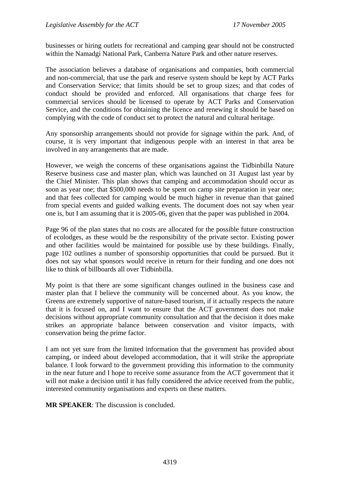businesses or hiring outlets for recreational and camping gear should not be constructed within the Namadgi National Park, Canberra Nature Park and other nature reserves.

The association believes a database of organisations and companies, both commercial and non-commercial, that use the park and reserve system should be kept by ACT Parks and Conservation Service; that limits should be set to group sizes; and that codes of conduct should be provided and enforced. All organisations that charge fees for commercial services should be licensed to operate by ACT Parks and Conservation Service, and the conditions for obtaining the licence and renewing it should be based on complying with the code of conduct set to protect the natural and cultural heritage.

Any sponsorship arrangements should not provide for signage within the park. And, of course, it is very important that indigenous people with an interest in that area be involved in any arrangements that are made.

However, we weigh the concerns of these organisations against the Tidbinbilla Nature Reserve business case and master plan, which was launched on 31 August last year by the Chief Minister. This plan shows that camping and accommodation should occur as soon as year one; that \$500,000 needs to be spent on camp site preparation in year one; and that fees collected for camping would be much higher in revenue than that gained from special events and guided walking events. The document does not say when year one is, but I am assuming that it is 2005-06, given that the paper was published in 2004.

Page 96 of the plan states that no costs are allocated for the possible future construction of ecolodges, as these would be the responsibility of the private sector. Existing power and other facilities would be maintained for possible use by these buildings. Finally, page 102 outlines a number of sponsorship opportunities that could be pursued. But it does not say what sponsors would receive in return for their funding and one does not like to think of billboards all over Tidbinbilla.

My point is that there are some significant changes outlined in the business case and master plan that I believe the community will be concerned about. As you know, the Greens are extremely supportive of nature-based tourism, if it actually respects the nature that it is focused on, and I want to ensure that the ACT government does not make decisions without appropriate community consultation and that the decision it does make strikes an appropriate balance between conservation and visitor impacts, with conservation being the prime factor.

I am not yet sure from the limited information that the government has provided about camping, or indeed about developed accommodation, that it will strike the appropriate balance. I look forward to the government providing this information to the community in the near future and I hope to receive some assurance from the ACT government that it will not make a decision until it has fully considered the advice received from the public, interested community organisations and experts on these matters.

**MR SPEAKER**: The discussion is concluded.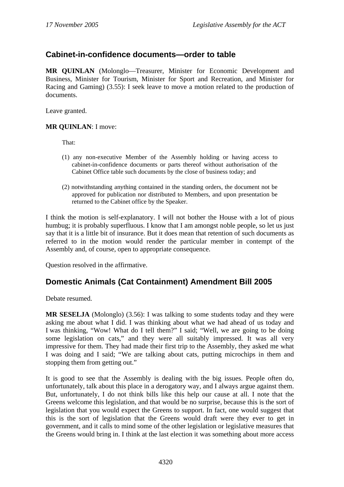# **Cabinet-in-confidence documents—order to table**

**MR QUINLAN** (Molonglo—Treasurer, Minister for Economic Development and Business, Minister for Tourism, Minister for Sport and Recreation, and Minister for Racing and Gaming) (3.55): I seek leave to move a motion related to the production of documents.

Leave granted.

### **MR QUINLAN**: I move:

That:

- (1) any non-executive Member of the Assembly holding or having access to cabinet-in-confidence documents or parts thereof without authorisation of the Cabinet Office table such documents by the close of business today; and
- (2) notwithstanding anything contained in the standing orders, the document not be approved for publication nor distributed to Members, and upon presentation be returned to the Cabinet office by the Speaker.

I think the motion is self-explanatory. I will not bother the House with a lot of pious humbug; it is probably superfluous. I know that I am amongst noble people, so let us just say that it is a little bit of insurance. But it does mean that retention of such documents as referred to in the motion would render the particular member in contempt of the Assembly and, of course, open to appropriate consequence.

Question resolved in the affirmative.

# **Domestic Animals (Cat Containment) Amendment Bill 2005**

Debate resumed.

**MR SESELJA** (Molonglo) (3.56): I was talking to some students today and they were asking me about what I did. I was thinking about what we had ahead of us today and I was thinking, "Wow! What do I tell them?" I said; "Well, we are going to be doing some legislation on cats," and they were all suitably impressed. It was all very impressive for them. They had made their first trip to the Assembly, they asked me what I was doing and I said; "We are talking about cats, putting microchips in them and stopping them from getting out."

It is good to see that the Assembly is dealing with the big issues. People often do, unfortunately, talk about this place in a derogatory way, and I always argue against them. But, unfortunately, I do not think bills like this help our cause at all. I note that the Greens welcome this legislation, and that would be no surprise, because this is the sort of legislation that you would expect the Greens to support. In fact, one would suggest that this is the sort of legislation that the Greens would draft were they ever to get in government, and it calls to mind some of the other legislation or legislative measures that the Greens would bring in. I think at the last election it was something about more access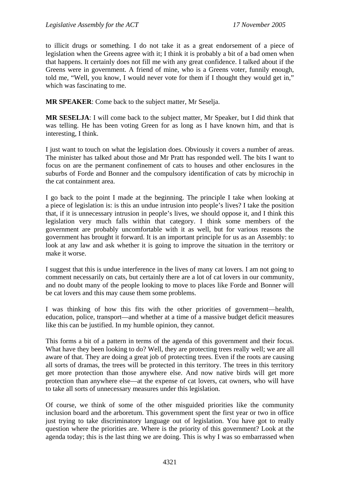to illicit drugs or something. I do not take it as a great endorsement of a piece of legislation when the Greens agree with it; I think it is probably a bit of a bad omen when that happens. It certainly does not fill me with any great confidence. I talked about if the Greens were in government. A friend of mine, who is a Greens voter, funnily enough, told me, "Well, you know, I would never vote for them if I thought they would get in," which was fascinating to me.

**MR SPEAKER**: Come back to the subject matter, Mr Seselja.

**MR SESELJA**: I will come back to the subject matter, Mr Speaker, but I did think that was telling. He has been voting Green for as long as I have known him, and that is interesting, I think.

I just want to touch on what the legislation does. Obviously it covers a number of areas. The minister has talked about those and Mr Pratt has responded well. The bits I want to focus on are the permanent confinement of cats to houses and other enclosures in the suburbs of Forde and Bonner and the compulsory identification of cats by microchip in the cat containment area.

I go back to the point I made at the beginning. The principle I take when looking at a piece of legislation is: is this an undue intrusion into people's lives? I take the position that, if it is unnecessary intrusion in people's lives, we should oppose it, and I think this legislation very much falls within that category. I think some members of the government are probably uncomfortable with it as well, but for various reasons the government has brought it forward. It is an important principle for us as an Assembly: to look at any law and ask whether it is going to improve the situation in the territory or make it worse.

I suggest that this is undue interference in the lives of many cat lovers. I am not going to comment necessarily on cats, but certainly there are a lot of cat lovers in our community, and no doubt many of the people looking to move to places like Forde and Bonner will be cat lovers and this may cause them some problems.

I was thinking of how this fits with the other priorities of government—health, education, police, transport—and whether at a time of a massive budget deficit measures like this can be justified. In my humble opinion, they cannot.

This forms a bit of a pattern in terms of the agenda of this government and their focus. What have they been looking to do? Well, they are protecting trees really well; we are all aware of that. They are doing a great job of protecting trees. Even if the roots are causing all sorts of dramas, the trees will be protected in this territory. The trees in this territory get more protection than those anywhere else. And now native birds will get more protection than anywhere else—at the expense of cat lovers, cat owners, who will have to take all sorts of unnecessary measures under this legislation.

Of course, we think of some of the other misguided priorities like the community inclusion board and the arboretum. This government spent the first year or two in office just trying to take discriminatory language out of legislation. You have got to really question where the priorities are. Where is the priority of this government? Look at the agenda today; this is the last thing we are doing. This is why I was so embarrassed when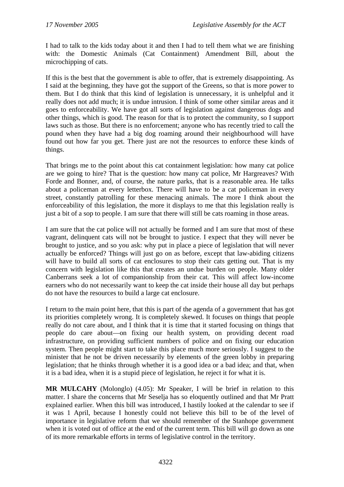I had to talk to the kids today about it and then I had to tell them what we are finishing with: the Domestic Animals (Cat Containment) Amendment Bill, about the microchipping of cats.

If this is the best that the government is able to offer, that is extremely disappointing. As I said at the beginning, they have got the support of the Greens, so that is more power to them. But I do think that this kind of legislation is unnecessary, it is unhelpful and it really does not add much; it is undue intrusion. I think of some other similar areas and it goes to enforceability. We have got all sorts of legislation against dangerous dogs and other things, which is good. The reason for that is to protect the community, so I support laws such as those. But there is no enforcement; anyone who has recently tried to call the pound when they have had a big dog roaming around their neighbourhood will have found out how far you get. There just are not the resources to enforce these kinds of things.

That brings me to the point about this cat containment legislation: how many cat police are we going to hire? That is the question: how many cat police, Mr Hargreaves? With Forde and Bonner, and, of course, the nature parks, that is a reasonable area. He talks about a policeman at every letterbox. There will have to be a cat policeman in every street, constantly patrolling for these menacing animals. The more I think about the enforceability of this legislation, the more it displays to me that this legislation really is just a bit of a sop to people. I am sure that there will still be cats roaming in those areas.

I am sure that the cat police will not actually be formed and I am sure that most of these vagrant, delinquent cats will not be brought to justice. I expect that they will never be brought to justice, and so you ask: why put in place a piece of legislation that will never actually be enforced? Things will just go on as before, except that law-abiding citizens will have to build all sorts of cat enclosures to stop their cats getting out. That is my concern with legislation like this that creates an undue burden on people. Many older Canberrans seek a lot of companionship from their cat. This will affect low-income earners who do not necessarily want to keep the cat inside their house all day but perhaps do not have the resources to build a large cat enclosure.

I return to the main point here, that this is part of the agenda of a government that has got its priorities completely wrong. It is completely skewed. It focuses on things that people really do not care about, and I think that it is time that it started focusing on things that people do care about—on fixing our health system, on providing decent road infrastructure, on providing sufficient numbers of police and on fixing our education system. Then people might start to take this place much more seriously. I suggest to the minister that he not be driven necessarily by elements of the green lobby in preparing legislation; that he thinks through whether it is a good idea or a bad idea; and that, when it is a bad idea, when it is a stupid piece of legislation, he reject it for what it is.

**MR MULCAHY** (Molonglo) (4.05): Mr Speaker, I will be brief in relation to this matter. I share the concerns that Mr Seselja has so eloquently outlined and that Mr Pratt explained earlier. When this bill was introduced, I hastily looked at the calendar to see if it was 1 April, because I honestly could not believe this bill to be of the level of importance in legislative reform that we should remember of the Stanhope government when it is voted out of office at the end of the current term. This bill will go down as one of its more remarkable efforts in terms of legislative control in the territory.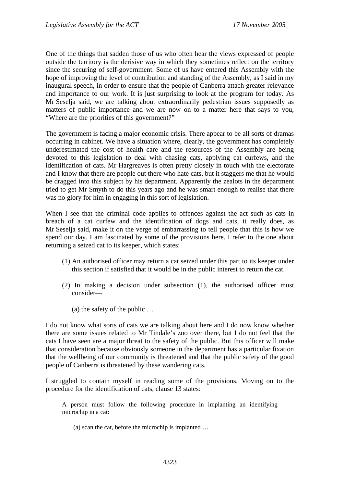One of the things that sadden those of us who often hear the views expressed of people outside the territory is the derisive way in which they sometimes reflect on the territory since the securing of self-government. Some of us have entered this Assembly with the hope of improving the level of contribution and standing of the Assembly, as I said in my inaugural speech, in order to ensure that the people of Canberra attach greater relevance and importance to our work. It is just surprising to look at the program for today. As Mr Seselja said, we are talking about extraordinarily pedestrian issues supposedly as matters of public importance and we are now on to a matter here that says to you, "Where are the priorities of this government?"

The government is facing a major economic crisis. There appear to be all sorts of dramas occurring in cabinet. We have a situation where, clearly, the government has completely underestimated the cost of health care and the resources of the Assembly are being devoted to this legislation to deal with chasing cats, applying cat curfews, and the identification of cats. Mr Hargreaves is often pretty closely in touch with the electorate and I know that there are people out there who hate cats, but it staggers me that he would be dragged into this subject by his department. Apparently the zealots in the department tried to get Mr Smyth to do this years ago and he was smart enough to realise that there was no glory for him in engaging in this sort of legislation.

When I see that the criminal code applies to offences against the act such as cats in breach of a cat curfew and the identification of dogs and cats, it really does, as Mr Seselja said, make it on the verge of embarrassing to tell people that this is how we spend our day. I am fascinated by some of the provisions here. I refer to the one about returning a seized cat to its keeper, which states:

- (1) An authorised officer may return a cat seized under this part to its keeper under this section if satisfied that it would be in the public interest to return the cat.
- (2) In making a decision under subsection (1), the authorised officer must consider—
	- (a) the safety of the public …

I do not know what sorts of cats we are talking about here and I do now know whether there are some issues related to Mr Tindale's zoo over there, but I do not feel that the cats I have seen are a major threat to the safety of the public. But this officer will make that consideration because obviously someone in the department has a particular fixation that the wellbeing of our community is threatened and that the public safety of the good people of Canberra is threatened by these wandering cats.

I struggled to contain myself in reading some of the provisions. Moving on to the procedure for the identification of cats, clause 13 states:

A person must follow the following procedure in implanting an identifying microchip in a cat:

(a) scan the cat, before the microchip is implanted …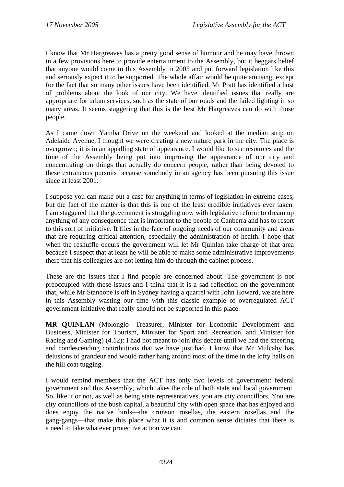I know that Mr Hargreaves has a pretty good sense of humour and he may have thrown in a few provisions here to provide entertainment to the Assembly, but it beggars belief that anyone would come to this Assembly in 2005 and put forward legislation like this and seriously expect it to be supported. The whole affair would be quite amusing, except for the fact that so many other issues have been identified. Mr Pratt has identified a host of problems about the look of our city. We have identified issues that really are appropriate for urban services, such as the state of our roads and the failed lighting in so many areas. It seems staggering that this is the best Mr Hargreaves can do with those people.

As I came down Yamba Drive on the weekend and looked at the median strip on Adelaide Avenue, I thought we were creating a new nature park in the city. The place is overgrown; it is in an appalling state of appearance. I would like to see resources and the time of the Assembly being put into improving the appearance of our city and concentrating on things that actually do concern people, rather than being devoted to these extraneous pursuits because somebody in an agency has been pursuing this issue since at least 2001.

I suppose you can make out a case for anything in terms of legislation in extreme cases, but the fact of the matter is that this is one of the least credible initiatives ever taken. I am staggered that the government is struggling now with legislative reform to dream up anything of any consequence that is important to the people of Canberra and has to resort to this sort of initiative. It flies in the face of ongoing needs of our community and areas that are requiring critical attention, especially the administration of health. I hope that when the reshuffle occurs the government will let Mr Quinlan take charge of that area because I suspect that at least he will be able to make some administrative improvements there that his colleagues are not letting him do through the cabinet process.

These are the issues that I find people are concerned about. The government is not preoccupied with these issues and I think that it is a sad reflection on the government that, while Mr Stanhope is off in Sydney having a quarrel with John Howard, we are here in this Assembly wasting our time with this classic example of overregulated ACT government initiative that really should not be supported in this place.

**MR QUINLAN** (Molonglo—Treasurer, Minister for Economic Development and Business, Minister for Tourism, Minister for Sport and Recreation, and Minister for Racing and Gaming) (4.12): I had not meant to join this debate until we had the sneering and condescending contributions that we have just had. I know that Mr Mulcahy has delusions of grandeur and would rather hang around most of the time in the lofty halls on the hill coat tugging.

I would remind members that the ACT has only two levels of government: federal government and this Assembly, which takes the role of both state and local government. So, like it or not, as well as being state representatives, you are city councillors. You are city councillors of the bush capital, a beautiful city with open space that has enjoyed and does enjoy the native birds—the crimson rosellas, the eastern rosellas and the gang-gangs—that make this place what it is and common sense dictates that there is a need to take whatever protective action we can.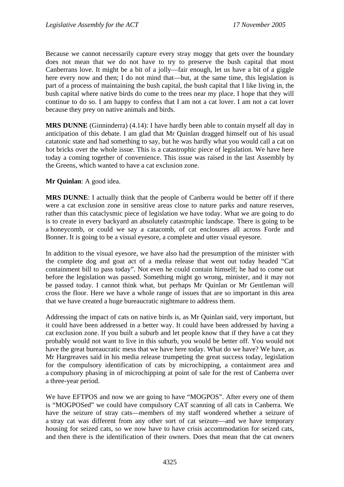Because we cannot necessarily capture every stray moggy that gets over the boundary does not mean that we do not have to try to preserve the bush capital that most Canberrans love. It might be a bit of a jolly—fair enough, let us have a bit of a giggle here every now and then; I do not mind that—but, at the same time, this legislation is part of a process of maintaining the bush capital, the bush capital that I like living in, the bush capital where native birds do come to the trees near my place. I hope that they will continue to do so. I am happy to confess that I am not a cat lover. I am not a cat lover because they prey on native animals and birds.

**MRS DUNNE** (Ginninderra) (4.14): I have hardly been able to contain myself all day in anticipation of this debate. I am glad that Mr Quinlan dragged himself out of his usual catatonic state and had something to say, but he was hardly what you would call a cat on hot bricks over the whole issue. This is a catastrophic piece of legislation. We have here today a coming together of convenience. This issue was raised in the last Assembly by the Greens, which wanted to have a cat exclusion zone.

#### **Mr Quinlan**: A good idea.

**MRS DUNNE**: I actually think that the people of Canberra would be better off if there were a cat exclusion zone in sensitive areas close to nature parks and nature reserves, rather than this cataclysmic piece of legislation we have today. What we are going to do is to create in every backyard an absolutely catastrophic landscape. There is going to be a honeycomb, or could we say a catacomb, of cat enclosures all across Forde and Bonner. It is going to be a visual eyesore, a complete and utter visual eyesore.

In addition to the visual eyesore, we have also had the presumption of the minister with the complete dog and goat act of a media release that went out today headed "Cat containment bill to pass today". Not even he could contain himself; he had to come out before the legislation was passed. Something might go wrong, minister, and it may not be passed today. I cannot think what, but perhaps Mr Quinlan or Mr Gentleman will cross the floor. Here we have a whole range of issues that are so important in this area that we have created a huge bureaucratic nightmare to address them.

Addressing the impact of cats on native birds is, as Mr Quinlan said, very important, but it could have been addressed in a better way. It could have been addressed by having a cat exclusion zone. If you built a suburb and let people know that if they have a cat they probably would not want to live in this suburb, you would be better off. You would not have the great bureaucratic mess that we have here today. What do we have? We have, as Mr Hargreaves said in his media release trumpeting the great success today, legislation for the compulsory identification of cats by microchipping, a containment area and a compulsory phasing in of microchipping at point of sale for the rest of Canberra over a three-year period.

We have EFTPOS and now we are going to have "MOGPOS". After every one of them is "MOGPOSed" we could have compulsory CAT scanning of all cats in Canberra. We have the seizure of stray cats—members of my staff wondered whether a seizure of a stray cat was different from any other sort of cat seizure—and we have temporary housing for seized cats, so we now have to have crisis accommodation for seized cats, and then there is the identification of their owners. Does that mean that the cat owners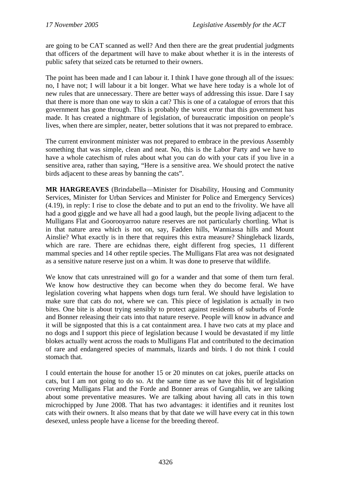are going to be CAT scanned as well? And then there are the great prudential judgments that officers of the department will have to make about whether it is in the interests of public safety that seized cats be returned to their owners.

The point has been made and I can labour it. I think I have gone through all of the issues: no, I have not; I will labour it a bit longer. What we have here today is a whole lot of new rules that are unnecessary. There are better ways of addressing this issue. Dare I say that there is more than one way to skin a cat? This is one of a catalogue of errors that this government has gone through. This is probably the worst error that this government has made. It has created a nightmare of legislation, of bureaucratic imposition on people's lives, when there are simpler, neater, better solutions that it was not prepared to embrace.

The current environment minister was not prepared to embrace in the previous Assembly something that was simple, clean and neat. No, this is the Labor Party and we have to have a whole catechism of rules about what you can do with your cats if you live in a sensitive area, rather than saying, "Here is a sensitive area. We should protect the native birds adjacent to these areas by banning the cats".

**MR HARGREAVES** (Brindabella—Minister for Disability, Housing and Community Services, Minister for Urban Services and Minister for Police and Emergency Services) (4.19), in reply: I rise to close the debate and to put an end to the frivolity. We have all had a good giggle and we have all had a good laugh, but the people living adjacent to the Mulligans Flat and Goorooyarroo nature reserves are not particularly chortling. What is in that nature area which is not on, say, Fadden hills, Wanniassa hills and Mount Ainslie? What exactly is in there that requires this extra measure? Shingleback lizards, which are rare. There are echidnas there, eight different frog species, 11 different mammal species and 14 other reptile species. The Mulligans Flat area was not designated as a sensitive nature reserve just on a whim. It was done to preserve that wildlife.

We know that cats unrestrained will go for a wander and that some of them turn feral. We know how destructive they can become when they do become feral. We have legislation covering what happens when dogs turn feral. We should have legislation to make sure that cats do not, where we can. This piece of legislation is actually in two bites. One bite is about trying sensibly to protect against residents of suburbs of Forde and Bonner releasing their cats into that nature reserve. People will know in advance and it will be signposted that this is a cat containment area. I have two cats at my place and no dogs and I support this piece of legislation because I would be devastated if my little blokes actually went across the roads to Mulligans Flat and contributed to the decimation of rare and endangered species of mammals, lizards and birds. I do not think I could stomach that.

I could entertain the house for another 15 or 20 minutes on cat jokes, puerile attacks on cats, but I am not going to do so. At the same time as we have this bit of legislation covering Mulligans Flat and the Forde and Bonner areas of Gungahlin, we are talking about some preventative measures. We are talking about having all cats in this town microchipped by June 2008. That has two advantages: it identifies and it reunites lost cats with their owners. It also means that by that date we will have every cat in this town desexed, unless people have a license for the breeding thereof.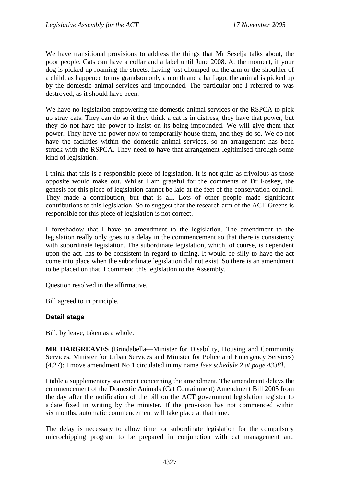We have transitional provisions to address the things that Mr Seselja talks about, the poor people. Cats can have a collar and a label until June 2008. At the moment, if your dog is picked up roaming the streets, having just chomped on the arm or the shoulder of a child, as happened to my grandson only a month and a half ago, the animal is picked up by the domestic animal services and impounded. The particular one I referred to was destroyed, as it should have been.

We have no legislation empowering the domestic animal services or the RSPCA to pick up stray cats. They can do so if they think a cat is in distress, they have that power, but they do not have the power to insist on its being impounded. We will give them that power. They have the power now to temporarily house them, and they do so. We do not have the facilities within the domestic animal services, so an arrangement has been struck with the RSPCA. They need to have that arrangement legitimised through some kind of legislation.

I think that this is a responsible piece of legislation. It is not quite as frivolous as those opposite would make out. Whilst I am grateful for the comments of Dr Foskey, the genesis for this piece of legislation cannot be laid at the feet of the conservation council. They made a contribution, but that is all. Lots of other people made significant contributions to this legislation. So to suggest that the research arm of the ACT Greens is responsible for this piece of legislation is not correct.

I foreshadow that I have an amendment to the legislation. The amendment to the legislation really only goes to a delay in the commencement so that there is consistency with subordinate legislation. The subordinate legislation, which, of course, is dependent upon the act, has to be consistent in regard to timing. It would be silly to have the act come into place when the subordinate legislation did not exist. So there is an amendment to be placed on that. I commend this legislation to the Assembly.

Question resolved in the affirmative.

Bill agreed to in principle.

#### **Detail stage**

Bill, by leave, taken as a whole.

**MR HARGREAVES** (Brindabella—Minister for Disability, Housing and Community Services, Minister for Urban Services and Minister for Police and Emergency Services) (4.27): I move amendment No 1 circulated in my name *[see schedule 2 at page 4338]*.

I table a supplementary statement concerning the amendment. The amendment delays the commencement of the Domestic Animals (Cat Containment) Amendment Bill 2005 from the day after the notification of the bill on the ACT government legislation register to a date fixed in writing by the minister. If the provision has not commenced within six months, automatic commencement will take place at that time.

The delay is necessary to allow time for subordinate legislation for the compulsory microchipping program to be prepared in conjunction with cat management and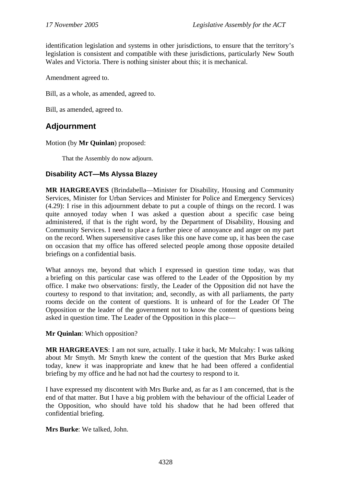identification legislation and systems in other jurisdictions, to ensure that the territory's legislation is consistent and compatible with these jurisdictions, particularly New South Wales and Victoria. There is nothing sinister about this; it is mechanical.

Amendment agreed to.

Bill, as a whole, as amended, agreed to.

Bill, as amended, agreed to.

# **Adjournment**

Motion (by **Mr Quinlan**) proposed:

That the Assembly do now adjourn.

# **Disability ACT—Ms Alyssa Blazey**

**MR HARGREAVES** (Brindabella—Minister for Disability, Housing and Community Services, Minister for Urban Services and Minister for Police and Emergency Services) (4.29): I rise in this adjournment debate to put a couple of things on the record. I was quite annoyed today when I was asked a question about a specific case being administered, if that is the right word, by the Department of Disability, Housing and Community Services. I need to place a further piece of annoyance and anger on my part on the record. When supersensitive cases like this one have come up, it has been the case on occasion that my office has offered selected people among those opposite detailed briefings on a confidential basis.

What annoys me, beyond that which I expressed in question time today, was that a briefing on this particular case was offered to the Leader of the Opposition by my office. I make two observations: firstly, the Leader of the Opposition did not have the courtesy to respond to that invitation; and, secondly, as with all parliaments, the party rooms decide on the content of questions. It is unheard of for the Leader Of The Opposition or the leader of the government not to know the content of questions being asked in question time. The Leader of the Opposition in this place—

**Mr Quinlan**: Which opposition?

**MR HARGREAVES**: I am not sure, actually. I take it back, Mr Mulcahy: I was talking about Mr Smyth. Mr Smyth knew the content of the question that Mrs Burke asked today, knew it was inappropriate and knew that he had been offered a confidential briefing by my office and he had not had the courtesy to respond to it.

I have expressed my discontent with Mrs Burke and, as far as I am concerned, that is the end of that matter. But I have a big problem with the behaviour of the official Leader of the Opposition, who should have told his shadow that he had been offered that confidential briefing.

**Mrs Burke**: We talked, John.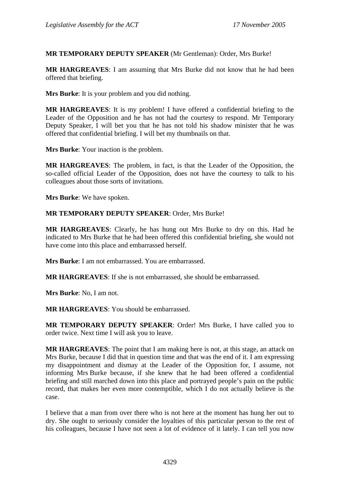### **MR TEMPORARY DEPUTY SPEAKER** (Mr Gentleman): Order, Mrs Burke!

**MR HARGREAVES**: I am assuming that Mrs Burke did not know that he had been offered that briefing.

**Mrs Burke**: It is your problem and you did nothing.

**MR HARGREAVES**: It is my problem! I have offered a confidential briefing to the Leader of the Opposition and he has not had the courtesy to respond. Mr Temporary Deputy Speaker, I will bet you that he has not told his shadow minister that he was offered that confidential briefing. I will bet my thumbnails on that.

**Mrs Burke**: Your inaction is the problem.

**MR HARGREAVES**: The problem, in fact, is that the Leader of the Opposition, the so-called official Leader of the Opposition, does not have the courtesy to talk to his colleagues about those sorts of invitations.

**Mrs Burke**: We have spoken.

**MR TEMPORARY DEPUTY SPEAKER**: Order, Mrs Burke!

**MR HARGREAVES**: Clearly, he has hung out Mrs Burke to dry on this. Had he indicated to Mrs Burke that he had been offered this confidential briefing, she would not have come into this place and embarrassed herself.

**Mrs Burke**: I am not embarrassed. You are embarrassed.

**MR HARGREAVES**: If she is not embarrassed, she should be embarrassed.

**Mrs Burke**: No, I am not.

**MR HARGREAVES**: You should be embarrassed.

**MR TEMPORARY DEPUTY SPEAKER**: Order! Mrs Burke, I have called you to order twice. Next time I will ask you to leave.

**MR HARGREAVES**: The point that I am making here is not, at this stage, an attack on Mrs Burke, because I did that in question time and that was the end of it. I am expressing my disappointment and dismay at the Leader of the Opposition for, I assume, not informing Mrs Burke because, if she knew that he had been offered a confidential briefing and still marched down into this place and portrayed people's pain on the public record, that makes her even more contemptible, which I do not actually believe is the case.

I believe that a man from over there who is not here at the moment has hung her out to dry. She ought to seriously consider the loyalties of this particular person to the rest of his colleagues, because I have not seen a lot of evidence of it lately. I can tell you now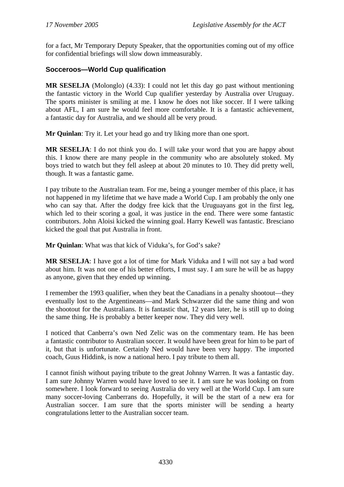for a fact, Mr Temporary Deputy Speaker, that the opportunities coming out of my office for confidential briefings will slow down immeasurably.

# **Socceroos—World Cup qualification**

**MR SESELJA** (Molonglo) (4.33): I could not let this day go past without mentioning the fantastic victory in the World Cup qualifier yesterday by Australia over Uruguay. The sports minister is smiling at me. I know he does not like soccer. If I were talking about AFL, I am sure he would feel more comfortable. It is a fantastic achievement, a fantastic day for Australia, and we should all be very proud.

**Mr Quinlan**: Try it. Let your head go and try liking more than one sport.

**MR SESELJA**: I do not think you do. I will take your word that you are happy about this. I know there are many people in the community who are absolutely stoked. My boys tried to watch but they fell asleep at about 20 minutes to 10. They did pretty well, though. It was a fantastic game.

I pay tribute to the Australian team. For me, being a younger member of this place, it has not happened in my lifetime that we have made a World Cup. I am probably the only one who can say that. After the dodgy free kick that the Uruguayans got in the first leg, which led to their scoring a goal, it was justice in the end. There were some fantastic contributors. John Aloisi kicked the winning goal. Harry Kewell was fantastic. Bresciano kicked the goal that put Australia in front.

**Mr Quinlan**: What was that kick of Viduka's, for God's sake?

**MR SESELJA**: I have got a lot of time for Mark Viduka and I will not say a bad word about him. It was not one of his better efforts, I must say. I am sure he will be as happy as anyone, given that they ended up winning.

I remember the 1993 qualifier, when they beat the Canadians in a penalty shootout—they eventually lost to the Argentineans—and Mark Schwarzer did the same thing and won the shootout for the Australians. It is fantastic that, 12 years later, he is still up to doing the same thing. He is probably a better keeper now. They did very well.

I noticed that Canberra's own Ned Zelic was on the commentary team. He has been a fantastic contributor to Australian soccer. It would have been great for him to be part of it, but that is unfortunate. Certainly Ned would have been very happy. The imported coach, Guus Hiddink, is now a national hero. I pay tribute to them all.

I cannot finish without paying tribute to the great Johnny Warren. It was a fantastic day. I am sure Johnny Warren would have loved to see it. I am sure he was looking on from somewhere. I look forward to seeing Australia do very well at the World Cup. I am sure many soccer-loving Canberrans do. Hopefully, it will be the start of a new era for Australian soccer. I am sure that the sports minister will be sending a hearty congratulations letter to the Australian soccer team.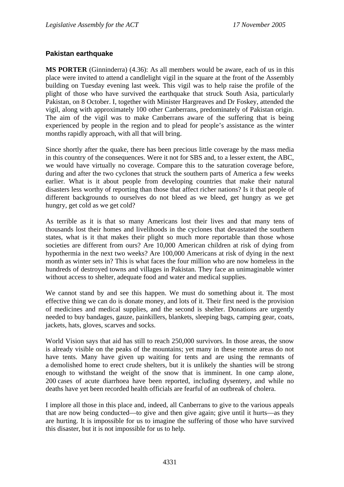### **Pakistan earthquake**

**MS PORTER** (Ginninderra) (4.36): As all members would be aware, each of us in this place were invited to attend a candlelight vigil in the square at the front of the Assembly building on Tuesday evening last week. This vigil was to help raise the profile of the plight of those who have survived the earthquake that struck South Asia, particularly Pakistan, on 8 October. I, together with Minister Hargreaves and Dr Foskey, attended the vigil, along with approximately 100 other Canberrans, predominately of Pakistan origin. The aim of the vigil was to make Canberrans aware of the suffering that is being experienced by people in the region and to plead for people's assistance as the winter months rapidly approach, with all that will bring.

Since shortly after the quake, there has been precious little coverage by the mass media in this country of the consequences. Were it not for SBS and, to a lesser extent, the ABC, we would have virtually no coverage. Compare this to the saturation coverage before, during and after the two cyclones that struck the southern parts of America a few weeks earlier. What is it about people from developing countries that make their natural disasters less worthy of reporting than those that affect richer nations? Is it that people of different backgrounds to ourselves do not bleed as we bleed, get hungry as we get hungry, get cold as we get cold?

As terrible as it is that so many Americans lost their lives and that many tens of thousands lost their homes and livelihoods in the cyclones that devastated the southern states, what is it that makes their plight so much more reportable than those whose societies are different from ours? Are 10,000 American children at risk of dying from hypothermia in the next two weeks? Are 100,000 Americans at risk of dying in the next month as winter sets in? This is what faces the four million who are now homeless in the hundreds of destroyed towns and villages in Pakistan. They face an unimaginable winter without access to shelter, adequate food and water and medical supplies.

We cannot stand by and see this happen. We must do something about it. The most effective thing we can do is donate money, and lots of it. Their first need is the provision of medicines and medical supplies, and the second is shelter. Donations are urgently needed to buy bandages, gauze, painkillers, blankets, sleeping bags, camping gear, coats, jackets, hats, gloves, scarves and socks.

World Vision says that aid has still to reach 250,000 survivors. In those areas, the snow is already visible on the peaks of the mountains; yet many in these remote areas do not have tents. Many have given up waiting for tents and are using the remnants of a demolished home to erect crude shelters, but it is unlikely the shanties will be strong enough to withstand the weight of the snow that is imminent. In one camp alone, 200 cases of acute diarrhoea have been reported, including dysentery, and while no deaths have yet been recorded health officials are fearful of an outbreak of cholera.

I implore all those in this place and, indeed, all Canberrans to give to the various appeals that are now being conducted—to give and then give again; give until it hurts—as they are hurting. It is impossible for us to imagine the suffering of those who have survived this disaster, but it is not impossible for us to help.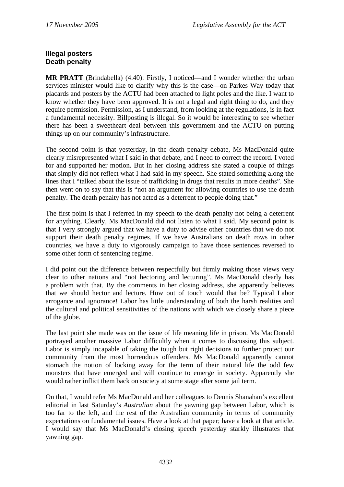## **Illegal posters Death penalty**

**MR PRATT** (Brindabella) (4.40): Firstly, I noticed—and I wonder whether the urban services minister would like to clarify why this is the case—on Parkes Way today that placards and posters by the ACTU had been attached to light poles and the like. I want to know whether they have been approved. It is not a legal and right thing to do, and they require permission. Permission, as I understand, from looking at the regulations, is in fact a fundamental necessity. Billposting is illegal. So it would be interesting to see whether there has been a sweetheart deal between this government and the ACTU on putting things up on our community's infrastructure.

The second point is that yesterday, in the death penalty debate, Ms MacDonald quite clearly misrepresented what I said in that debate, and I need to correct the record. I voted for and supported her motion. But in her closing address she stated a couple of things that simply did not reflect what I had said in my speech. She stated something along the lines that I "talked about the issue of trafficking in drugs that results in more deaths". She then went on to say that this is "not an argument for allowing countries to use the death penalty. The death penalty has not acted as a deterrent to people doing that."

The first point is that I referred in my speech to the death penalty not being a deterrent for anything. Clearly, Ms MacDonald did not listen to what I said. My second point is that I very strongly argued that we have a duty to advise other countries that we do not support their death penalty regimes. If we have Australians on death rows in other countries, we have a duty to vigorously campaign to have those sentences reversed to some other form of sentencing regime.

I did point out the difference between respectfully but firmly making those views very clear to other nations and "not hectoring and lecturing". Ms MacDonald clearly has a problem with that. By the comments in her closing address, she apparently believes that we should hector and lecture. How out of touch would that be? Typical Labor arrogance and ignorance! Labor has little understanding of both the harsh realities and the cultural and political sensitivities of the nations with which we closely share a piece of the globe.

The last point she made was on the issue of life meaning life in prison. Ms MacDonald portrayed another massive Labor difficultly when it comes to discussing this subject. Labor is simply incapable of taking the tough but right decisions to further protect our community from the most horrendous offenders. Ms MacDonald apparently cannot stomach the notion of locking away for the term of their natural life the odd few monsters that have emerged and will continue to emerge in society. Apparently she would rather inflict them back on society at some stage after some jail term.

On that, I would refer Ms MacDonald and her colleagues to Dennis Shanahan's excellent editorial in last Saturday's *Australian* about the yawning gap between Labor, which is too far to the left, and the rest of the Australian community in terms of community expectations on fundamental issues. Have a look at that paper; have a look at that article. I would say that Ms MacDonald's closing speech yesterday starkly illustrates that yawning gap.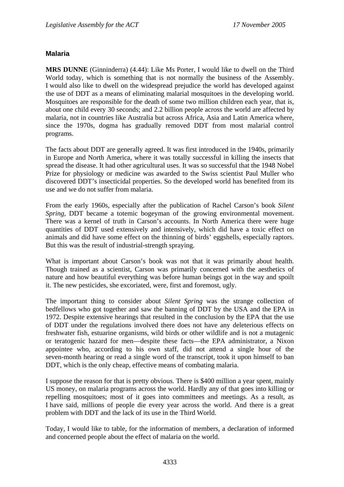### **Malaria**

**MRS DUNNE** (Ginninderra) (4.44): Like Ms Porter, I would like to dwell on the Third World today, which is something that is not normally the business of the Assembly. I would also like to dwell on the widespread prejudice the world has developed against the use of DDT as a means of eliminating malarial mosquitoes in the developing world. Mosquitoes are responsible for the death of some two million children each year, that is, about one child every 30 seconds; and 2.2 billion people across the world are affected by malaria, not in countries like Australia but across Africa, Asia and Latin America where, since the 1970s, dogma has gradually removed DDT from most malarial control programs.

The facts about DDT are generally agreed. It was first introduced in the 1940s, primarily in Europe and North America, where it was totally successful in killing the insects that spread the disease. It had other agricultural uses. It was so successful that the 1948 Nobel Prize for physiology or medicine was awarded to the Swiss scientist Paul Muller who discovered DDT's insecticidal properties. So the developed world has benefited from its use and we do not suffer from malaria.

From the early 1960s, especially after the publication of Rachel Carson's book *Silent Spring*, DDT became a totemic bogeyman of the growing environmental movement. There was a kernel of truth in Carson's accounts. In North America there were huge quantities of DDT used extensively and intensively, which did have a toxic effect on animals and did have some effect on the thinning of birds' eggshells, especially raptors. But this was the result of industrial-strength spraying.

What is important about Carson's book was not that it was primarily about health. Though trained as a scientist, Carson was primarily concerned with the aesthetics of nature and how beautiful everything was before human beings got in the way and spoilt it. The new pesticides, she excoriated, were, first and foremost, ugly.

The important thing to consider about *Silent Spring* was the strange collection of bedfellows who got together and saw the banning of DDT by the USA and the EPA in 1972. Despite extensive hearings that resulted in the conclusion by the EPA that the use of DDT under the regulations involved there does not have any deleterious effects on freshwater fish, estuarine organisms, wild birds or other wildlife and is not a mutagenic or teratogenic hazard for men—despite these facts—the EPA administrator, a Nixon appointee who, according to his own staff, did not attend a single hour of the seven-month hearing or read a single word of the transcript, took it upon himself to ban DDT, which is the only cheap, effective means of combating malaria.

I suppose the reason for that is pretty obvious. There is \$400 million a year spent, mainly US money, on malaria programs across the world. Hardly any of that goes into killing or repelling mosquitoes; most of it goes into committees and meetings. As a result, as I have said, millions of people die every year across the world. And there is a great problem with DDT and the lack of its use in the Third World.

Today, I would like to table, for the information of members, a declaration of informed and concerned people about the effect of malaria on the world.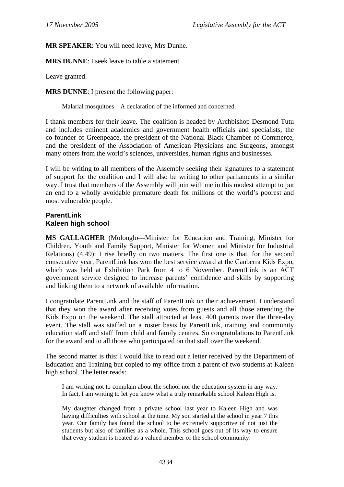### **MR SPEAKER**: You will need leave, Mrs Dunne.

**MRS DUNNE**: I seek leave to table a statement.

Leave granted.

**MRS DUNNE**: I present the following paper:

Malarial mosquitoes—A declaration of the informed and concerned.

I thank members for their leave. The coalition is headed by Archbishop Desmond Tutu and includes eminent academics and government health officials and specialists, the co-founder of Greenpeace, the president of the National Black Chamber of Commerce, and the president of the Association of American Physicians and Surgeons, amongst many others from the world's sciences, universities, human rights and businesses.

I will be writing to all members of the Assembly seeking their signatures to a statement of support for the coalition and I will also be writing to other parliaments in a similar way. I trust that members of the Assembly will join with me in this modest attempt to put an end to a wholly avoidable premature death for millions of the world's poorest and most vulnerable people.

#### **ParentLink Kaleen high school**

**MS GALLAGHER** (Molonglo—Minister for Education and Training, Minister for Children, Youth and Family Support, Minister for Women and Minister for Industrial Relations) (4.49): I rise briefly on two matters. The first one is that, for the second consecutive year, ParentLink has won the best service award at the Canberra Kids Expo, which was held at Exhibition Park from 4 to 6 November. ParentLink is an ACT government service designed to increase parents' confidence and skills by supporting and linking them to a network of available information.

I congratulate ParentLink and the staff of ParentLink on their achievement. I understand that they won the award after receiving votes from guests and all those attending the Kids Expo on the weekend. The stall attracted at least 400 parents over the three-day event. The stall was staffed on a roster basis by ParentLink, training and community education staff and staff from child and family centres. So congratulations to ParentLink for the award and to all those who participated on that stall over the weekend.

The second matter is this: I would like to read out a letter received by the Department of Education and Training but copied to my office from a parent of two students at Kaleen high school. The letter reads:

I am writing not to complain about the school nor the education system in any way. In fact, I am writing to let you know what a truly remarkable school Kaleen High is.

My daughter changed from a private school last year to Kaleen High and was having difficulties with school at the time. My son started at the school in year 7 this year. Our family has found the school to be extremely supportive of not just the students but also of families as a whole. This school goes out of its way to ensure that every student is treated as a valued member of the school community.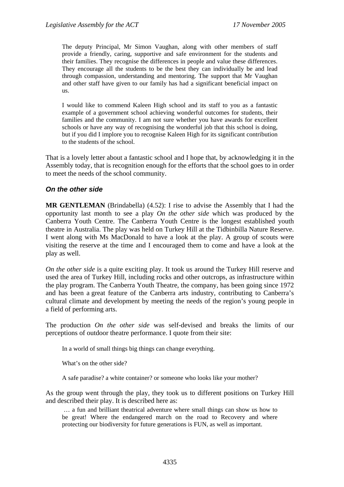The deputy Principal, Mr Simon Vaughan, along with other members of staff provide a friendly, caring, supportive and safe environment for the students and their families. They recognise the differences in people and value these differences. They encourage all the students to be the best they can individually be and lead through compassion, understanding and mentoring. The support that Mr Vaughan and other staff have given to our family has had a significant beneficial impact on us.

I would like to commend Kaleen High school and its staff to you as a fantastic example of a government school achieving wonderful outcomes for students, their families and the community. I am not sure whether you have awards for excellent schools or have any way of recognising the wonderful job that this school is doing, but if you did I implore you to recognise Kaleen High for its significant contribution to the students of the school.

That is a lovely letter about a fantastic school and I hope that, by acknowledging it in the Assembly today, that is recognition enough for the efforts that the school goes to in order to meet the needs of the school community.

#### *On the other side*

**MR GENTLEMAN** (Brindabella) (4.52): I rise to advise the Assembly that I had the opportunity last month to see a play *On the other side* which was produced by the Canberra Youth Centre. The Canberra Youth Centre is the longest established youth theatre in Australia. The play was held on Turkey Hill at the Tidbinbilla Nature Reserve. I went along with Ms MacDonald to have a look at the play. A group of scouts were visiting the reserve at the time and I encouraged them to come and have a look at the play as well.

*On the other side* is a quite exciting play. It took us around the Turkey Hill reserve and used the area of Turkey Hill, including rocks and other outcrops, as infrastructure within the play program. The Canberra Youth Theatre, the company, has been going since 1972 and has been a great feature of the Canberra arts industry, contributing to Canberra's cultural climate and development by meeting the needs of the region's young people in a field of performing arts.

The production *On the other side* was self-devised and breaks the limits of our perceptions of outdoor theatre performance. I quote from their site:

In a world of small things big things can change everything.

What's on the other side?

A safe paradise? a white container? or someone who looks like your mother?

As the group went through the play, they took us to different positions on Turkey Hill and described their play. It is described here as:

 … a fun and brilliant theatrical adventure where small things can show us how to be great! Where the endangered march on the road to Recovery and where protecting our biodiversity for future generations is FUN, as well as important.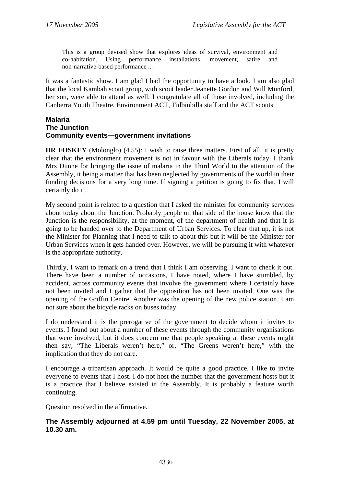This is a group devised show that explores ideas of survival, environment and co-habitation. Using performance installations, movement, satire and non-narrative-based performance ...

It was a fantastic show. I am glad I had the opportunity to have a look. I am also glad that the local Kambah scout group, with scout leader Jeanette Gordon and Will Munford, her son, were able to attend as well. I congratulate all of those involved, including the Canberra Youth Theatre, Environment ACT, Tidbinbilla staff and the ACT scouts.

#### **Malaria The Junction Community events—government invitations**

**DR FOSKEY** (Molonglo) (4.55): I wish to raise three matters. First of all, it is pretty clear that the environment movement is not in favour with the Liberals today. I thank Mrs Dunne for bringing the issue of malaria in the Third World to the attention of the Assembly, it being a matter that has been neglected by governments of the world in their funding decisions for a very long time. If signing a petition is going to fix that, I will certainly do it.

My second point is related to a question that I asked the minister for community services about today about the Junction. Probably people on that side of the house know that the Junction is the responsibility, at the moment, of the department of health and that it is going to be handed over to the Department of Urban Services. To clear that up, it is not the Minister for Planning that I need to talk to about this but it will be the Minister for Urban Services when it gets handed over. However, we will be pursuing it with whatever is the appropriate authority.

Thirdly, I want to remark on a trend that I think I am observing. I want to check it out. There have been a number of occasions, I have noted, where I have stumbled, by accident, across community events that involve the government where I certainly have not been invited and I gather that the opposition has not been invited. One was the opening of the Griffin Centre. Another was the opening of the new police station. I am not sure about the bicycle racks on buses today.

I do understand it is the prerogative of the government to decide whom it invites to events. I found out about a number of these events through the community organisations that were involved, but it does concern me that people speaking at these events might then say, "The Liberals weren't here," or, "The Greens weren't here," with the implication that they do not care.

I encourage a tripartisan approach. It would be quite a good practice. I like to invite everyone to events that I host. I do not host the number that the government hosts but it is a practice that I believe existed in the Assembly. It is probably a feature worth continuing.

Question resolved in the affirmative.

### **The Assembly adjourned at 4.59 pm until Tuesday, 22 November 2005, at 10.30 am.**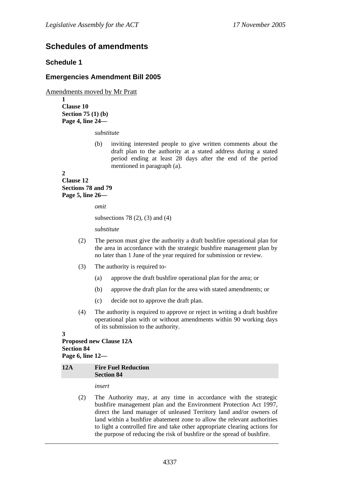# **Schedules of amendments**

### **Schedule 1**

### **Emergencies Amendment Bill 2005**

Amendments moved by Mr Pratt

**1 Clause 10 Section 75 (1) (b) Page 4, line 24—** 

*substitute* 

(b) inviting interested people to give written comments about the draft plan to the authority at a stated address during a stated period ending at least 28 days after the end of the period mentioned in paragraph (a).

**2 Clause 12 Sections 78 and 79 Page 5, line 26—** 

*omit* 

subsections 78 (2), (3) and (4)

*substitute* 

- (2) The person must give the authority a draft bushfire operational plan for the area in accordance with the strategic bushfire management plan by no later than 1 June of the year required for submission or review.
- (3) The authority is required to-
	- (a) approve the draft bushfire operational plan for the area; or
	- (b) approve the draft plan for the area with stated amendments; or
	- (c) decide not to approve the draft plan.
- (4) The authority is required to approve or reject in writing a draft bushfire operational plan with or without amendments within 90 working days of its submission to the authority.

#### **3**

**Proposed new Clause 12A Section 84 Page 6, line 12—** 

#### **12A Fire Fuel Reduction Section 84**

*insert* 

(2) The Authority may, at any time in accordance with the strategic bushfire management plan and the Environment Protection Act 1997, direct the land manager of unleased Territory land and/or owners of land within a bushfire abatement zone to allow the relevant authorities to light a controlled fire and take other appropriate clearing actions for the purpose of reducing the risk of bushfire or the spread of bushfire.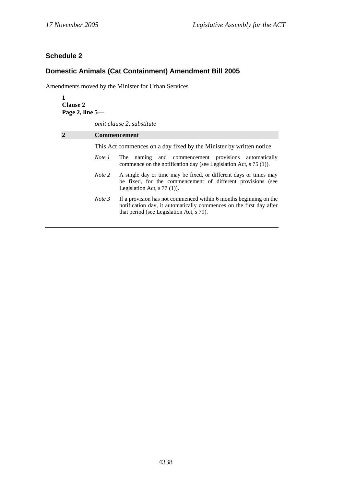# **Schedule 2**

# **Domestic Animals (Cat Containment) Amendment Bill 2005**

Amendments moved by the Minister for Urban Services

| <b>Clause 2</b><br>Page 2, line 5- |                                                                                                                                                                                                |               |  |
|------------------------------------|------------------------------------------------------------------------------------------------------------------------------------------------------------------------------------------------|---------------|--|
|                                    | <i>omit clause 2, substitute</i>                                                                                                                                                               |               |  |
| $\mathcal{D}$                      | <b>Commencement</b>                                                                                                                                                                            |               |  |
|                                    | This Act commences on a day fixed by the Minister by written notice.                                                                                                                           |               |  |
|                                    | naming and commencement provisions<br>Note 1<br>The<br>commence on the notification day (see Legislation Act, $s$ 75 (1)).                                                                     | automatically |  |
|                                    | Note 2<br>A single day or time may be fixed, or different days or times may<br>be fixed, for the commencement of different provisions (see<br>Legislation Act, $s$ 77 (1)).                    |               |  |
|                                    | Note 3<br>If a provision has not commenced within 6 months beginning on the<br>notification day, it automatically commences on the first day after<br>that period (see Legislation Act, s 79). |               |  |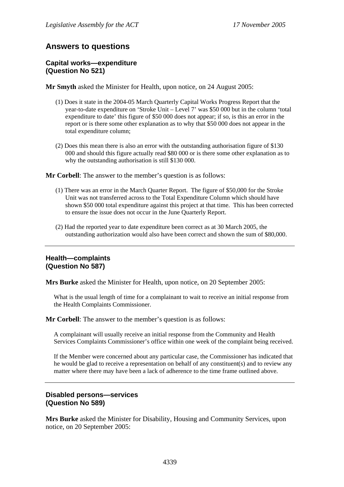# **Answers to questions**

#### **Capital works—expenditure (Question No 521)**

**Mr Smyth** asked the Minister for Health, upon notice, on 24 August 2005:

- (1) Does it state in the 2004-05 March Quarterly Capital Works Progress Report that the year-to-date expenditure on 'Stroke Unit – Level 7' was \$50 000 but in the column 'total expenditure to date' this figure of \$50 000 does not appear; if so, is this an error in the report or is there some other explanation as to why that \$50 000 does not appear in the total expenditure column;
- (2) Does this mean there is also an error with the outstanding authorisation figure of \$130 000 and should this figure actually read \$80 000 or is there some other explanation as to why the outstanding authorisation is still \$130 000.

**Mr Corbell**: The answer to the member's question is as follows:

- (1) There was an error in the March Quarter Report. The figure of \$50,000 for the Stroke Unit was not transferred across to the Total Expenditure Column which should have shown \$50 000 total expenditure against this project at that time. This has been corrected to ensure the issue does not occur in the June Quarterly Report.
- (2) Had the reported year to date expenditure been correct as at 30 March 2005, the outstanding authorization would also have been correct and shown the sum of \$80,000.

### **Health—complaints (Question No 587)**

**Mrs Burke** asked the Minister for Health, upon notice, on 20 September 2005:

What is the usual length of time for a complainant to wait to receive an initial response from the Health Complaints Commissioner.

**Mr Corbell**: The answer to the member's question is as follows:

A complainant will usually receive an initial response from the Community and Health Services Complaints Commissioner's office within one week of the complaint being received.

If the Member were concerned about any particular case, the Commissioner has indicated that he would be glad to receive a representation on behalf of any constituent(s) and to review any matter where there may have been a lack of adherence to the time frame outlined above.

## **Disabled persons—services (Question No 589)**

**Mrs Burke** asked the Minister for Disability, Housing and Community Services, upon notice, on 20 September 2005: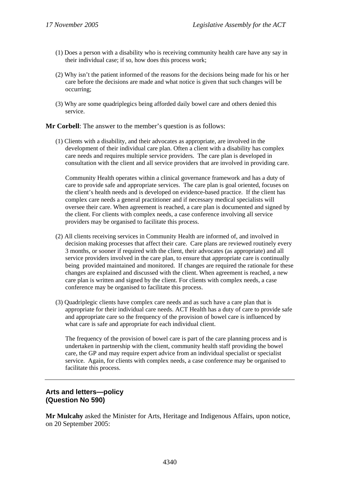- (1) Does a person with a disability who is receiving community health care have any say in their individual case; if so, how does this process work;
- (2) Why isn't the patient informed of the reasons for the decisions being made for his or her care before the decisions are made and what notice is given that such changes will be occurring;
- (3) Why are some quadriplegics being afforded daily bowel care and others denied this service.

**Mr Corbell**: The answer to the member's question is as follows:

(1) Clients with a disability, and their advocates as appropriate, are involved in the development of their individual care plan. Often a client with a disability has complex care needs and requires multiple service providers. The care plan is developed in consultation with the client and all service providers that are involved in providing care.

Community Health operates within a clinical governance framework and has a duty of care to provide safe and appropriate services. The care plan is goal oriented, focuses on the client's health needs and is developed on evidence-based practice. If the client has complex care needs a general practitioner and if necessary medical specialists will oversee their care. When agreement is reached, a care plan is documented and signed by the client. For clients with complex needs, a case conference involving all service providers may be organised to facilitate this process.

- (2) All clients receiving services in Community Health are informed of, and involved in decision making processes that affect their care. Care plans are reviewed routinely every 3 months, or sooner if required with the client, their advocates (as appropriate) and all service providers involved in the care plan, to ensure that appropriate care is continually being provided maintained and monitored. If changes are required the rationale for these changes are explained and discussed with the client. When agreement is reached, a new care plan is written and signed by the client. For clients with complex needs, a case conference may be organised to facilitate this process.
- (3) Quadriplegic clients have complex care needs and as such have a care plan that is appropriate for their individual care needs. ACT Health has a duty of care to provide safe and appropriate care so the frequency of the provision of bowel care is influenced by what care is safe and appropriate for each individual client.

The frequency of the provision of bowel care is part of the care planning process and is undertaken in partnership with the client, community health staff providing the bowel care, the GP and may require expert advice from an individual specialist or specialist service. Again, for clients with complex needs, a case conference may be organised to facilitate this process.

# **Arts and letters—policy (Question No 590)**

**Mr Mulcahy** asked the Minister for Arts, Heritage and Indigenous Affairs, upon notice, on 20 September 2005: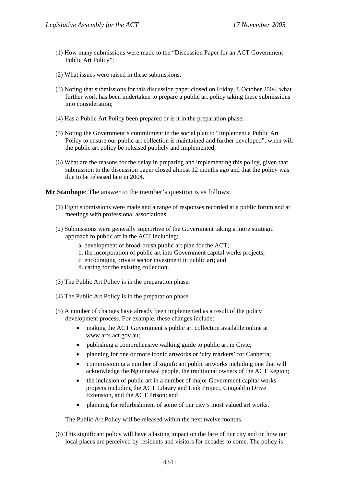- (1) How many submissions were made to the "Discussion Paper for an ACT Government Public Art Policy";
- (2) What issues were raised in these submissions;
- (3) Noting that submissions for this discussion paper closed on Friday, 8 October 2004, what further work has been undertaken to prepare a public art policy taking these submissions into consideration;
- (4) Has a Public Art Policy been prepared or is it in the preparation phase;
- (5) Noting the Government's commitment in the social plan to "Implement a Public Art Policy to ensure our public art collection is maintained and further developed", when will the public art policy be released publicly and implemented;
- (6) What are the reasons for the delay in preparing and implementing this policy, given that submission to the discussion paper closed almost 12 months ago and that the policy was due to be released late in 2004.

**Mr Stanhope**: The answer to the member's question is as follows:

- (1) Eight submissions were made and a range of responses recorded at a public forum and at meetings with professional associations.
- (2) Submissions were generally supportive of the Government taking a more strategic approach to public art in the ACT including:
	- a. development of broad-brush public art plan for the ACT;
	- b. the incorporation of public art into Government capital works projects;
	- c. encouraging private sector investment in public art; and
	- d. caring for the existing collection.
- (3) The Public Art Policy is in the preparation phase.
- (4) The Public Art Policy is in the preparation phase.
- (5) A number of changes have already been implemented as a result of the policy development process. For example, these changes include:
	- making the ACT Government's public art collection available online at www.arts.act.gov.au;
	- publishing a comprehensive walking guide to public art in Civic;
	- planning for one or more iconic artworks or 'city markers' for Canberra;
	- commissioning a number of significant public artworks including one that will acknowledge the Ngunnawal people, the traditional owners of the ACT Region;
	- the inclusion of public art in a number of major Government capital works projects including the ACT Library and Link Project, Gungahlin Drive Extension, and the ACT Prison; and
	- planning for refurbishment of some of our city's most valued art works.

The Public Art Policy will be released within the next twelve months.

(6) This significant policy will have a lasting impact on the face of our city and on how our local places are perceived by residents and visitors for decades to come. The policy is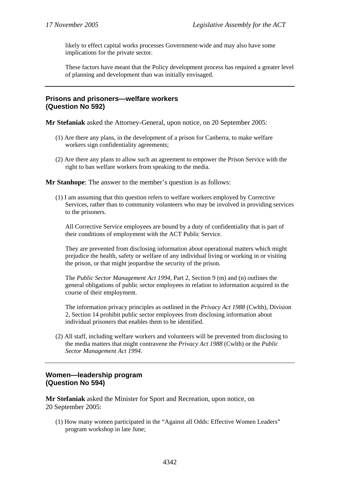likely to effect capital works processes Government-wide and may also have some implications for the private sector.

These factors have meant that the Policy development process has required a greater level of planning and development than was initially envisaged.

### **Prisons and prisoners—welfare workers (Question No 592)**

**Mr Stefaniak** asked the Attorney-General, upon notice, on 20 September 2005:

- (1) Are there any plans, in the development of a prison for Canberra, to make welfare workers sign confidentiality agreements;
- (2) Are there any plans to allow such an agreement to empower the Prison Service with the right to ban welfare workers from speaking to the media.

**Mr Stanhope**: The answer to the member's question is as follows:

(1) I am assuming that this question refers to welfare workers employed by Corrective Services, rather than to community volunteers who may be involved in providing services to the prisoners.

All Corrective Service employees are bound by a duty of confidentiality that is part of their conditions of employment with the ACT Public Service.

They are prevented from disclosing information about operational matters which might prejudice the health, safety or welfare of any individual living or working in or visiting the prison, or that might jeopardise the security of the prison.

The *Public Sector Management Act 1994*, Part 2, Section 9 (m) and (n) outlines the general obligations of public sector employees in relation to information acquired in the course of their employment.

The information privacy principles as outlined in the *Privacy Act 1988* (Cwlth), Division 2, Section 14 prohibit public sector employees from disclosing information about individual prisoners that enables them to be identified.

(2) All staff, including welfare workers and volunteers will be prevented from disclosing to the media matters that might contravene the *Privacy Act 1988* (Cwlth) or the *Public Sector Management Act 1994*.

# **Women—leadership program (Question No 594)**

**Mr Stefaniak** asked the Minister for Sport and Recreation, upon notice, on 20 September 2005:

(1) How many women participated in the "Against all Odds: Effective Women Leaders" program workshop in late June;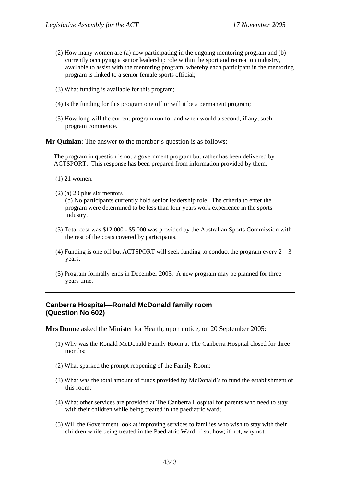- (2) How many women are (a) now participating in the ongoing mentoring program and (b) currently occupying a senior leadership role within the sport and recreation industry, available to assist with the mentoring program, whereby each participant in the mentoring program is linked to a senior female sports official;
- (3) What funding is available for this program;
- (4) Is the funding for this program one off or will it be a permanent program;
- (5) How long will the current program run for and when would a second, if any, such program commence.

**Mr Quinlan**: The answer to the member's question is as follows:

The program in question is not a government program but rather has been delivered by ACTSPORT. This response has been prepared from information provided by them.

- (1) 21 women.
- (2) (a) 20 plus six mentors

(b) No participants currently hold senior leadership role. The criteria to enter the program were determined to be less than four years work experience in the sports industry.

- (3) Total cost was \$12,000 \$5,000 was provided by the Australian Sports Commission with the rest of the costs covered by participants.
- (4) Funding is one off but ACTSPORT will seek funding to conduct the program every  $2 3$ years.
- (5) Program formally ends in December 2005. A new program may be planned for three years time.

# **Canberra Hospital—Ronald McDonald family room (Question No 602)**

**Mrs Dunne** asked the Minister for Health, upon notice, on 20 September 2005:

- (1) Why was the Ronald McDonald Family Room at The Canberra Hospital closed for three months;
- (2) What sparked the prompt reopening of the Family Room;
- (3) What was the total amount of funds provided by McDonald's to fund the establishment of this room;
- (4) What other services are provided at The Canberra Hospital for parents who need to stay with their children while being treated in the paediatric ward;
- (5) Will the Government look at improving services to families who wish to stay with their children while being treated in the Paediatric Ward; if so, how; if not, why not.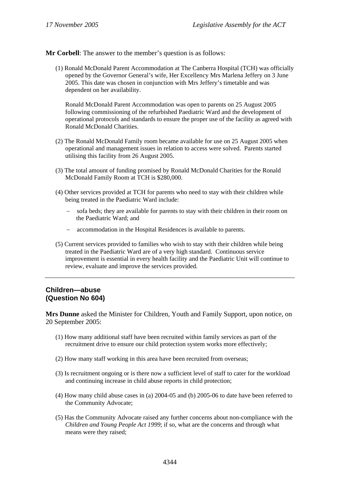**Mr Corbell**: The answer to the member's question is as follows:

(1) Ronald McDonald Parent Accommodation at The Canberra Hospital (TCH) was officially opened by the Governor General's wife, Her Excellency Mrs Marlena Jeffery on 3 June 2005. This date was chosen in conjunction with Mrs Jeffery's timetable and was dependent on her availability.

Ronald McDonald Parent Accommodation was open to parents on 25 August 2005 following commissioning of the refurbished Paediatric Ward and the development of operational protocols and standards to ensure the proper use of the facility as agreed with Ronald McDonald Charities.

- (2) The Ronald McDonald Family room became available for use on 25 August 2005 when operational and management issues in relation to access were solved. Parents started utilising this facility from 26 August 2005.
- (3) The total amount of funding promised by Ronald McDonald Charities for the Ronald McDonald Family Room at TCH is \$280,000.
- (4) Other services provided at TCH for parents who need to stay with their children while being treated in the Paediatric Ward include:
	- sofa beds; they are available for parents to stay with their children in their room on the Paediatric Ward; and
	- − accommodation in the Hospital Residences is available to parents.
- (5) Current services provided to families who wish to stay with their children while being treated in the Paediatric Ward are of a very high standard. Continuous service improvement is essential in every health facility and the Paediatric Unit will continue to review, evaluate and improve the services provided.

# **Children—abuse (Question No 604)**

**Mrs Dunne** asked the Minister for Children, Youth and Family Support, upon notice, on 20 September 2005:

- (1) How many additional staff have been recruited within family services as part of the recruitment drive to ensure our child protection system works more effectively;
- (2) How many staff working in this area have been recruited from overseas;
- (3) Is recruitment ongoing or is there now a sufficient level of staff to cater for the workload and continuing increase in child abuse reports in child protection;
- (4) How many child abuse cases in (a) 2004-05 and (b) 2005-06 to date have been referred to the Community Advocate;
- (5) Has the Community Advocate raised any further concerns about non-compliance with the *Children and Young People Act 1999*; if so, what are the concerns and through what means were they raised;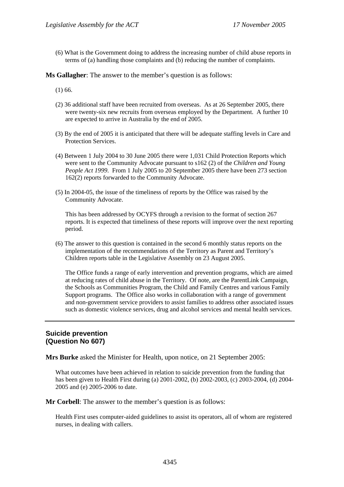(6) What is the Government doing to address the increasing number of child abuse reports in terms of (a) handling those complaints and (b) reducing the number of complaints.

**Ms Gallagher**: The answer to the member's question is as follows:

(1) 66.

- (2) 36 additional staff have been recruited from overseas. As at 26 September 2005, there were twenty-six new recruits from overseas employed by the Department. A further 10 are expected to arrive in Australia by the end of 2005.
- (3) By the end of 2005 it is anticipated that there will be adequate staffing levels in Care and Protection Services.
- (4) Between 1 July 2004 to 30 June 2005 there were 1,031 Child Protection Reports which were sent to the Community Advocate pursuant to s162 (2) of the *Children and Young People Act 1999*. From 1 July 2005 to 20 September 2005 there have been 273 section 162(2) reports forwarded to the Community Advocate.
- (5) In 2004-05, the issue of the timeliness of reports by the Office was raised by the Community Advocate.

This has been addressed by OCYFS through a revision to the format of section 267 reports. It is expected that timeliness of these reports will improve over the next reporting period.

(6) The answer to this question is contained in the second 6 monthly status reports on the implementation of the recommendations of the Territory as Parent and Territory's Children reports table in the Legislative Assembly on 23 August 2005.

The Office funds a range of early intervention and prevention programs, which are aimed at reducing rates of child abuse in the Territory. Of note, are the ParentLink Campaign, the Schools as Communities Program, the Child and Family Centres and various Family Support programs. The Office also works in collaboration with a range of government and non-government service providers to assist families to address other associated issues such as domestic violence services, drug and alcohol services and mental health services.

### **Suicide prevention (Question No 607)**

**Mrs Burke** asked the Minister for Health, upon notice, on 21 September 2005:

What outcomes have been achieved in relation to suicide prevention from the funding that has been given to Health First during (a) 2001-2002, (b) 2002-2003, (c) 2003-2004, (d) 2004- 2005 and (e) 2005-2006 to date.

**Mr Corbell**: The answer to the member's question is as follows:

Health First uses computer-aided guidelines to assist its operators, all of whom are registered nurses, in dealing with callers.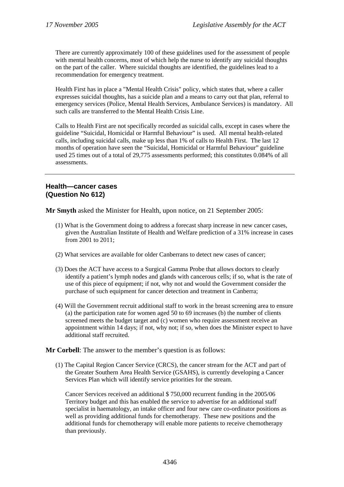There are currently approximately 100 of these guidelines used for the assessment of people with mental health concerns, most of which help the nurse to identify any suicidal thoughts on the part of the caller. Where suicidal thoughts are identified, the guidelines lead to a recommendation for emergency treatment.

Health First has in place a "Mental Health Crisis" policy, which states that, where a caller expresses suicidal thoughts, has a suicide plan and a means to carry out that plan, referral to emergency services (Police, Mental Health Services, Ambulance Services) is mandatory. All such calls are transferred to the Mental Health Crisis Line.

Calls to Health First are not specifically recorded as suicidal calls, except in cases where the guideline "Suicidal, Homicidal or Harmful Behaviour" is used. All mental health-related calls, including suicidal calls, make up less than 1% of calls to Health First. The last 12 months of operation have seen the "Suicidal, Homicidal or Harmful Behaviour" guideline used 25 times out of a total of 29,775 assessments performed; this constitutes 0.084% of all assessments.

### **Health—cancer cases (Question No 612)**

**Mr Smyth** asked the Minister for Health, upon notice, on 21 September 2005:

- (1) What is the Government doing to address a forecast sharp increase in new cancer cases, given the Australian Institute of Health and Welfare prediction of a 31% increase in cases from 2001 to 2011;
- (2) What services are available for older Canberrans to detect new cases of cancer;
- (3) Does the ACT have access to a Surgical Gamma Probe that allows doctors to clearly identify a patient's lymph nodes and glands with cancerous cells; if so, what is the rate of use of this piece of equipment; if not, why not and would the Government consider the purchase of such equipment for cancer detection and treatment in Canberra;
- (4) Will the Government recruit additional staff to work in the breast screening area to ensure (a) the participation rate for women aged 50 to 69 increases (b) the number of clients screened meets the budget target and (c) women who require assessment receive an appointment within 14 days; if not, why not; if so, when does the Minister expect to have additional staff recruited.

### **Mr Corbell**: The answer to the member's question is as follows:

(1) The Capital Region Cancer Service (CRCS), the cancer stream for the ACT and part of the Greater Southern Area Health Service (GSAHS), is currently developing a Cancer Services Plan which will identify service priorities for the stream.

Cancer Services received an additional \$ 750,000 recurrent funding in the 2005/06 Territory budget and this has enabled the service to advertise for an additional staff specialist in haematology, an intake officer and four new care co-ordinator positions as well as providing additional funds for chemotherapy. These new positions and the additional funds for chemotherapy will enable more patients to receive chemotherapy than previously.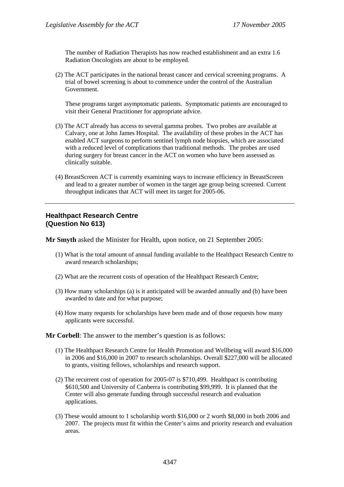The number of Radiation Therapists has now reached establishment and an extra 1.6 Radiation Oncologists are about to be employed.

(2) The ACT participates in the national breast cancer and cervical screening programs. A trial of bowel screening is about to commence under the control of the Australian Government.

These programs target asymptomatic patients. Symptomatic patients are encouraged to visit their General Practitioner for appropriate advice.

- (3) The ACT already has access to several gamma probes. Two probes are available at Calvary, one at John James Hospital. The availability of these probes in the ACT has enabled ACT surgeons to perform sentinel lymph node biopsies, which are associated with a reduced level of complications than traditional methods. The probes are used during surgery for breast cancer in the ACT on women who have been assessed as clinically suitable.
- (4) BreastScreen ACT is currently examining ways to increase efficiency in BreastScreen and lead to a greater number of women in the target age group being screened. Current throughput indicates that ACT will meet its target for 2005-06.

## **Healthpact Research Centre (Question No 613)**

**Mr Smyth** asked the Minister for Health, upon notice, on 21 September 2005:

- (1) What is the total amount of annual funding available to the Healthpact Research Centre to award research scholarships;
- (2) What are the recurrent costs of operation of the Healthpact Research Centre;
- (3) How many scholarships (a) is it anticipated will be awarded annually and (b) have been awarded to date and for what purpose;
- (4) How many requests for scholarships have been made and of those requests how many applicants were successful.

**Mr Corbell**: The answer to the member's question is as follows:

- (1) The Healthpact Research Centre for Health Promotion and Wellbeing will award \$16,000 in 2006 and \$16,000 in 2007 to research scholarships. Overall \$227,000 will be allocated to grants, visiting fellows, scholarships and research support.
- (2) The recurrent cost of operation for 2005-07 is \$710,499. Healthpact is contributing \$610,500 and University of Canberra is contributing \$99,999. It is planned that the Center will also generate funding through successful research and evaluation applications.
- (3) These would amount to 1 scholarship worth \$16,000 or 2 worth \$8,000 in both 2006 and 2007. The projects must fit within the Center's aims and priority research and evaluation areas.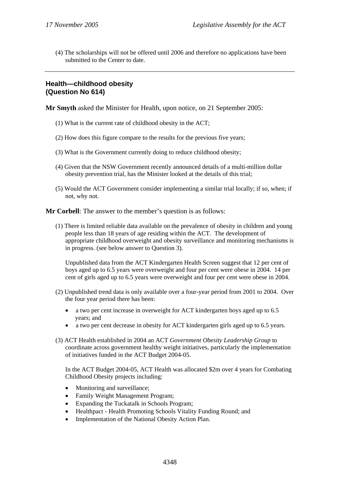(4) The scholarships will not be offered until 2006 and therefore no applications have been submitted to the Center to date.

# **Health—childhood obesity (Question No 614)**

**Mr Smyth** asked the Minister for Health, upon notice, on 21 September 2005:

- (1) What is the current rate of childhood obesity in the ACT;
- (2) How does this figure compare to the results for the previous five years;
- (3) What is the Government currently doing to reduce childhood obesity;
- (4) Given that the NSW Government recently announced details of a multi-million dollar obesity prevention trial, has the Minister looked at the details of this trial;
- (5) Would the ACT Government consider implementing a similar trial locally; if so, when; if not, why not.

**Mr Corbell**: The answer to the member's question is as follows:

(1) There is limited reliable data available on the prevalence of obesity in children and young people less than 18 years of age residing within the ACT. The development of appropriate childhood overweight and obesity surveillance and monitoring mechanisms is in progress. (see below answer to Question 3).

Unpublished data from the ACT Kindergarten Health Screen suggest that 12 per cent of boys aged up to 6.5 years were overweight and four per cent were obese in 2004. 14 per cent of girls aged up to 6.5 years were overweight and four per cent were obese in 2004.

- (2) Unpublished trend data is only available over a four-year period from 2001 to 2004. Over the four year period there has been:
	- a two per cent increase in overweight for ACT kindergarten boys aged up to 6.5 years; and
	- a two per cent decrease in obesity for ACT kindergarten girls aged up to 6.5 years.
- (3) ACT Health established in 2004 an ACT *Government Obesity Leadership Group* to coordinate across government healthy weight initiatives, particularly the implementation of initiatives funded in the ACT Budget 2004-05.

In the ACT Budget 2004-05, ACT Health was allocated \$2m over 4 years for Combating Childhood Obesity projects including:

- Monitoring and surveillance;
- Family Weight Management Program:
- Expanding the Tuckatalk in Schools Program;
- Healthpact Health Promoting Schools Vitality Funding Round; and
- Implementation of the National Obesity Action Plan.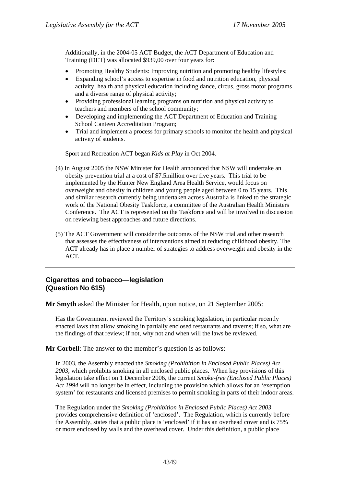Additionally, in the 2004-05 ACT Budget, the ACT Department of Education and Training (DET) was allocated \$939,00 over four years for:

- Promoting Healthy Students: Improving nutrition and promoting healthy lifestyles;
- Expanding school's access to expertise in food and nutrition education, physical activity, health and physical education including dance, circus, gross motor programs and a diverse range of physical activity;
- Providing professional learning programs on nutrition and physical activity to teachers and members of the school community;
- Developing and implementing the ACT Department of Education and Training School Canteen Accreditation Program;
- Trial and implement a process for primary schools to monitor the health and physical activity of students.

Sport and Recreation ACT began *Kids at Play* in Oct 2004.

- (4) In August 2005 the NSW Minister for Health announced that NSW will undertake an obesity prevention trial at a cost of \$7.5million over five years. This trial to be implemented by the Hunter New England Area Health Service, would focus on overweight and obesity in children and young people aged between 0 to 15 years. This and similar research currently being undertaken across Australia is linked to the strategic work of the National Obesity Taskforce, a committee of the Australian Health Ministers Conference. The ACT is represented on the Taskforce and will be involved in discussion on reviewing best approaches and future directions.
- (5) The ACT Government will consider the outcomes of the NSW trial and other research that assesses the effectiveness of interventions aimed at reducing childhood obesity. The ACT already has in place a number of strategies to address overweight and obesity in the ACT.

# **Cigarettes and tobacco—legislation (Question No 615)**

**Mr Smyth** asked the Minister for Health, upon notice, on 21 September 2005:

Has the Government reviewed the Territory's smoking legislation, in particular recently enacted laws that allow smoking in partially enclosed restaurants and taverns; if so, what are the findings of that review; if not, why not and when will the laws be reviewed.

**Mr Corbell**: The answer to the member's question is as follows:

In 2003, the Assembly enacted the *Smoking (Prohibition in Enclosed Public Places) Act 2003*, which prohibits smoking in all enclosed public places. When key provisions of this legislation take effect on 1 December 2006, the current *Smoke-free (Enclosed Public Places) Act 1994* will no longer be in effect, including the provision which allows for an 'exemption system' for restaurants and licensed premises to permit smoking in parts of their indoor areas.

The Regulation under the *Smoking (Prohibition in Enclosed Public Places) Act 2003* provides comprehensive definition of 'enclosed'. The Regulation, which is currently before the Assembly, states that a public place is 'enclosed' if it has an overhead cover and is 75% or more enclosed by walls and the overhead cover. Under this definition, a public place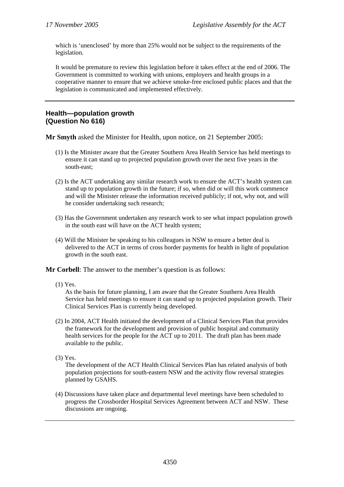which is 'unenclosed' by more than 25% would not be subject to the requirements of the legislation.

It would be premature to review this legislation before it takes effect at the end of 2006. The Government is committed to working with unions, employers and health groups in a cooperative manner to ensure that we achieve smoke-free enclosed public places and that the legislation is communicated and implemented effectively.

### **Health—population growth (Question No 616)**

**Mr Smyth** asked the Minister for Health, upon notice, on 21 September 2005:

- (1) Is the Minister aware that the Greater Southern Area Health Service has held meetings to ensure it can stand up to projected population growth over the next five years in the south-east;
- (2) Is the ACT undertaking any similar research work to ensure the ACT's health system can stand up to population growth in the future; if so, when did or will this work commence and will the Minister release the information received publicly; if not, why not, and will he consider undertaking such research;
- (3) Has the Government undertaken any research work to see what impact population growth in the south east will have on the ACT health system;
- (4) Will the Minister be speaking to his colleagues in NSW to ensure a better deal is delivered to the ACT in terms of cross border payments for health in light of population growth in the south east.

**Mr Corbell**: The answer to the member's question is as follows:

(1) Yes.

As the basis for future planning, I am aware that the Greater Southern Area Health Service has held meetings to ensure it can stand up to projected population growth. Their Clinical Services Plan is currently being developed.

- (2) In 2004, ACT Health initiated the development of a Clinical Services Plan that provides the framework for the development and provision of public hospital and community health services for the people for the ACT up to 2011. The draft plan has been made available to the public.
- (3) Yes.

The development of the ACT Health Clinical Services Plan has related analysis of both population projections for south-eastern NSW and the activity flow reversal strategies planned by GSAHS.

(4) Discussions have taken place and departmental level meetings have been scheduled to progress the Crossborder Hospital Services Agreement between ACT and NSW. These discussions are ongoing.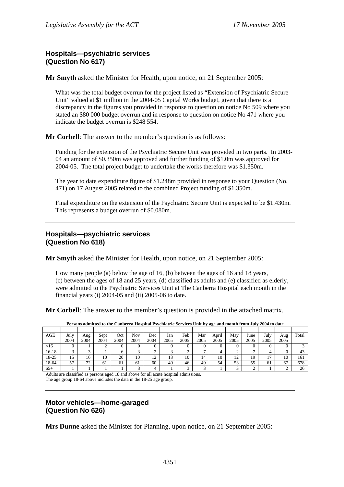# **Hospitals—psychiatric services (Question No 617)**

**Mr Smyth** asked the Minister for Health, upon notice, on 21 September 2005:

What was the total budget overrun for the project listed as "Extension of Psychiatric Secure Unit" valued at \$1 million in the 2004-05 Capital Works budget, given that there is a discrepancy in the figures you provided in response to question on notice No 509 where you stated an \$80 000 budget overrun and in response to question on notice No 471 where you indicate the budget overrun is \$248 554.

**Mr Corbell**: The answer to the member's question is as follows:

Funding for the extension of the Psychiatric Secure Unit was provided in two parts. In 2003- 04 an amount of \$0.350m was approved and further funding of \$1.0m was approved for 2004-05. The total project budget to undertake the works therefore was \$1.350m.

The year to date expenditure figure of \$1.248m provided in response to your Question (No. 471) on 17 August 2005 related to the combined Project funding of \$1.350m.

Final expenditure on the extension of the Psychiatric Secure Unit is expected to be \$1.430m. This represents a budget overrun of \$0.080m.

## **Hospitals—psychiatric services (Question No 618)**

**Mr Smyth** asked the Minister for Health, upon notice, on 21 September 2005:

How many people (a) below the age of 16, (b) between the ages of 16 and 18 years, (c) between the ages of 18 and 25 years, (d) classified as adults and (e) classified as elderly, were admitted to the Psychiatric Services Unit at The Canberra Hospital each month in the financial years (i) 2004-05 and (ii) 2005-06 to date.

**Mr Corbell**: The answer to the member's question is provided in the attached matrix.

| AGE    | July | Aug  | Sept | Oct  | Nov  | Dec      | Jan  | Feb  | Mar  | April | May  | June | July | Aug  | Total |
|--------|------|------|------|------|------|----------|------|------|------|-------|------|------|------|------|-------|
|        | 2004 | 2004 | 2004 | 2004 | 2004 | 2004     | 2005 | 2005 | 2005 | 2005  | 2005 | 2005 | 2005 | 2005 |       |
| $<$ 16 |      |      |      |      |      |          |      |      |      |       |      |      |      |      |       |
| 16-18  |      |      |      |      |      |          | ⌒    |      |      |       |      |      | 4    |      | 43    |
| 18-25  | 15   | 16   | 10   | 20   | 10   | ר ו<br>∸ | 13   | 10   | 14   | 10    | 12   | 19   | 17   | 10   | 161   |
| 18-64  | 57   | 72   | 61   | 61   | 61   | 60       | 49   | 46   | 49   | 54    | 53   | 55   | 61   | 67   | 678   |
| $65+$  |      |      |      |      | ⌒    | 4        |      |      | ⌒    |       |      | ◠    |      |      | 26    |

**Persons admitted to the Canberra Hospital Psychiatric Services Unit by age and month from July 2004 to date** 

Adults are classified as persons aged 18 and above for all acute hospital admissions. The age group 18-64 above includes the data in the 18-25 age group.

# **Motor vehicles—home-garaged (Question No 626)**

**Mrs Dunne** asked the Minister for Planning, upon notice, on 21 September 2005: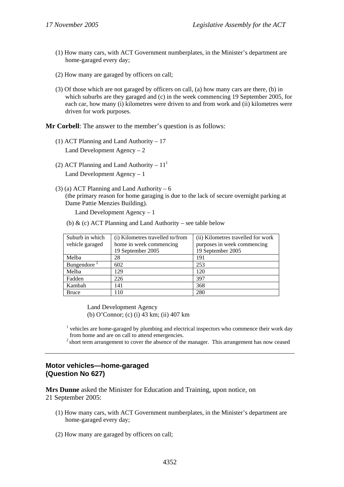- (1) How many cars, with ACT Government numberplates, in the Minister's department are home-garaged every day;
- (2) How many are garaged by officers on call;
- (3) Of those which are not garaged by officers on call, (a) how many cars are there, (b) in which suburbs are they garaged and (c) in the week commencing 19 September 2005, for each car, how many (i) kilometres were driven to and from work and (ii) kilometres were driven for work purposes.

**Mr Corbell:** The answer to the member's question is as follows:

- (1) ACT Planning and Land Authority 17 Land Development Agency – 2
- (2) ACT Planning and Land Authority  $11<sup>1</sup>$ Land Development Agency – 1
- (3) (a) ACT Planning and Land Authority  $6$ (the primary reason for home garaging is due to the lack of secure overnight parking at Dame Pattie Menzies Building).

Land Development Agency – 1

(b)  $\&$  (c) ACT Planning and Land Authority – see table below

| Suburb in which         | (i) Kilometres travelled to/from | (ii) Kilometres travelled for work |
|-------------------------|----------------------------------|------------------------------------|
| vehicle garaged         | home in week commencing          | purposes in week commencing        |
|                         | 19 September 2005                | 19 September 2005                  |
| Melba                   | 28                               | 191                                |
| Bungendore <sup>2</sup> | 602                              | 253                                |
| Melba                   | 129                              | 120                                |
| Fadden                  | 226                              | 397                                |
| Kambah                  | 141                              | 368                                |
| <b>Bruce</b>            | 110                              | 280                                |

Land Development Agency (b) O'Connor; (c) (i) 43 km; (ii) 407 km

 $<sup>1</sup>$  vehicles are home-garaged by plumbing and electrical inspectors who commence their work day</sup> from home and are on call to attend emergencies.

<sup>2</sup> short term arrangement to cover the absence of the manager. This arrangement has now ceased

### **Motor vehicles—home-garaged (Question No 627)**

**Mrs Dunne** asked the Minister for Education and Training, upon notice, on 21 September 2005:

- (1) How many cars, with ACT Government numberplates, in the Minister's department are home-garaged every day;
- (2) How many are garaged by officers on call;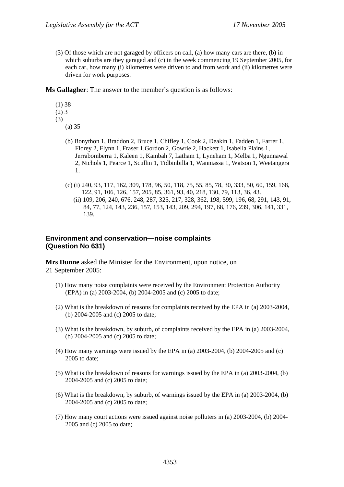(3) Of those which are not garaged by officers on call, (a) how many cars are there, (b) in which suburbs are they garaged and (c) in the week commencing 19 September 2005, for each car, how many (i) kilometres were driven to and from work and (ii) kilometres were driven for work purposes.

**Ms Gallagher**: The answer to the member's question is as follows:

- (1) 38
- $(2)$  3
- (3)
	- (a) 35
		- (b) Bonython 1, Braddon 2, Bruce 1, Chifley 1, Cook 2, Deakin 1, Fadden 1, Farrer 1, Florey 2, Flynn 1, Fraser 1,Gordon 2, Gowrie 2, Hackett 1, Isabella Plains 1, Jerrabomberra 1, Kaleen 1, Kambah 7, Latham 1, Lyneham 1, Melba 1, Ngunnawal 2, Nichols 1, Pearce 1, Scullin 1, Tidbinbilla 1, Wanniassa 1, Watson 1, Weetangera 1.
		- (c) (i) 240, 93, 117, 162, 309, 178, 96, 50, 118, 75, 55, 85, 78, 30, 333, 50, 60, 159, 168, 122, 91, 106, 126, 157, 205, 85, 361, 93, 40, 218, 130, 79, 113, 36, 43.
			- (ii) 109, 206, 240, 676, 248, 287, 325, 217, 328, 362, 198, 599, 196, 68, 291, 143, 91, 84, 77, 124, 143, 236, 157, 153, 143, 209, 294, 197, 68, 176, 239, 306, 141, 331, 139.

## **Environment and conservation—noise complaints (Question No 631)**

**Mrs Dunne** asked the Minister for the Environment, upon notice, on 21 September 2005:

- (1) How many noise complaints were received by the Environment Protection Authority (EPA) in (a) 2003-2004, (b) 2004-2005 and (c) 2005 to date;
- (2) What is the breakdown of reasons for complaints received by the EPA in (a) 2003-2004, (b) 2004-2005 and (c) 2005 to date;
- (3) What is the breakdown, by suburb, of complaints received by the EPA in (a) 2003-2004, (b) 2004-2005 and (c) 2005 to date;
- (4) How many warnings were issued by the EPA in (a) 2003-2004, (b) 2004-2005 and (c) 2005 to date;
- (5) What is the breakdown of reasons for warnings issued by the EPA in (a) 2003-2004, (b) 2004-2005 and (c) 2005 to date;
- (6) What is the breakdown, by suburb, of warnings issued by the EPA in (a) 2003-2004, (b) 2004-2005 and (c) 2005 to date;
- (7) How many court actions were issued against noise polluters in (a) 2003-2004, (b) 2004- 2005 and (c) 2005 to date;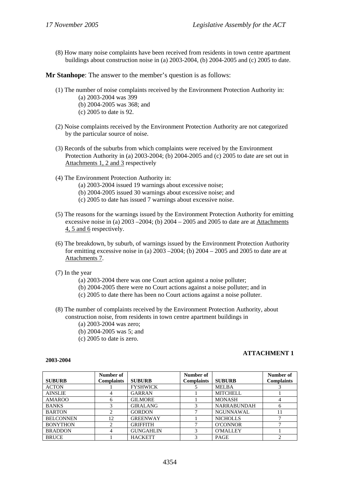(8) How many noise complaints have been received from residents in town centre apartment buildings about construction noise in (a) 2003-2004, (b) 2004-2005 and (c) 2005 to date.

**Mr Stanhope**: The answer to the member's question is as follows:

- (1) The number of noise complaints received by the Environment Protection Authority in:
	- (a) 2003-2004 was 399
	- (b) 2004-2005 was 368; and
	- (c) 2005 to date is 92.
- (2) Noise complaints received by the Environment Protection Authority are not categorized by the particular source of noise.
- (3) Records of the suburbs from which complaints were received by the Environment Protection Authority in (a) 2003-2004; (b) 2004-2005 and (c) 2005 to date are set out in Attachments 1, 2 and 3 respectively
- (4) The Environment Protection Authority in:
	- (a) 2003-2004 issued 19 warnings about excessive noise;
	- (b) 2004-2005 issued 30 warnings about excessive noise; and
	- (c) 2005 to date has issued 7 warnings about excessive noise.
- (5) The reasons for the warnings issued by the Environment Protection Authority for emitting excessive noise in (a)  $2003 - 2004$ ; (b)  $2004 - 2005$  and 2005 to date are at Attachments 4, 5 and 6 respectively.
- (6) The breakdown, by suburb, of warnings issued by the Environment Protection Authority for emitting excessive noise in (a)  $2003 - 2004$ ; (b)  $2004 - 2005$  and  $2005$  to date are at Attachments 7.
- (7) In the year
	- (a) 2003-2004 there was one Court action against a noise polluter;
	- (b) 2004-2005 there were no Court actions against a noise polluter; and in
	- (c) 2005 to date there has been no Court actions against a noise polluter.
- (8) The number of complaints received by the Environment Protection Authority, about construction noise, from residents in town centre apartment buildings in
	- (a) 2003-2004 was zero;
	- (b) 2004-2005 was 5; and
	- (c) 2005 to date is zero.

#### **2003-2004**

### **ATTACHMENT 1**

|                  | Number of  |                  | Number of         |                    | Number of         |
|------------------|------------|------------------|-------------------|--------------------|-------------------|
| <b>SUBURB</b>    | Complaints | <b>SUBURB</b>    | <b>Complaints</b> | <b>SUBURB</b>      | <b>Complaints</b> |
| <b>ACTON</b>     |            | <b>FYSHWICK</b>  |                   | <b>MELBA</b>       |                   |
| <b>AINSLIE</b>   |            | <b>GARRAN</b>    |                   | <b>MITCHELL</b>    |                   |
| <b>AMAROO</b>    | 6          | <b>GILMORE</b>   |                   | <b>MONASH</b>      |                   |
| <b>BANKS</b>     |            | <b>GIRALANG</b>  |                   | <b>NARRABUNDAH</b> | 6                 |
| <b>BARTON</b>    | 2          | <b>GORDON</b>    |                   | <b>NGUNNAWAL</b>   | 11                |
| <b>BELCONNEN</b> | 12         | <b>GREENWAY</b>  |                   | <b>NICHOLLS</b>    |                   |
| <b>BONYTHON</b>  | ↑          | <b>GRIFFITH</b>  |                   | <b>O'CONNOR</b>    |                   |
| <b>BRADDON</b>   |            | <b>GUNGAHLIN</b> |                   | <b>O'MALLEY</b>    |                   |
| <b>BRUCE</b>     |            | <b>HACKETT</b>   | 2                 | <b>PAGE</b>        |                   |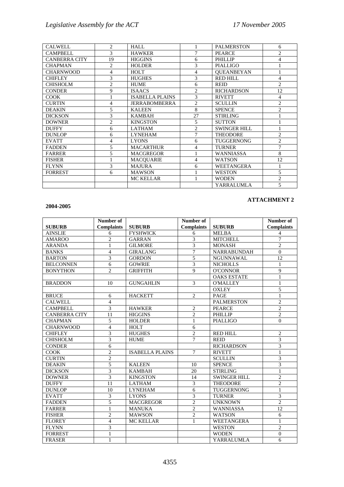| <b>CALWELL</b>       | 2              | <b>HALL</b>            |                | <b>PALMERSTON</b>   | 6              |
|----------------------|----------------|------------------------|----------------|---------------------|----------------|
| <b>CAMPBELL</b>      | 3              | <b>HAWKER</b>          | 7              | <b>PEARCE</b>       | $\overline{c}$ |
| <b>CANBERRA CITY</b> | 19             | <b>HIGGINS</b>         | 6              | <b>PHILLIP</b>      | 4              |
| <b>CHAPMAN</b>       | 2              | <b>HOLDER</b>          | 3              | <b>PIALLIGO</b>     |                |
| <b>CHARNWOOD</b>     | 4              | HOLT                   | 4              | <b>OUEANBEYAN</b>   |                |
| <b>CHIFLEY</b>       | 3              | <b>HUGHES</b>          | 3              | RED HILL            | 4              |
| <b>CHISHOLM</b>      | $\overline{c}$ | <b>HUME</b>            | 6              | <b>REID</b>         | $\mathfrak{D}$ |
| <b>CONDER</b>        | 9              | <b>ISAACS</b>          | 2              | <b>RICHARDSON</b>   | 12             |
| <b>COOK</b>          |                | <b>ISABELLA PLAINS</b> | 3              | <b>RIVETT</b>       | 4              |
| <b>CURTIN</b>        | 4              | <b>JERRABOMBERRA</b>   | $\mathfrak{D}$ | <b>SCULLIN</b>      | $\overline{c}$ |
| <b>DEAKIN</b>        | 5              | <b>KALEEN</b>          | 8              | <b>SPENCE</b>       | $\overline{c}$ |
| <b>DICKSON</b>       | 3              | <b>KAMBAH</b>          | 27             | <b>STIRLING</b>     |                |
| <b>DOWNER</b>        | $\overline{c}$ | <b>KINGSTON</b>        | 5              | <b>SUTTON</b>       |                |
| <b>DUFFY</b>         | 6              | <b>LATHAM</b>          | $\mathfrak{D}$ | <b>SWINGER HILL</b> |                |
| <b>DUNLOP</b>        | 6              | <b>LYNEHAM</b>         | 7              | <b>THEODORE</b>     | $\overline{c}$ |
| <b>EVATT</b>         | 4              | <b>LYONS</b>           | 6              | <b>TUGGERNONG</b>   | $\overline{c}$ |
| <b>FADDEN</b>        | 5              | <b>MACARTHUR</b>       | 4              | <b>TURNER</b>       | 7              |
| <b>FARRER</b>        | 5              | <b>MACGREGOR</b>       |                | <b>WANNIASSA</b>    | 8              |
| <b>FISHER</b>        |                | <b>MACOUARIE</b>       | 4              | <b>WATSON</b>       | 12             |
| <b>FLYNN</b>         | 3              | <b>MAJURA</b>          | 6              | <b>WEETANGERA</b>   |                |
| <b>FORREST</b>       | 6              | <b>MAWSON</b>          |                | <b>WESTON</b>       | 5              |
|                      |                | <b>MC KELLAR</b>       |                | <b>WODEN</b>        | $\overline{2}$ |
|                      |                |                        |                | YARRALUMLA          | 5              |

### **2004-2005**

### **ATTACHMENT 2**

|                      | Number of         |                        | Number of               |                     | Number of         |
|----------------------|-------------------|------------------------|-------------------------|---------------------|-------------------|
| <b>SUBURB</b>        | <b>Complaints</b> | <b>SUBURB</b>          | <b>Complaints</b>       | <b>SUBURB</b>       | <b>Complaints</b> |
| <b>AINSLIE</b>       | 6                 | <b>FYSHWICK</b>        | 6                       | <b>MELBA</b>        | 4                 |
| <b>AMAROO</b>        | $\overline{c}$    | <b>GARRAN</b>          | 3                       | <b>MITCHELL</b>     | 7                 |
| <b>ARANDA</b>        | 1                 | <b>GILMORE</b>         | 3                       | <b>MONASH</b>       | $\overline{c}$    |
| <b>BANKS</b>         | $\overline{4}$    | <b>GIRALANG</b>        | $\overline{7}$          | NARRABUNDAH         | $\overline{0}$    |
| <b>BARTON</b>        | 3                 | <b>GORDON</b>          | 5                       | <b>NGUNNAWAL</b>    | 12                |
| <b>BELCONNEN</b>     | 6                 | <b>GOWRIE</b>          | $\overline{3}$          | <b>NICHOLLS</b>     | 1                 |
| <b>BONYTHON</b>      | $\overline{2}$    | <b>GRIFFITH</b>        | 9                       | <b>O'CONNOR</b>     | $\overline{9}$    |
|                      |                   |                        |                         | <b>OAKS ESTATE</b>  | 1                 |
| <b>BRADDON</b>       | 10                | <b>GUNGAHLIN</b>       | 3                       | <b>O'MALLEY</b>     | 1                 |
|                      |                   |                        |                         | <b>OXLEY</b>        | 5                 |
| <b>BRUCE</b>         | 6                 | <b>HACKETT</b>         | $\overline{2}$          | <b>PAGE</b>         | 1                 |
| <b>CALWELL</b>       | $\overline{4}$    |                        |                         | <b>PALMERSTON</b>   | $\overline{2}$    |
| <b>CAMPBELL</b>      | $\overline{3}$    | <b>HAWKER</b>          | $\overline{2}$          | <b>PEARCE</b>       | $\overline{2}$    |
| <b>CANBERRA CITY</b> | 11                | <b>HIGGINS</b>         | $\overline{2}$          | <b>PHILLIP</b>      | $\overline{2}$    |
| <b>CHAPMAN</b>       | 5                 | <b>HOLDER</b>          | $\mathbf{1}$            | <b>PIALLIGO</b>     | $\theta$          |
| <b>CHARNWOOD</b>     | $\overline{4}$    | <b>HOLT</b>            | 6                       |                     |                   |
| <b>CHIFLEY</b>       | 3                 | <b>HUGHES</b>          | $\overline{2}$          | <b>RED HILL</b>     | $\overline{2}$    |
| <b>CHISHOLM</b>      | 3                 | <b>HUME</b>            | $\overline{7}$          | <b>REID</b>         | 3                 |
| <b>CONDER</b>        | 6                 |                        |                         | <b>RICHARDSON</b>   | 3                 |
| <b>COOK</b>          | $\overline{2}$    | <b>ISABELLA PLAINS</b> | $\overline{7}$          | <b>RIVETT</b>       | $\mathbf{1}$      |
| <b>CURTIN</b>        | $\overline{c}$    |                        |                         | <b>SCULLIN</b>      | 3                 |
| <b>DEAKIN</b>        | 5                 | <b>KALEEN</b>          | 10                      | <b>SPENCE</b>       | 3                 |
| <b>DICKSON</b>       | $\overline{3}$    | <b>KAMBAH</b>          | 20                      | <b>STIRLING</b>     | $\mathbf{1}$      |
| <b>DOWNER</b>        | $\overline{3}$    | <b>KINGSTON</b>        | 14                      | <b>SWINGER HILL</b> | $\overline{c}$    |
| <b>DUFFY</b>         | 11                | <b>LATHAM</b>          | $\overline{\mathbf{3}}$ | <b>THEODORE</b>     | $\overline{2}$    |
| <b>DUNLOP</b>        | 10                | <b>LYNEHAM</b>         | 6                       | <b>TUGGERNONG</b>   | 1                 |
| <b>EVATT</b>         | 3                 | <b>LYONS</b>           | $\overline{3}$          | <b>TURNER</b>       | 3                 |
| <b>FADDEN</b>        | 5                 | <b>MACGREGOR</b>       | $\overline{2}$          | <b>UNKNOWN</b>      | $\overline{c}$    |
| <b>FARRER</b>        | $\mathbf{1}$      | <b>MANUKA</b>          | $\overline{c}$          | <b>WANNIASSA</b>    | 12                |
| <b>FISHER</b>        | $\overline{2}$    | <b>MAWSON</b>          | $\overline{2}$          | <b>WATSON</b>       | 6                 |
| <b>FLOREY</b>        | $\overline{4}$    | <b>MC KELLAR</b>       | $\mathbf{1}$            | WEETANGERA          | 1                 |
| <b>FLYNN</b>         | 3                 |                        |                         | <b>WESTON</b>       | $\overline{2}$    |
| <b>FORREST</b>       | 1                 |                        |                         | <b>WODEN</b>        | $\overline{0}$    |
| <b>FRASER</b>        | $\mathbf{1}$      |                        |                         | <b>YARRALUMLA</b>   | $\overline{6}$    |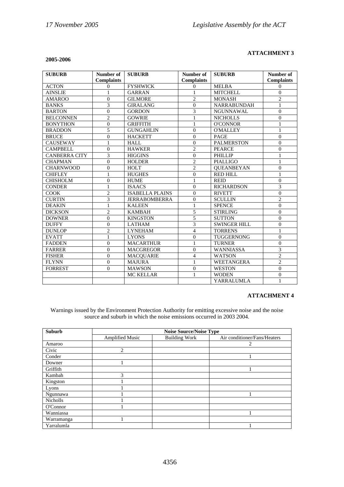#### **2005-2006**

#### **ATTACHMENT 3**

| <b>SUBURB</b>        | Number of         | <b>SUBURB</b>          | Number of         | <b>SUBURB</b>       | Number of         |
|----------------------|-------------------|------------------------|-------------------|---------------------|-------------------|
|                      | <b>Complaints</b> |                        | <b>Complaints</b> |                     | <b>Complaints</b> |
| <b>ACTON</b>         | $\Omega$          | <b>FYSHWICK</b>        | $\Omega$          | <b>MELBA</b>        | $\Omega$          |
| <b>AINSLIE</b>       | 1                 | <b>GARRAN</b>          | 1                 | <b>MITCHELL</b>     | $\theta$          |
| <b>AMAROO</b>        | $\overline{0}$    | <b>GILMORE</b>         | $\overline{2}$    | <b>MONASH</b>       | $\overline{c}$    |
| <b>BANKS</b>         | 3                 | <b>GIRALANG</b>        | $\theta$          | <b>NARRABUNDAH</b>  | 1                 |
| <b>BARTON</b>        | $\theta$          | <b>GORDON</b>          | 3                 | <b>NGUNNAWAL</b>    | $\Omega$          |
| <b>BELCONNEN</b>     | $\overline{2}$    | <b>GOWRIE</b>          | $\mathbf{1}$      | <b>NICHOLLS</b>     | $\overline{0}$    |
| <b>BONYTHON</b>      | $\theta$          | <b>GRIFFITH</b>        | $\mathbf{1}$      | <b>O'CONNOR</b>     | 1                 |
| <b>BRADDON</b>       | 5                 | <b>GUNGAHLIN</b>       | $\theta$          | <b>O'MALLEY</b>     | 1                 |
| <b>BRUCE</b>         | $\theta$          | <b>HACKETT</b>         | $\theta$          | <b>PAGE</b>         | $\theta$          |
| <b>CAUSEWAY</b>      | 1                 | HALL                   | $\theta$          | <b>PALMERSTON</b>   | $\theta$          |
| <b>CAMPBELL</b>      | $\theta$          | <b>HAWKER</b>          | $\overline{2}$    | <b>PEARCE</b>       | $\theta$          |
| <b>CANBERRA CITY</b> | 3                 | <b>HIGGINS</b>         | $\mathbf{0}$      | <b>PHILLIP</b>      | 1                 |
| <b>CHAPMAN</b>       | $\theta$          | <b>HOLDER</b>          | $\overline{2}$    | <b>PIALLIGO</b>     | 1                 |
| <b>CHARNWOOD</b>     | $\mathbf{0}$      | <b>HOLT</b>            | $\overline{2}$    | <b>OUEANBEYAN</b>   | $\overline{0}$    |
| <b>CHIFLEY</b>       | 1                 | <b>HUGHES</b>          | $\Omega$          | <b>RED HILL</b>     | 1                 |
| <b>CHISHOLM</b>      | $\theta$          | <b>HUME</b>            | 1                 | <b>REID</b>         | $\Omega$          |
| <b>CONDER</b>        | 1                 | <b>ISAACS</b>          | $\theta$          | <b>RICHARDSON</b>   | 3                 |
| <b>COOK</b>          | $\overline{c}$    | <b>ISABELLA PLAINS</b> | $\overline{0}$    | <b>RIVETT</b>       | $\overline{0}$    |
| <b>CURTIN</b>        | 3                 | <b>JERRABOMBERRA</b>   | $\mathbf{0}$      | <b>SCULLIN</b>      | $\overline{2}$    |
| <b>DEAKIN</b>        | 1                 | <b>KALEEN</b>          | 1                 | <b>SPENCE</b>       | $\theta$          |
| <b>DICKSON</b>       | $\overline{c}$    | <b>KAMBAH</b>          | 5                 | <b>STIRLING</b>     | $\Omega$          |
| <b>DOWNER</b>        | $\overline{0}$    | <b>KINGSTON</b>        | 5                 | <b>SUTTON</b>       | $\theta$          |
| <b>DUFFY</b>         | $\mathbf{0}$      | <b>LATHAM</b>          | 3                 | <b>SWINGER HILL</b> | $\Omega$          |
| <b>DUNLOP</b>        | $\overline{2}$    | <b>LYNEHAM</b>         | $\overline{4}$    | <b>TORRENS</b>      | 1                 |
| <b>EVATT</b>         | 1                 | <b>LYONS</b>           | $\theta$          | <b>TUGGERNONG</b>   | $\theta$          |
| <b>FADDEN</b>        | $\theta$          | <b>MACARTHUR</b>       | 1                 | <b>TURNER</b>       | $\Omega$          |
| <b>FARRER</b>        | $\Omega$          | <b>MACGREGOR</b>       | $\theta$          | WANNIASSA           | 3                 |
| <b>FISHER</b>        | $\overline{0}$    | <b>MACOUARIE</b>       | $\overline{4}$    | <b>WATSON</b>       | $\overline{c}$    |
| <b>FLYNN</b>         | $\theta$          | <b>MAJURA</b>          | 1                 | WEETANGERA          | $\overline{c}$    |
| <b>FORREST</b>       | $\theta$          | <b>MAWSON</b>          | $\mathbf{0}$      | <b>WESTON</b>       | $\theta$          |
|                      |                   | <b>MC KELLAR</b>       | 1                 | <b>WODEN</b>        | $\overline{0}$    |
|                      |                   |                        |                   | YARRALUMLA          | 1                 |

#### **ATTACHMENT 4**

Warnings issued by the Environment Protection Authority for emitting excessive noise and the noise source and suburb in which the noise emissions occurred in 2003 2004.

| <b>Suburb</b>   | <b>Noise Source/Noise Type</b> |                      |                              |  |  |  |
|-----------------|--------------------------------|----------------------|------------------------------|--|--|--|
|                 | <b>Amplified Music</b>         | <b>Building Work</b> | Air conditioner/Fans/Heaters |  |  |  |
| Amaroo          |                                |                      | 2                            |  |  |  |
| Civic           | 2                              |                      |                              |  |  |  |
| Conder          |                                |                      |                              |  |  |  |
| Downer          |                                |                      |                              |  |  |  |
| Griffith        |                                |                      |                              |  |  |  |
| Kambah          | 3                              |                      |                              |  |  |  |
| Kingston        |                                |                      |                              |  |  |  |
| Lyons           |                                |                      |                              |  |  |  |
| Ngunnawa        |                                |                      |                              |  |  |  |
| <b>Nicholls</b> |                                |                      |                              |  |  |  |
| O'Connor        |                                |                      |                              |  |  |  |
| Wanniassa       |                                |                      |                              |  |  |  |
| Warramanga      |                                |                      |                              |  |  |  |
| Yarralumla      |                                |                      |                              |  |  |  |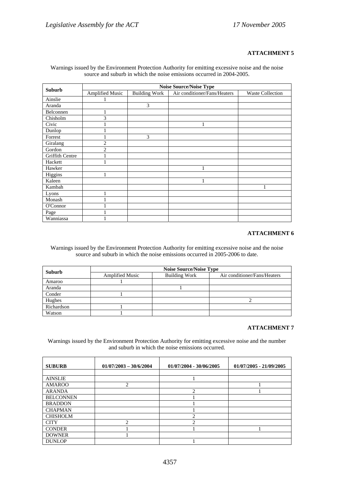#### **ATTACHMENT 5**

|                 | <b>Noise Source/Noise Type</b> |                      |                              |                         |  |  |  |  |
|-----------------|--------------------------------|----------------------|------------------------------|-------------------------|--|--|--|--|
| <b>Suburb</b>   | <b>Amplified Music</b>         | <b>Building Work</b> | Air conditioner/Fans/Heaters | <b>Waste Collection</b> |  |  |  |  |
| Ainslie         |                                |                      |                              |                         |  |  |  |  |
| Aranda          |                                | 3                    |                              |                         |  |  |  |  |
| Belconnen       | 1                              |                      |                              |                         |  |  |  |  |
| Chisholm        | 3                              |                      |                              |                         |  |  |  |  |
| Civic           |                                |                      | 1                            |                         |  |  |  |  |
| Dunlop          |                                |                      |                              |                         |  |  |  |  |
| Forrest         |                                | 3                    |                              |                         |  |  |  |  |
| Giralang        | $\overline{2}$                 |                      |                              |                         |  |  |  |  |
| Gordon          | $\overline{c}$                 |                      |                              |                         |  |  |  |  |
| Griffith Centre |                                |                      |                              |                         |  |  |  |  |
| Hackett         | 1                              |                      |                              |                         |  |  |  |  |
| Hawker          |                                |                      | 1                            |                         |  |  |  |  |
| Higgins         | 1                              |                      |                              |                         |  |  |  |  |
| Kaleen          |                                |                      | 1                            |                         |  |  |  |  |
| Kambah          |                                |                      |                              |                         |  |  |  |  |
| Lyons           | 1                              |                      |                              |                         |  |  |  |  |
| Monash          |                                |                      |                              |                         |  |  |  |  |
| O'Connor        |                                |                      |                              |                         |  |  |  |  |
| Page            |                                |                      |                              |                         |  |  |  |  |
| Wanniassa       |                                |                      |                              |                         |  |  |  |  |

Warnings issued by the Environment Protection Authority for emitting excessive noise and the noise source and suburb in which the noise emissions occurred in 2004-2005.

#### **ATTACHMENT 6**

Warnings issued by the Environment Protection Authority for emitting excessive noise and the noise source and suburb in which the noise emissions occurred in 2005-2006 to date.

| <b>Suburb</b> |                        | <b>Noise Source/Noise Type</b> |                              |
|---------------|------------------------|--------------------------------|------------------------------|
|               | <b>Amplified Music</b> | <b>Building Work</b>           | Air conditioner/Fans/Heaters |
| Amaroo        |                        |                                |                              |
| Aranda        |                        |                                |                              |
| Conder        |                        |                                |                              |
| Hughes        |                        |                                |                              |
| Richardson    |                        |                                |                              |
| Watson        |                        |                                |                              |

#### **ATTACHMENT 7**

Warnings issued by the Environment Protection Authority for emitting excessive noise and the number and suburb in which the noise emissions occurred.

| <b>SUBURB</b>    | $01/07/2003 - 30/6/2004$ | 01/07/2004 - 30/06/2005 | $01/07/2005 - 21/09/2005$ |
|------------------|--------------------------|-------------------------|---------------------------|
|                  |                          |                         |                           |
| <b>AINSLIE</b>   |                          |                         |                           |
| <b>AMAROO</b>    | $\overline{c}$           |                         |                           |
| <b>ARANDA</b>    |                          | $\mathcal{D}$           |                           |
| <b>BELCONNEN</b> |                          |                         |                           |
| <b>BRADDON</b>   |                          |                         |                           |
| <b>CHAPMAN</b>   |                          |                         |                           |
| <b>CHISHOLM</b>  |                          | ◠                       |                           |
| <b>CITY</b>      | ∍                        | ◠                       |                           |
| <b>CONDER</b>    |                          |                         |                           |
| <b>DOWNER</b>    |                          |                         |                           |
| <b>DUNLOP</b>    |                          |                         |                           |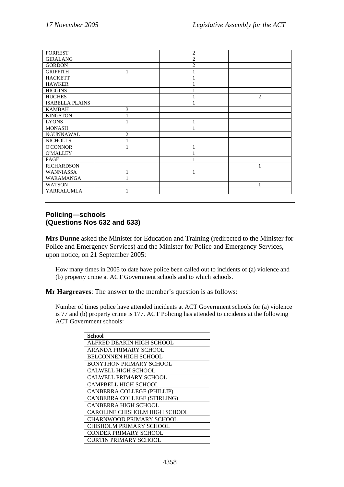| <b>FORREST</b>         |   | 2              |   |
|------------------------|---|----------------|---|
| <b>GIRALANG</b>        |   | $\overline{2}$ |   |
| <b>GORDON</b>          |   | $\overline{c}$ |   |
| <b>GRIFFITH</b>        |   |                |   |
| <b>HACKETT</b>         |   |                |   |
| <b>HAWKER</b>          |   |                |   |
| <b>HIGGINS</b>         |   |                |   |
| <b>HUGHES</b>          |   |                | 2 |
| <b>ISABELLA PLAINS</b> |   |                |   |
| <b>KAMBAH</b>          | 3 |                |   |
| <b>KINGSTON</b>        |   |                |   |
| <b>LYONS</b>           |   |                |   |
| <b>MONASH</b>          |   |                |   |
| NGUNNAWAL              | 2 |                |   |
| <b>NICHOLLS</b>        |   |                |   |
| <b>O'CONNOR</b>        |   |                |   |
| <b>O'MALLEY</b>        |   |                |   |
| PAGE                   |   |                |   |
| <b>RICHARDSON</b>      |   |                |   |
| <b>WANNIASSA</b>       |   |                |   |
| WARAMANGA              | 1 |                |   |
| <b>WATSON</b>          |   |                |   |
| YARRALUMLA             |   |                |   |

# **Policing—schools (Questions Nos 632 and 633)**

**Mrs Dunne** asked the Minister for Education and Training (redirected to the Minister for Police and Emergency Services) and the Minister for Police and Emergency Services, upon notice, on 21 September 2005:

How many times in 2005 to date have police been called out to incidents of (a) violence and (b) property crime at ACT Government schools and to which schools.

**Mr Hargreaves**: The answer to the member's question is as follows:

Number of times police have attended incidents at ACT Government schools for (a) violence is 77 and (b) property crime is 177. ACT Policing has attended to incidents at the following ACT Government schools:

| <b>School</b>                   |
|---------------------------------|
| ALFRED DEAKIN HIGH SCHOOL       |
| ARANDA PRIMARY SCHOOL           |
| <b>BELCONNEN HIGH SCHOOL</b>    |
| <b>BONYTHON PRIMARY SCHOOL</b>  |
| <b>CALWELL HIGH SCHOOL</b>      |
| CALWELL PRIMARY SCHOOL          |
| <b>CAMPBELL HIGH SCHOOL</b>     |
| CANBERRA COLLEGE (PHILLIP)      |
| CANBERRA COLLEGE (STIRLING)     |
| CANBERRA HIGH SCHOOL            |
| CAROLINE CHISHOLM HIGH SCHOOL   |
| <b>CHARNWOOD PRIMARY SCHOOL</b> |
| CHISHOLM PRIMARY SCHOOL         |
| <b>CONDER PRIMARY SCHOOL</b>    |
| <b>CURTIN PRIMARY SCHOOL</b>    |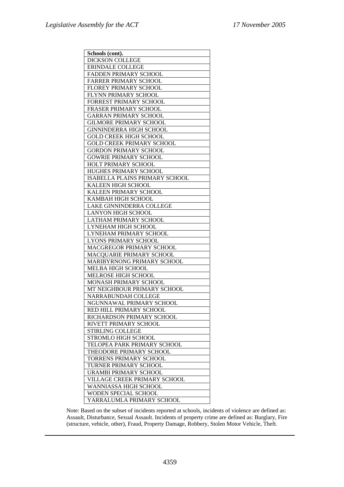| Schools (cont).                  |
|----------------------------------|
| <b>DICKSON COLLEGE</b>           |
| ERINDALE COLLEGE                 |
| FADDEN PRIMARY SCHOOL            |
| FARRER PRIMARY SCHOOL            |
| FLOREY PRIMARY SCHOOL            |
| FLYNN PRIMARY SCHOOL             |
| FORREST PRIMARY SCHOOL           |
| FRASER PRIMARY SCHOOL            |
| <b>GARRAN PRIMARY SCHOOL</b>     |
| <b>GILMORE PRIMARY SCHOOL</b>    |
| <b>GINNINDERRA HIGH SCHOOL</b>   |
| <b>GOLD CREEK HIGH SCHOOL</b>    |
| <b>GOLD CREEK PRIMARY SCHOOL</b> |
| <b>GORDON PRIMARY SCHOOL</b>     |
| <b>GOWRIE PRIMARY SCHOOL</b>     |
| HOLT PRIMARY SCHOOL              |
| HUGHES PRIMARY SCHOOL            |
| ISABELLA PLAINS PRIMARY SCHOOL   |
| KALEEN HIGH SCHOOL               |
| KALEEN PRIMARY SCHOOL            |
| KAMBAH HIGH SCHOOL               |
| LAKE GINNINDERRA COLLEGE         |
| <b>LANYON HIGH SCHOOL</b>        |
| LATHAM PRIMARY SCHOOL            |
| LYNEHAM HIGH SCHOOL              |
| LYNEHAM PRIMARY SCHOOL           |
| LYONS PRIMARY SCHOOL             |
| MACGREGOR PRIMARY SCHOOL         |
| MACQUARIE PRIMARY SCHOOL         |
| MARIBYRNONG PRIMARY SCHOOL       |
| MELBA HIGH SCHOOL                |
| MELROSE HIGH SCHOOL              |
| MONASH PRIMARY SCHOOL            |
| MT NEIGHBOUR PRIMARY SCHOOL      |
| NARRABUNDAH COLLEGE              |
| NGUNNAWAL PRIMARY SCHOOL         |
| RED HILL PRIMARY SCHOOL          |
| RICHARDSON PRIMARY SCHOOL        |
| RIVETT PRIMARY SCHOOL            |
| <b>STIRLING COLLEGE</b>          |
| STROMLO HIGH SCHOOL              |
| TELOPEA PARK PRIMARY SCHOOL      |
| THEODORE PRIMARY SCHOOL          |
| <b>TORRENS PRIMARY SCHOOL</b>    |
| <b>TURNER PRIMARY SCHOOL</b>     |
| URAMBI PRIMARY SCHOOL            |
| VILLAGE CREEK PRIMARY SCHOOL     |
| WANNIASSA HIGH SCHOOL            |
| WODEN SPECIAL SCHOOL             |
| YARRALUMLA PRIMARY SCHOOL        |

Note: Based on the subset of incidents reported at schools, incidents of violence are defined as: Assault, Disturbance, Sexual Assault. Incidents of property crime are defined as: Burglary, Fire (structure, vehicle, other), Fraud, Property Damage, Robbery, Stolen Motor Vehicle, Theft.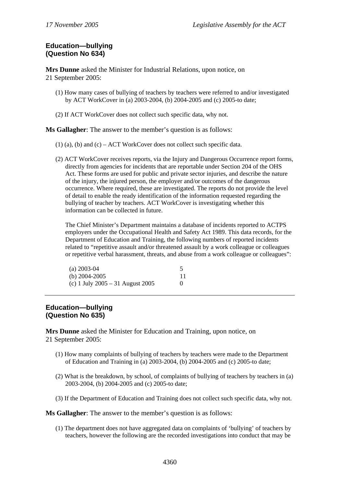# **Education—bullying (Question No 634)**

**Mrs Dunne** asked the Minister for Industrial Relations, upon notice, on 21 September 2005:

- (1) How many cases of bullying of teachers by teachers were referred to and/or investigated by ACT WorkCover in (a) 2003-2004, (b) 2004-2005 and (c) 2005-to date;
- (2) If ACT WorkCover does not collect such specific data, why not.

**Ms Gallagher**: The answer to the member's question is as follows:

- (1) (a), (b) and (c) ACT WorkCover does not collect such specific data.
- (2) ACT WorkCover receives reports, via the Injury and Dangerous Occurrence report forms, directly from agencies for incidents that are reportable under Section 204 of the OHS Act. These forms are used for public and private sector injuries, and describe the nature of the injury, the injured person, the employer and/or outcomes of the dangerous occurrence. Where required, these are investigated. The reports do not provide the level of detail to enable the ready identification of the information requested regarding the bullying of teacher by teachers. ACT WorkCover is investigating whether this information can be collected in future.

The Chief Minister's Department maintains a database of incidents reported to ACTPS employers under the Occupational Health and Safety Act 1989. This data records, for the Department of Education and Training, the following numbers of reported incidents related to "repetitive assault and/or threatened assault by a work colleague or colleagues or repetitive verbal harassment, threats, and abuse from a work colleague or colleagues":

| $(a)$ 2003-04                      |  |
|------------------------------------|--|
| (b) $2004 - 2005$                  |  |
| (c) 1 July $2005 - 31$ August 2005 |  |

# **Education—bullying (Question No 635)**

**Mrs Dunne** asked the Minister for Education and Training, upon notice, on 21 September 2005:

- (1) How many complaints of bullying of teachers by teachers were made to the Department of Education and Training in (a) 2003-2004, (b) 2004-2005 and (c) 2005-to date;
- (2) What is the breakdown, by school, of complaints of bullying of teachers by teachers in (a) 2003-2004, (b) 2004-2005 and (c) 2005-to date;
- (3) If the Department of Education and Training does not collect such specific data, why not.

**Ms Gallagher**: The answer to the member's question is as follows:

(1) The department does not have aggregated data on complaints of 'bullying' of teachers by teachers, however the following are the recorded investigations into conduct that may be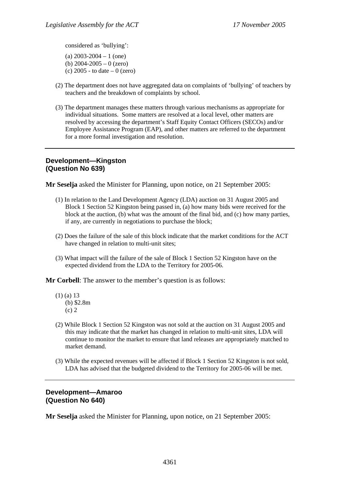considered as 'bullying':

(a)  $2003 - 2004 - 1$  (one) (b) 2004-2005 – 0 (zero) (c) 2005 - to date – 0 (zero)

- (2) The department does not have aggregated data on complaints of 'bullying' of teachers by teachers and the breakdown of complaints by school.
- (3) The department manages these matters through various mechanisms as appropriate for individual situations. Some matters are resolved at a local level, other matters are resolved by accessing the department's Staff Equity Contact Officers (SECOs) and/or Employee Assistance Program (EAP), and other matters are referred to the department for a more formal investigation and resolution.

## **Development—Kingston (Question No 639)**

**Mr Seselja** asked the Minister for Planning, upon notice, on 21 September 2005:

- (1) In relation to the Land Development Agency (LDA) auction on 31 August 2005 and Block 1 Section 52 Kingston being passed in, (a) how many bids were received for the block at the auction, (b) what was the amount of the final bid, and (c) how many parties, if any, are currently in negotiations to purchase the block;
- (2) Does the failure of the sale of this block indicate that the market conditions for the ACT have changed in relation to multi-unit sites;
- (3) What impact will the failure of the sale of Block 1 Section 52 Kingston have on the expected dividend from the LDA to the Territory for 2005-06.

**Mr Corbell**: The answer to the member's question is as follows:

- (1) (a) 13 (b) \$2.8m (c) 2
- (2) While Block 1 Section 52 Kingston was not sold at the auction on 31 August 2005 and this may indicate that the market has changed in relation to multi-unit sites, LDA will continue to monitor the market to ensure that land releases are appropriately matched to market demand.
- (3) While the expected revenues will be affected if Block 1 Section 52 Kingston is not sold, LDA has advised that the budgeted dividend to the Territory for 2005-06 will be met.

# **Development—Amaroo (Question No 640)**

**Mr Seselja** asked the Minister for Planning, upon notice, on 21 September 2005: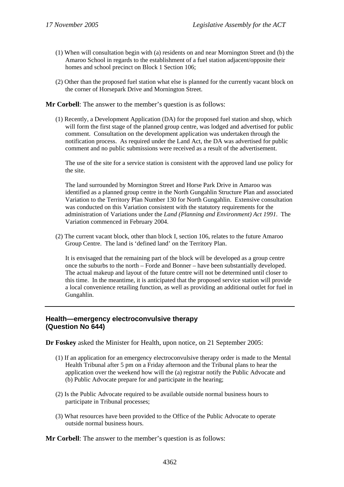- (1) When will consultation begin with (a) residents on and near Mornington Street and (b) the Amaroo School in regards to the establishment of a fuel station adjacent/opposite their homes and school precinct on Block 1 Section 106;
- (2) Other than the proposed fuel station what else is planned for the currently vacant block on the corner of Horsepark Drive and Mornington Street.

**Mr Corbell**: The answer to the member's question is as follows:

(1) Recently, a Development Application (DA) for the proposed fuel station and shop, which will form the first stage of the planned group centre, was lodged and advertised for public comment. Consultation on the development application was undertaken through the notification process. As required under the Land Act, the DA was advertised for public comment and no public submissions were received as a result of the advertisement.

The use of the site for a service station is consistent with the approved land use policy for the site.

The land surrounded by Mornington Street and Horse Park Drive in Amaroo was identified as a planned group centre in the North Gungahlin Structure Plan and associated Variation to the Territory Plan Number 130 for North Gungahlin. Extensive consultation was conducted on this Variation consistent with the statutory requirements for the administration of Variations under the *Land (Planning and Environment) Act 1991*. The Variation commenced in February 2004.

(2) The current vacant block, other than block I, section 106, relates to the future Amaroo Group Centre. The land is 'defined land' on the Territory Plan.

It is envisaged that the remaining part of the block will be developed as a group centre once the suburbs to the north – Forde and Bonner – have been substantially developed. The actual makeup and layout of the future centre will not be determined until closer to this time. In the meantime, it is anticipated that the proposed service station will provide a local convenience retailing function, as well as providing an additional outlet for fuel in Gungahlin.

# **Health—emergency electroconvulsive therapy (Question No 644)**

**Dr Foskey** asked the Minister for Health, upon notice, on 21 September 2005:

- (1) If an application for an emergency electroconvulsive therapy order is made to the Mental Health Tribunal after 5 pm on a Friday afternoon and the Tribunal plans to hear the application over the weekend how will the (a) registrar notify the Public Advocate and (b) Public Advocate prepare for and participate in the hearing;
- (2) Is the Public Advocate required to be available outside normal business hours to participate in Tribunal processes;
- (3) What resources have been provided to the Office of the Public Advocate to operate outside normal business hours.

**Mr Corbell**: The answer to the member's question is as follows: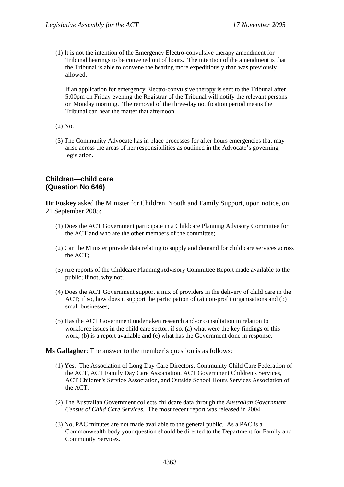(1) It is not the intention of the Emergency Electro-convulsive therapy amendment for Tribunal hearings to be convened out of hours. The intention of the amendment is that the Tribunal is able to convene the hearing more expeditiously than was previously allowed.

If an application for emergency Electro-convulsive therapy is sent to the Tribunal after 5:00pm on Friday evening the Registrar of the Tribunal will notify the relevant persons on Monday morning. The removal of the three-day notification period means the Tribunal can hear the matter that afternoon.

- (2) No.
- (3) The Community Advocate has in place processes for after hours emergencies that may arise across the areas of her responsibilities as outlined in the Advocate's governing legislation.

# **Children—child care (Question No 646)**

**Dr Foskey** asked the Minister for Children, Youth and Family Support, upon notice, on 21 September 2005:

- (1) Does the ACT Government participate in a Childcare Planning Advisory Committee for the ACT and who are the other members of the committee;
- (2) Can the Minister provide data relating to supply and demand for child care services across the ACT;
- (3) Are reports of the Childcare Planning Advisory Committee Report made available to the public; if not, why not;
- (4) Does the ACT Government support a mix of providers in the delivery of child care in the ACT; if so, how does it support the participation of (a) non-profit organisations and (b) small businesses;
- (5) Has the ACT Government undertaken research and/or consultation in relation to workforce issues in the child care sector; if so, (a) what were the key findings of this work, (b) is a report available and (c) what has the Government done in response.

**Ms Gallagher**: The answer to the member's question is as follows:

- (1) Yes. The Association of Long Day Care Directors, Community Child Care Federation of the ACT, ACT Family Day Care Association, ACT Government Children's Services, ACT Children's Service Association, and Outside School Hours Services Association of the ACT.
- (2) The Australian Government collects childcare data through the *Australian Government Census of Child Care Services*. The most recent report was released in 2004.
- (3) No, PAC minutes are not made available to the general public. As a PAC is a Commonwealth body your question should be directed to the Department for Family and Community Services.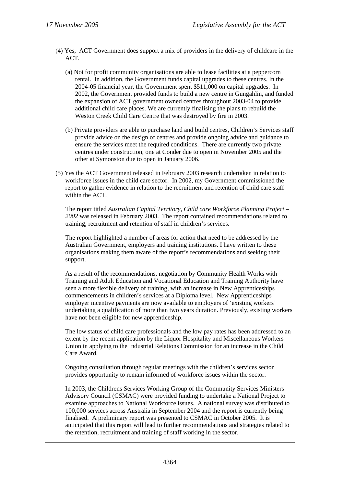- (4) Yes, ACT Government does support a mix of providers in the delivery of childcare in the ACT.
	- (a) Not for profit community organisations are able to lease facilities at a peppercorn rental. In addition, the Government funds capital upgrades to these centres. In the 2004-05 financial year, the Government spent \$511,000 on capital upgrades. In 2002, the Government provided funds to build a new centre in Gungahlin, and funded the expansion of ACT government owned centres throughout 2003-04 to provide additional child care places. We are currently finalising the plans to rebuild the Weston Creek Child Care Centre that was destroyed by fire in 2003.
	- (b) Private providers are able to purchase land and build centres, Children's Services staff provide advice on the design of centres and provide ongoing advice and guidance to ensure the services meet the required conditions. There are currently two private centres under construction, one at Conder due to open in November 2005 and the other at Symonston due to open in January 2006.
- (5) Yes the ACT Government released in February 2003 research undertaken in relation to workforce issues in the child care sector. In 2002, my Government commissioned the report to gather evidence in relation to the recruitment and retention of child care staff within the ACT.

The report titled *Australian Capital Territory, Child care Workforce Planning Project – 2002* was released in February 2003. The report contained recommendations related to training, recruitment and retention of staff in children's services.

The report highlighted a number of areas for action that need to be addressed by the Australian Government, employers and training institutions. I have written to these organisations making them aware of the report's recommendations and seeking their support.

As a result of the recommendations, negotiation by Community Health Works with Training and Adult Education and Vocational Education and Training Authority have seen a more flexible delivery of training, with an increase in New Apprenticeships commencements in children's services at a Diploma level. New Apprenticeships employer incentive payments are now available to employers of 'existing workers' undertaking a qualification of more than two years duration. Previously, existing workers have not been eligible for new apprenticeship.

The low status of child care professionals and the low pay rates has been addressed to an extent by the recent application by the Liquor Hospitality and Miscellaneous Workers Union in applying to the Industrial Relations Commission for an increase in the Child Care Award.

Ongoing consultation through regular meetings with the children's services sector provides opportunity to remain informed of workforce issues within the sector.

In 2003, the Childrens Services Working Group of the Community Services Ministers Advisory Council (CSMAC) were provided funding to undertake a National Project to examine approaches to National Workforce issues. A national survey was distributed to 100,000 services across Australia in September 2004 and the report is currently being finalised. A preliminary report was presented to CSMAC in October 2005. It is anticipated that this report will lead to further recommendations and strategies related to the retention, recruitment and training of staff working in the sector.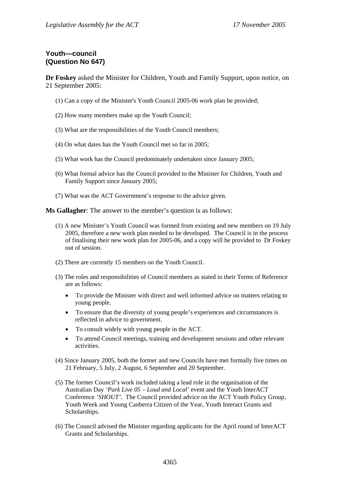# **Youth—council (Question No 647)**

**Dr Foskey** asked the Minister for Children, Youth and Family Support, upon notice, on 21 September 2005:

- (1) Can a copy of the Minister's Youth Council 2005-06 work plan be provided;
- (2) How many members make up the Youth Council;
- (3) What are the responsibilities of the Youth Council members;
- (4) On what dates has the Youth Council met so far in 2005;
- (5) What work has the Council predominately undertaken since January 2005;
- (6) What formal advice has the Council provided to the Minister for Children, Youth and Family Support since January 2005;
- (7) What was the ACT Government's response to the advice given.

**Ms Gallagher**: The answer to the member's question is as follows:

- (1) A new Minister's Youth Council was formed from existing and new members on 19 July 2005, therefore a new work plan needed to be developed. The Council is in the process of finalising their new work plan for 2005-06, and a copy will be provided to Dr Foskey out of session.
- (2) There are currently 15 members on the Youth Council.
- (3) The roles and responsibilities of Council members as stated in their Terms of Reference are as follows:
	- To provide the Minister with direct and well informed advice on matters relating to young people.
	- To ensure that the diversity of young people's experiences and circumstances is reflected in advice to government.
	- To consult widely with young people in the ACT.
	- To attend Council meetings, training and development sessions and other relevant activities.
- (4) Since January 2005, both the former and new Councils have met formally five times on 21 February, 5 July, 2 August, 6 September and 20 September.
- (5) The former Council's work included taking a lead role in the organisation of the Australian Day *'Park Live 05 – Loud and Local'* event and the Youth InterACT Conference *'SHOUT'*. The Council provided advice on the ACT Youth Policy Group, Youth Week and Young Canberra Citizen of the Year, Youth Interact Grants and Scholarships.
- (6) The Council advised the Minister regarding applicants for the April round of InterACT Grants and Scholarships.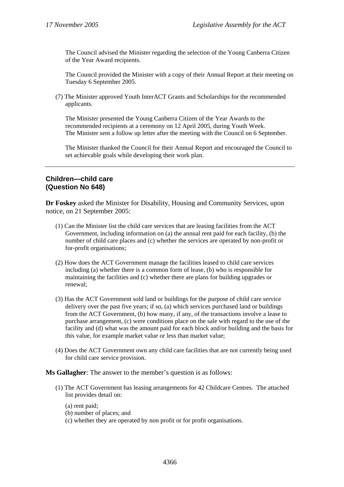The Council advised the Minister regarding the selection of the Young Canberra Citizen of the Year Award recipients.

The Council provided the Minister with a copy of their Annual Report at their meeting on Tuesday 6 September 2005.

(7) The Minister approved Youth InterACT Grants and Scholarships for the recommended applicants.

The Minister presented the Young Canberra Citizen of the Year Awards to the recommended recipients at a ceremony on 12 April 2005, during Youth Week. The Minister sent a follow up letter after the meeting with the Council on 6 September.

The Minister thanked the Council for their Annual Report and encouraged the Council to set achievable goals while developing their work plan.

# **Children—child care (Question No 648)**

**Dr Foskey** asked the Minister for Disability, Housing and Community Services, upon notice, on 21 September 2005:

- (1) Can the Minister list the child care services that are leasing facilities from the ACT Government, including information on (a) the annual rent paid for each facility, (b) the number of child care places and (c) whether the services are operated by non-profit or for-profit organisations;
- (2) How does the ACT Government manage the facilities leased to child care services including (a) whether there is a common form of lease, (b) who is responsible for maintaining the facilities and (c) whether there are plans for building upgrades or renewal;
- (3) Has the ACT Government sold land or buildings for the purpose of child care service delivery over the past five years; if so, (a) which services purchased land or buildings from the ACT Government, (b) how many, if any, of the transactions involve a lease to purchase arrangement, (c) were conditions place on the sale with regard to the use of the facility and (d) what was the amount paid for each block and/or building and the basis for this value, for example market value or less than market value;
- (4) Does the ACT Government own any child care facilities that are not currently being used for child care service provision.

**Ms Gallagher**: The answer to the member's question is as follows:

- (1) The ACT Government has leasing arrangements for 42 Childcare Centres. The attached list provides detail on:
	- (a) rent paid;
	- (b) number of places; and
	- (c) whether they are operated by non profit or for profit organisations.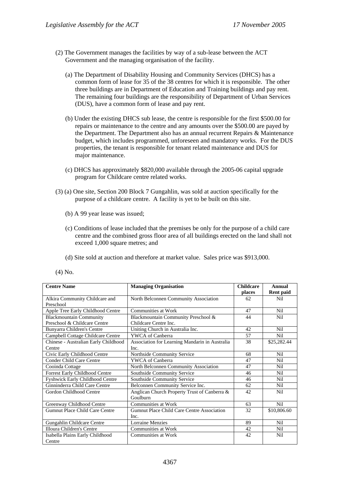- (2) The Government manages the facilities by way of a sub-lease between the ACT Government and the managing organisation of the facility.
	- (a) The Department of Disability Housing and Community Services (DHCS) has a common form of lease for 35 of the 38 centres for which it is responsible. The other three buildings are in Department of Education and Training buildings and pay rent. The remaining four buildings are the responsibility of Department of Urban Services (DUS), have a common form of lease and pay rent.
	- (b) Under the existing DHCS sub lease, the centre is responsible for the first \$500.00 for repairs or maintenance to the centre and any amounts over the \$500.00 are payed by the Department. The Department also has an annual recurrent Repairs & Maintenance budget, which includes programmed, unforeseen and mandatory works. For the DUS properties, the tenant is responsible for tenant related maintenance and DUS for major maintenance.
	- (c) DHCS has approximately \$820,000 available through the 2005-06 capital upgrade program for Childcare centre related works.
- (3) (a) One site, Section 200 Block 7 Gungahlin, was sold at auction specifically for the purpose of a childcare centre. A facility is yet to be built on this site.
	- (b) A 99 year lease was issued;
	- (c) Conditions of lease included that the premises be only for the purpose of a child care centre and the combined gross floor area of all buildings erected on the land shall not exceed 1,000 square metres; and
	- (d) Site sold at auction and therefore at market value. Sales price was \$913,000.
- (4) No.

| <b>Centre Name</b>                   | <b>Managing Organisation</b>                   | <b>Childcare</b> | Annual           |
|--------------------------------------|------------------------------------------------|------------------|------------------|
|                                      |                                                | places           | <b>Rent</b> paid |
| Alkira Community Childcare and       | North Belconnen Community Association          | 62               | Nil              |
| Preschool                            |                                                |                  |                  |
| Apple Tree Early Childhood Centre    | Communities at Work                            | 47               | Nil              |
| <b>Blackmountain Community</b>       | Blackmountain Community Preschool &            | 44               | Nil              |
| Preschool & Childcare Centre         | Childcare Centre Inc.                          |                  |                  |
| Bunyarra Children's Centre           | Uniting Church in Australia Inc.               | 42               | Nil              |
| Campbell Cottage Childcare Centre    | YWCA of Canberra                               | 57               | Nil              |
| Chinese - Australian Early Childhood | Association for Learning Mandarin in Australia | 38               | \$25,282.44      |
| Centre                               | Inc.                                           |                  |                  |
| Civic Early Childhood Centre         | Northside Community Service                    | 68               | Nil              |
| Conder Child Care Centre             | <b>YWCA</b> of Canberra                        | 47               | Nil              |
| Cooinda Cottage                      | North Belconnen Community Association          | 47               | Nil              |
| Forrest Early Childhood Centre       | Southside Community Service                    | 46               | <b>Nil</b>       |
| Fyshwick Early Childhood Centre      | Southside Community Service                    | 46               | <b>Nil</b>       |
| Ginninderra Child Care Centre        | Belconnen Community Service Inc.               | 62               | Nil              |
| Gordon Childhood Centre              | Anglican Church Property Trust of Canberra &   | 42               | Nil              |
|                                      | Goulburn                                       |                  |                  |
| Greenway Childhood Centre            | Communities at Work                            | 63               | Nil              |
| Gumnut Place Child Care Centre       | Gumnut Place Child Care Centre Association     | 32               | \$10,806.60      |
|                                      | Inc.                                           |                  |                  |
| Gungahlin Childcare Centre           | <b>Lorraine Menzies</b>                        | 89               | N <sub>i</sub> l |
| Illoura Children's Centre            | Communities at Work                            | 42               | Nil              |
| Isabella Plains Early Childhood      | <b>Communities at Work</b>                     | 42               | Nil              |
| Centre                               |                                                |                  |                  |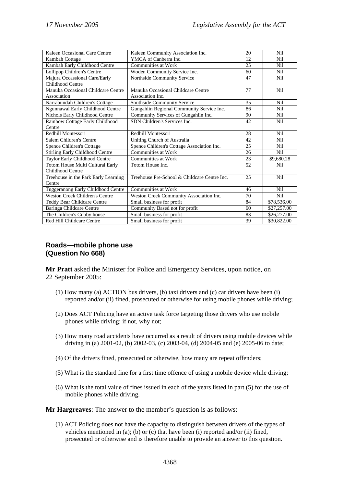| Kaleen Occasional Care Centre          | Kaleen Community Association Inc.            | 20 | Nil         |
|----------------------------------------|----------------------------------------------|----|-------------|
| Kambah Cottage                         | YMCA of Canberra Inc.                        | 12 | Nil         |
| Kambah Early Childhood Centre          | <b>Communities at Work</b>                   | 25 | Nil         |
| Lollipop Children's Centre             | Woden Community Service Inc.                 | 60 | Nil         |
| Majura Occassional Care/Early          | Northside Community Service                  | 47 | Nil         |
| Childhood Centre                       |                                              |    |             |
| Manuka Occasional Childcare Centre     | Manuka Occasional Childcare Centre           | 77 | Nil         |
| Association                            | Association Inc.                             |    |             |
| Narrabundah Children's Cottage         | Southside Community Service                  | 35 | <b>Nil</b>  |
| Ngunnawal Early Childhood Centre       | Gungahlin Regional Community Service Inc.    | 86 | <b>Nil</b>  |
| Nichols Early Childhood Centre         | Community Services of Gungahlin Inc.         | 90 | Nil         |
| Rainbow Cottage Early Childhood        | SDN Children's Services Inc.                 | 42 | Nil         |
| Centre                                 |                                              |    |             |
| Redhill Montessori                     | Redhill Montessori                           | 28 | <b>Nil</b>  |
| Salem Children's Centre                | Uniting Church of Australia                  | 42 | Nil         |
| Spence Children's Cottage              | Spence Children's Cottage Association Inc.   | 25 | Nil         |
| <b>Stirling Early Childhood Centre</b> | <b>Communities at Work</b>                   | 26 | Nil         |
| Taylor Early Childhood Centre          | Communities at Work                          | 23 | \$9,680.28  |
| Totom House Multi Cultural Early       | Totom House Inc.                             | 52 | Nil         |
| Childhood Centre                       |                                              |    |             |
| Treehouse in the Park Early Learning   | Treehouse Pre-School & Childcare Centre Inc. | 25 | <b>Nil</b>  |
| Centre                                 |                                              |    |             |
| Tuggeranong Early Childhood Centre     | Communities at Work                          | 46 | Nil         |
| <b>Weston Creek Children's Centre</b>  | Weston Creek Community Association Inc.      | 70 | Nil         |
| <b>Teddy Bear Childcare Centre</b>     | Small business for profit                    | 84 | \$78,536.00 |
| Baringa Childcare Centre               | Community Based not for profit               | 60 | \$27,257.00 |
| The Children's Cubby house             | Small business for profit                    | 83 | \$26,277.00 |
| Red Hill Childcare Centre              | Small business for profit                    | 39 | \$30,822.00 |

# **Roads—mobile phone use (Question No 668)**

**Mr Pratt** asked the Minister for Police and Emergency Services, upon notice, on 22 September 2005:

- (1) How many (a) ACTION bus drivers, (b) taxi drivers and (c) car drivers have been (i) reported and/or (ii) fined, prosecuted or otherwise for using mobile phones while driving;
- (2) Does ACT Policing have an active task force targeting those drivers who use mobile phones while driving; if not, why not;
- (3) How many road accidents have occurred as a result of drivers using mobile devices while driving in (a) 2001-02, (b) 2002-03, (c) 2003-04, (d) 2004-05 and (e) 2005-06 to date;
- (4) Of the drivers fined, prosecuted or otherwise, how many are repeat offenders;
- (5) What is the standard fine for a first time offence of using a mobile device while driving;
- (6) What is the total value of fines issued in each of the years listed in part (5) for the use of mobile phones while driving.

**Mr Hargreaves**: The answer to the member's question is as follows:

(1) ACT Policing does not have the capacity to distinguish between drivers of the types of vehicles mentioned in (a); (b) or (c) that have been (i) reported and/or (ii) fined, prosecuted or otherwise and is therefore unable to provide an answer to this question.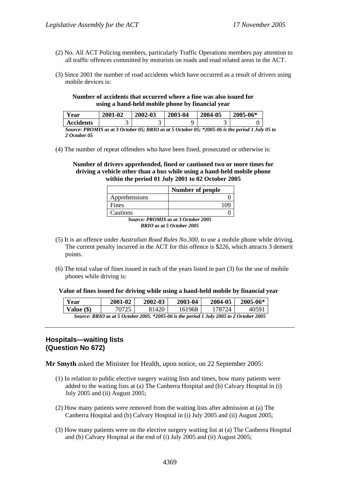- (2) No. All ACT Policing members, particularly Traffic Operations members pay attention to all traffic offences committed by motorists on roads and road related areas in the ACT.
- (3) Since 2001 the number of road accidents which have occurred as a result of drivers using mobile devices is:

#### **Number of accidents that occurred where a fine was also issued for using a hand-held mobile phone by financial year**

| Year             | 2001-02 | 2002-03 | 2003-04 | 2004-05 | 2005-06* |
|------------------|---------|---------|---------|---------|----------|
| <b>Accidents</b> |         | -       |         | ັ       |          |

*Source: PROMIS as at 3 October 05; BRIO as at 5 October 05; \*2005-06 is the period 1 July 05 to 2 October 05* 

(4) The number of repeat offenders who have been fined, prosecuted or otherwise is:

**Number of drivers apprehended, fined or cautioned two or more times for driving a vehicle other than a bus while using a hand-held mobile phone within the period 01 July 2001 to 02 October 2005** 

|                         | <b>Number of people</b>                        |
|-------------------------|------------------------------------------------|
| Apprehensions           |                                                |
| Fines                   | 109                                            |
| Cautions                |                                                |
| <b>DDAITS</b><br>$\sim$ | $\cdots$<br>$\mathbf{A} \mathbf{A} \mathbf{A}$ |

*Source: PROMIS as at 3 October 2005 BRIO as at 5 October 2005* 

- (5) It is an offence under *Australian Road Rules No.300*, to use a mobile phone while driving. The current penalty incurred in the ACT for this offence is \$226, which attracts 3 demerit points.
- (6) The total value of fines issued in each of the years listed in part (3) for the use of mobile phones while driving is:

#### **Value of fines issued for driving while using a hand-held mobile by financial year**

| Year                                                                                    | 2001-02 | 2002-03 | 2003-04 | 2004-05 | 2005-06* |
|-----------------------------------------------------------------------------------------|---------|---------|---------|---------|----------|
| Value (\$)                                                                              | 70725   | 31420.  | 161968  | '78724  | 40591    |
| Source: BRIO as at 5 October 2005. *2005-06 is the period 1 July 2005 to 2 October 2005 |         |         |         |         |          |

# **Hospitals—waiting lists (Question No 672)**

**Mr Smyth** asked the Minister for Health, upon notice, on 22 September 2005:

- (1) In relation to public elective surgery waiting lists and times, how many patients were added to the waiting lists at (a) The Canberra Hospital and (b) Calvary Hospital in (i) July 2005 and (ii) August 2005;
- (2) How many patients were removed from the waiting lists after admission at (a) The Canberra Hospital and (b) Calvary Hospital in (i) July 2005 and (ii) August 2005;
- (3) How many patients were on the elective surgery waiting list at (a) The Canberra Hospital and (b) Calvary Hospital at the end of (i) July 2005 and (ii) August 2005;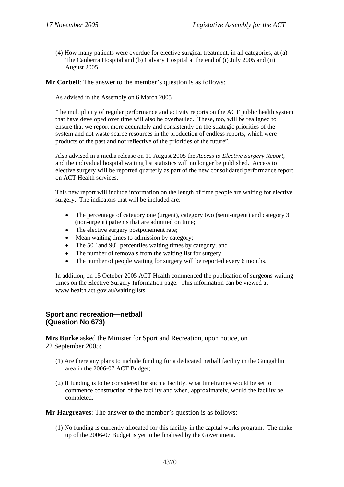(4) How many patients were overdue for elective surgical treatment, in all categories, at (a) The Canberra Hospital and (b) Calvary Hospital at the end of (i) July 2005 and (ii) August 2005.

**Mr Corbell**: The answer to the member's question is as follows:

As advised in the Assembly on 6 March 2005

"the multiplicity of regular performance and activity reports on the ACT public health system that have developed over time will also be overhauled. These, too, will be realigned to ensure that we report more accurately and consistently on the strategic priorities of the system and not waste scarce resources in the production of endless reports, which were products of the past and not reflective of the priorities of the future".

Also advised in a media release on 11 August 2005 the *Access to Elective Surgery Report*, and the individual hospital waiting list statistics will no longer be published. Access to elective surgery will be reported quarterly as part of the new consolidated performance report on ACT Health services.

This new report will include information on the length of time people are waiting for elective surgery. The indicators that will be included are:

- The percentage of category one (urgent), category two (semi-urgent) and category 3 (non-urgent) patients that are admitted on time;
- The elective surgery postponement rate;
- Mean waiting times to admission by category;
- The  $50<sup>th</sup>$  and  $90<sup>th</sup>$  percentiles waiting times by category; and
- The number of removals from the waiting list for surgery.
- The number of people waiting for surgery will be reported every 6 months.

In addition, on 15 October 2005 ACT Health commenced the publication of surgeons waiting times on the Elective Surgery Information page. This information can be viewed at www.health.act.gov.au/waitinglists.

### **Sport and recreation—netball (Question No 673)**

**Mrs Burke** asked the Minister for Sport and Recreation, upon notice, on 22 September 2005:

- (1) Are there any plans to include funding for a dedicated netball facility in the Gungahlin area in the 2006-07 ACT Budget;
- (2) If funding is to be considered for such a facility, what timeframes would be set to commence construction of the facility and when, approximately, would the facility be completed.

**Mr Hargreaves**: The answer to the member's question is as follows:

(1) No funding is currently allocated for this facility in the capital works program. The make up of the 2006-07 Budget is yet to be finalised by the Government.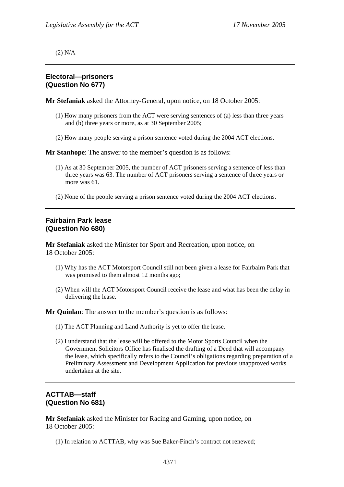(2) N/A

# **Electoral—prisoners (Question No 677)**

**Mr Stefaniak** asked the Attorney-General, upon notice, on 18 October 2005:

- (1) How many prisoners from the ACT were serving sentences of (a) less than three years and (b) three years or more, as at 30 September 2005;
- (2) How many people serving a prison sentence voted during the 2004 ACT elections.

**Mr Stanhope**: The answer to the member's question is as follows:

- (1) As at 30 September 2005, the number of ACT prisoners serving a sentence of less than three years was 63. The number of ACT prisoners serving a sentence of three years or more was 61
- (2) None of the people serving a prison sentence voted during the 2004 ACT elections.

## **Fairbairn Park lease (Question No 680)**

**Mr Stefaniak** asked the Minister for Sport and Recreation, upon notice, on 18 October 2005:

- (1) Why has the ACT Motorsport Council still not been given a lease for Fairbairn Park that was promised to them almost 12 months ago;
- (2) When will the ACT Motorsport Council receive the lease and what has been the delay in delivering the lease.

**Mr Quinlan**: The answer to the member's question is as follows:

- (1) The ACT Planning and Land Authority is yet to offer the lease.
- (2) I understand that the lease will be offered to the Motor Sports Council when the Government Solicitors Office has finalised the drafting of a Deed that will accompany the lease, which specifically refers to the Council's obligations regarding preparation of a Preliminary Assessment and Development Application for previous unapproved works undertaken at the site.

# **ACTTAB—staff (Question No 681)**

**Mr Stefaniak** asked the Minister for Racing and Gaming, upon notice, on 18 October 2005:

(1) In relation to ACTTAB, why was Sue Baker-Finch's contract not renewed;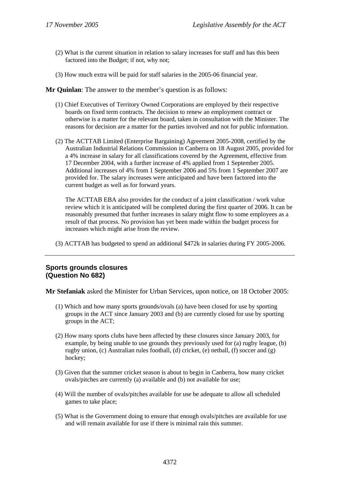- (2) What is the current situation in relation to salary increases for staff and has this been factored into the Budget; if not, why not;
- (3) How much extra will be paid for staff salaries in the 2005-06 financial year.

**Mr Quinlan**: The answer to the member's question is as follows:

- (1) Chief Executives of Territory Owned Corporations are employed by their respective boards on fixed term contracts. The decision to renew an employment contract or otherwise is a matter for the relevant board, taken in consultation with the Minister. The reasons for decision are a matter for the parties involved and not for public information.
- (2) The ACTTAB Limited (Enterprise Bargaining) Agreement 2005-2008, certified by the Australian Industrial Relations Commission in Canberra on 18 August 2005, provided for a 4% increase in salary for all classifications covered by the Agreement, effective from 17 December 2004, with a further increase of 4% applied from 1 September 2005. Additional increases of 4% from 1 September 2006 and 5% from 1 September 2007 are provided for. The salary increases were anticipated and have been factored into the current budget as well as for forward years.

The ACTTAB EBA also provides for the conduct of a joint classification / work value review which it is anticipated will be completed during the first quarter of 2006. It can be reasonably presumed that further increases in salary might flow to some employees as a result of that process. No provision has yet been made within the budget process for increases which might arise from the review.

(3) ACTTAB has budgeted to spend an additional \$472k in salaries during FY 2005-2006.

### **Sports grounds closures (Question No 682)**

**Mr Stefaniak** asked the Minister for Urban Services, upon notice, on 18 October 2005:

- (1) Which and how many sports grounds/ovals (a) have been closed for use by sporting groups in the ACT since January 2003 and (b) are currently closed for use by sporting groups in the ACT;
- (2) How many sports clubs have been affected by these closures since January 2003, for example, by being unable to use grounds they previously used for (a) rugby league, (b) rugby union, (c) Australian rules football, (d) cricket, (e) netball, (f) soccer and (g) hockey;
- (3) Given that the summer cricket season is about to begin in Canberra, how many cricket ovals/pitches are currently (a) available and (b) not available for use;
- (4) Will the number of ovals/pitches available for use be adequate to allow all scheduled games to take place;
- (5) What is the Government doing to ensure that enough ovals/pitches are available for use and will remain available for use if there is minimal rain this summer.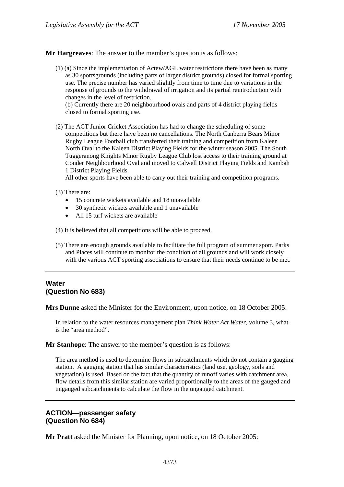**Mr Hargreaves**: The answer to the member's question is as follows:

(1) (a) Since the implementation of Actew/AGL water restrictions there have been as many as 30 sportsgrounds (including parts of larger district grounds) closed for formal sporting use. The precise number has varied slightly from time to time due to variations in the response of grounds to the withdrawal of irrigation and its partial reintroduction with changes in the level of restriction.

(b) Currently there are 20 neighbourhood ovals and parts of 4 district playing fields closed to formal sporting use.

(2) The ACT Junior Cricket Association has had to change the scheduling of some competitions but there have been no cancellations. The North Canberra Bears Minor Rugby League Football club transferred their training and competition from Kaleen North Oval to the Kaleen District Playing Fields for the winter season 2005. The South Tuggeranong Knights Minor Rugby League Club lost access to their training ground at Conder Neighbourhood Oval and moved to Calwell District Playing Fields and Kambah 1 District Playing Fields.

All other sports have been able to carry out their training and competition programs.

- (3) There are:
	- 15 concrete wickets available and 18 unavailable
	- 30 synthetic wickets available and 1 unavailable
	- All 15 turf wickets are available
- (4) It is believed that all competitions will be able to proceed.
- (5) There are enough grounds available to facilitate the full program of summer sport. Parks and Places will continue to monitor the condition of all grounds and will work closely with the various ACT sporting associations to ensure that their needs continue to be met.

# **Water (Question No 683)**

**Mrs Dunne** asked the Minister for the Environment, upon notice, on 18 October 2005:

In relation to the water resources management plan *Think Water Act Water*, volume 3, what is the "area method".

**Mr Stanhope**: The answer to the member's question is as follows:

The area method is used to determine flows in subcatchments which do not contain a gauging station. A gauging station that has similar characteristics (land use, geology, soils and vegetation) is used. Based on the fact that the quantity of runoff varies with catchment area, flow details from this similar station are varied proportionally to the areas of the gauged and ungauged subcatchments to calculate the flow in the ungauged catchment.

### **ACTION—passenger safety (Question No 684)**

**Mr Pratt** asked the Minister for Planning, upon notice, on 18 October 2005: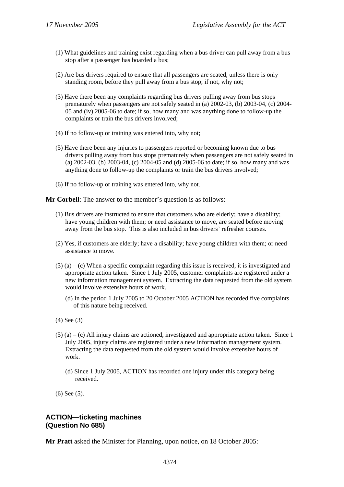- (1) What guidelines and training exist regarding when a bus driver can pull away from a bus stop after a passenger has boarded a bus;
- (2) Are bus drivers required to ensure that all passengers are seated, unless there is only standing room, before they pull away from a bus stop; if not, why not;
- (3) Have there been any complaints regarding bus drivers pulling away from bus stops prematurely when passengers are not safely seated in (a) 2002-03, (b) 2003-04, (c) 2004- 05 and (iv) 2005-06 to date; if so, how many and was anything done to follow-up the complaints or train the bus drivers involved;
- (4) If no follow-up or training was entered into, why not;
- (5) Have there been any injuries to passengers reported or becoming known due to bus drivers pulling away from bus stops prematurely when passengers are not safely seated in (a) 2002-03, (b) 2003-04, (c) 2004-05 and (d) 2005-06 to date; if so, how many and was anything done to follow-up the complaints or train the bus drivers involved;
- (6) If no follow-up or training was entered into, why not.

**Mr Corbell**: The answer to the member's question is as follows:

- (1) Bus drivers are instructed to ensure that customers who are elderly; have a disability; have young children with them; or need assistance to move, are seated before moving away from the bus stop. This is also included in bus drivers' refresher courses.
- (2) Yes, if customers are elderly; have a disability; have young children with them; or need assistance to move.
- $(3)$  (a) (c) When a specific complaint regarding this issue is received, it is investigated and appropriate action taken. Since 1 July 2005, customer complaints are registered under a new information management system. Extracting the data requested from the old system would involve extensive hours of work.
	- (d) In the period 1 July 2005 to 20 October 2005 ACTION has recorded five complaints of this nature being received.
- (4) See (3)
- $(5)$  (a) (c) All injury claims are actioned, investigated and appropriate action taken. Since 1 July 2005, injury claims are registered under a new information management system. Extracting the data requested from the old system would involve extensive hours of work.
	- (d) Since 1 July 2005, ACTION has recorded one injury under this category being received.

(6) See (5).

### **ACTION—ticketing machines (Question No 685)**

**Mr Pratt** asked the Minister for Planning, upon notice, on 18 October 2005: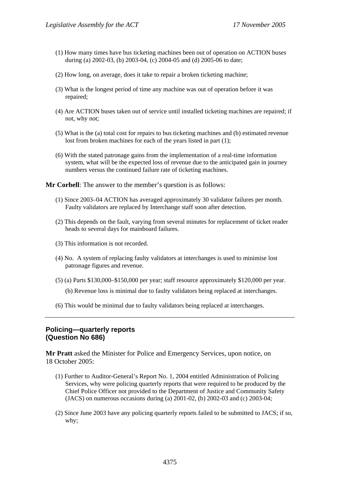- (1) How many times have bus ticketing machines been out of operation on ACTION buses during (a) 2002-03, (b) 2003-04, (c) 2004-05 and (d) 2005-06 to date;
- (2) How long, on average, does it take to repair a broken ticketing machine;
- (3) What is the longest period of time any machine was out of operation before it was repaired;
- (4) Are ACTION buses taken out of service until installed ticketing machines are repaired; if not, why not;
- (5) What is the (a) total cost for repairs to bus ticketing machines and (b) estimated revenue lost from broken machines for each of the years listed in part (1);
- (6) With the stated patronage gains from the implementation of a real-time information system, what will be the expected loss of revenue due to the anticipated gain in journey numbers versus the continued failure rate of ticketing machines.

**Mr Corbell**: The answer to the member's question is as follows:

- (1) Since 2003–04 ACTION has averaged approximately 30 validator failures per month. Faulty validators are replaced by Interchange staff soon after detection.
- (2) This depends on the fault, varying from several minutes for replacement of ticket reader heads to several days for mainboard failures.
- (3) This information is not recorded.
- (4) No. A system of replacing faulty validators at interchanges is used to minimise lost patronage figures and revenue.
- (5) (a) Parts \$130,000–\$150,000 per year; staff resource approximately \$120,000 per year.
	- (b) Revenue loss is minimal due to faulty validators being replaced at interchanges.
- (6) This would be minimal due to faulty validators being replaced at interchanges.

# **Policing—quarterly reports (Question No 686)**

**Mr Pratt** asked the Minister for Police and Emergency Services, upon notice, on 18 October 2005:

- (1) Further to Auditor-General's Report No. 1, 2004 entitled Administration of Policing Services, why were policing quarterly reports that were required to be produced by the Chief Police Officer not provided to the Department of Justice and Community Safety (JACS) on numerous occasions during (a) 2001-02, (b) 2002-03 and (c) 2003-04;
- (2) Since June 2003 have any policing quarterly reports failed to be submitted to JACS; if so, why;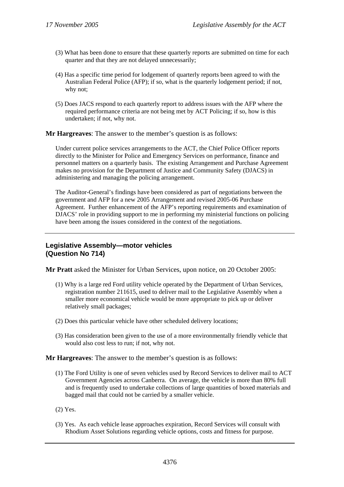- (3) What has been done to ensure that these quarterly reports are submitted on time for each quarter and that they are not delayed unnecessarily;
- (4) Has a specific time period for lodgement of quarterly reports been agreed to with the Australian Federal Police (AFP); if so, what is the quarterly lodgement period; if not, why not;
- (5) Does JACS respond to each quarterly report to address issues with the AFP where the required performance criteria are not being met by ACT Policing; if so, how is this undertaken; if not, why not.

**Mr Hargreaves**: The answer to the member's question is as follows:

Under current police services arrangements to the ACT, the Chief Police Officer reports directly to the Minister for Police and Emergency Services on performance, finance and personnel matters on a quarterly basis. The existing Arrangement and Purchase Agreement makes no provision for the Department of Justice and Community Safety (DJACS) in administering and managing the policing arrangement.

The Auditor-General's findings have been considered as part of negotiations between the government and AFP for a new 2005 Arrangement and revised 2005-06 Purchase Agreement. Further enhancement of the AFP's reporting requirements and examination of DJACS' role in providing support to me in performing my ministerial functions on policing have been among the issues considered in the context of the negotiations.

### **Legislative Assembly—motor vehicles (Question No 714)**

**Mr Pratt** asked the Minister for Urban Services, upon notice, on 20 October 2005:

- (1) Why is a large red Ford utility vehicle operated by the Department of Urban Services, registration number 211615, used to deliver mail to the Legislative Assembly when a smaller more economical vehicle would be more appropriate to pick up or deliver relatively small packages;
- (2) Does this particular vehicle have other scheduled delivery locations;
- (3) Has consideration been given to the use of a more environmentally friendly vehicle that would also cost less to run; if not, why not.

**Mr Hargreaves**: The answer to the member's question is as follows:

- (1) The Ford Utility is one of seven vehicles used by Record Services to deliver mail to ACT Government Agencies across Canberra. On average, the vehicle is more than 80% full and is frequently used to undertake collections of large quantities of boxed materials and bagged mail that could not be carried by a smaller vehicle.
- (2) Yes.
- (3) Yes. As each vehicle lease approaches expiration, Record Services will consult with Rhodium Asset Solutions regarding vehicle options, costs and fitness for purpose.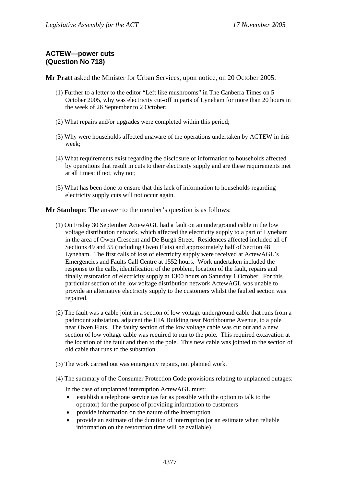# **ACTEW—power cuts (Question No 718)**

**Mr Pratt** asked the Minister for Urban Services, upon notice, on 20 October 2005:

- (1) Further to a letter to the editor "Left like mushrooms" in The Canberra Times on 5 October 2005, why was electricity cut-off in parts of Lyneham for more than 20 hours in the week of 26 September to 2 October;
- (2) What repairs and/or upgrades were completed within this period;
- (3) Why were households affected unaware of the operations undertaken by ACTEW in this week;
- (4) What requirements exist regarding the disclosure of information to households affected by operations that result in cuts to their electricity supply and are these requirements met at all times; if not, why not;
- (5) What has been done to ensure that this lack of information to households regarding electricity supply cuts will not occur again.

**Mr Stanhope**: The answer to the member's question is as follows:

- (1) On Friday 30 September ActewAGL had a fault on an underground cable in the low voltage distribution network, which affected the electricity supply to a part of Lyneham in the area of Owen Crescent and De Burgh Street. Residences affected included all of Sections 49 and 55 (including Owen Flats) and approximately half of Section 48 Lyneham. The first calls of loss of electricity supply were received at ActewAGL's Emergencies and Faults Call Centre at 1552 hours. Work undertaken included the response to the calls, identification of the problem, location of the fault, repairs and finally restoration of electricity supply at 1300 hours on Saturday 1 October. For this particular section of the low voltage distribution network ActewAGL was unable to provide an alternative electricity supply to the customers whilst the faulted section was repaired.
- (2) The fault was a cable joint in a section of low voltage underground cable that runs from a padmount substation, adjacent the HIA Building near Northbourne Avenue, to a pole near Owen Flats. The faulty section of the low voltage cable was cut out and a new section of low voltage cable was required to run to the pole. This required excavation at the location of the fault and then to the pole. This new cable was jointed to the section of old cable that runs to the substation.
- (3) The work carried out was emergency repairs, not planned work.
- (4) The summary of the Consumer Protection Code provisions relating to unplanned outages:

In the case of unplanned interruption ActewAGL must:

- establish a telephone service (as far as possible with the option to talk to the operator) for the purpose of providing information to customers
- provide information on the nature of the interruption
- provide an estimate of the duration of interruption (or an estimate when reliable information on the restoration time will be available)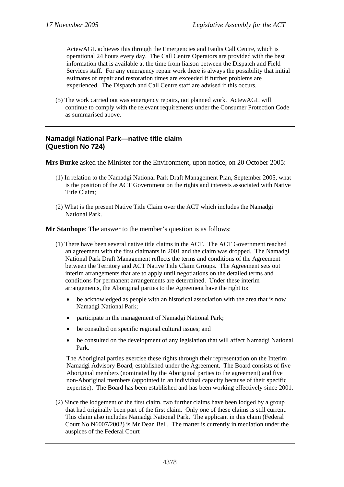ActewAGL achieves this through the Emergencies and Faults Call Centre, which is operational 24 hours every day. The Call Centre Operators are provided with the best information that is available at the time from liaison between the Dispatch and Field Services staff. For any emergency repair work there is always the possibility that initial estimates of repair and restoration times are exceeded if further problems are experienced. The Dispatch and Call Centre staff are advised if this occurs.

(5) The work carried out was emergency repairs, not planned work. ActewAGL will continue to comply with the relevant requirements under the Consumer Protection Code as summarised above.

# **Namadgi National Park—native title claim (Question No 724)**

**Mrs Burke** asked the Minister for the Environment, upon notice, on 20 October 2005:

- (1) In relation to the Namadgi National Park Draft Management Plan, September 2005, what is the position of the ACT Government on the rights and interests associated with Native Title Claim;
- (2) What is the present Native Title Claim over the ACT which includes the Namadgi National Park.

**Mr Stanhope**: The answer to the member's question is as follows:

- (1) There have been several native title claims in the ACT. The ACT Government reached an agreement with the first claimants in 2001 and the claim was dropped. The Namadgi National Park Draft Management reflects the terms and conditions of the Agreement between the Territory and ACT Native Title Claim Groups. The Agreement sets out interim arrangements that are to apply until negotiations on the detailed terms and conditions for permanent arrangements are determined. Under these interim arrangements, the Aboriginal parties to the Agreement have the right to:
	- be acknowledged as people with an historical association with the area that is now Namadgi National Park;
	- participate in the management of Namadgi National Park;
	- be consulted on specific regional cultural issues; and
	- be consulted on the development of any legislation that will affect Namadgi National Park.

The Aboriginal parties exercise these rights through their representation on the Interim Namadgi Advisory Board, established under the Agreement. The Board consists of five Aboriginal members (nominated by the Aboriginal parties to the agreement) and five non-Aboriginal members (appointed in an individual capacity because of their specific expertise). The Board has been established and has been working effectively since 2001.

(2) Since the lodgement of the first claim, two further claims have been lodged by a group that had originally been part of the first claim. Only one of these claims is still current. This claim also includes Namadgi National Park. The applicant in this claim (Federal Court No N6007/2002) is Mr Dean Bell. The matter is currently in mediation under the auspices of the Federal Court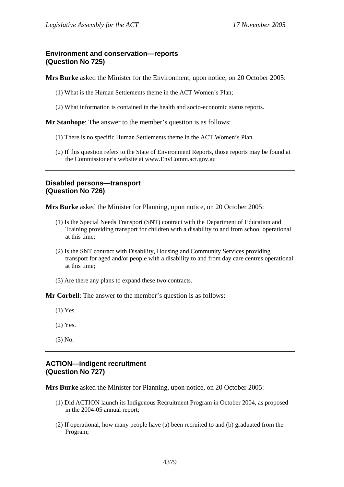## **Environment and conservation—reports (Question No 725)**

**Mrs Burke** asked the Minister for the Environment, upon notice, on 20 October 2005:

- (1) What is the Human Settlements theme in the ACT Women's Plan;
- (2) What information is contained in the health and socio-economic status reports.

**Mr Stanhope**: The answer to the member's question is as follows:

- (1) There is no specific Human Settlements theme in the ACT Women's Plan.
- (2) If this question refers to the State of Environment Reports, those reports may be found at the Commissioner's website at www.EnvComm.act.gov.au

### **Disabled persons—transport (Question No 726)**

**Mrs Burke** asked the Minister for Planning, upon notice, on 20 October 2005:

- (1) Is the Special Needs Transport (SNT) contract with the Department of Education and Training providing transport for children with a disability to and from school operational at this time;
- (2) Is the SNT contract with Disability, Housing and Community Services providing transport for aged and/or people with a disability to and from day care centres operational at this time;
- (3) Are there any plans to expand these two contracts.

**Mr Corbell**: The answer to the member's question is as follows:

- (1) Yes.
- (2) Yes.
- (3) No.

#### **ACTION—indigent recruitment (Question No 727)**

**Mrs Burke** asked the Minister for Planning, upon notice, on 20 October 2005:

- (1) Did ACTION launch its Indigenous Recruitment Program in October 2004, as proposed in the 2004-05 annual report;
- (2) If operational, how many people have (a) been recruited to and (b) graduated from the Program;